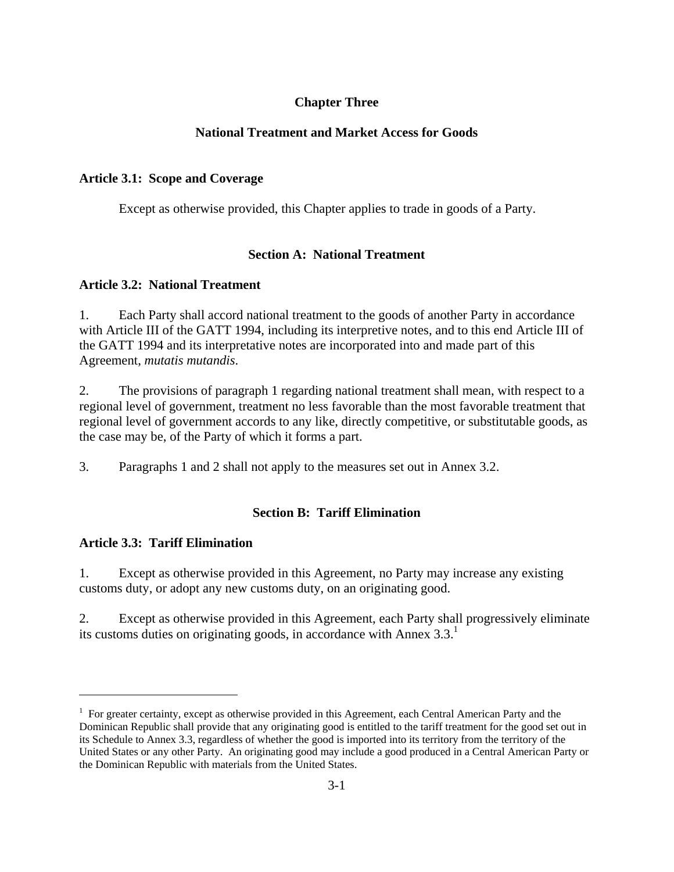# **Chapter Three**

# **National Treatment and Market Access for Goods**

# **Article 3.1: Scope and Coverage**

Except as otherwise provided, this Chapter applies to trade in goods of a Party.

# **Section A: National Treatment**

### **Article 3.2: National Treatment**

1. Each Party shall accord national treatment to the goods of another Party in accordance with Article III of the GATT 1994, including its interpretive notes, and to this end Article III of the GATT 1994 and its interpretative notes are incorporated into and made part of this Agreement, *mutatis mutandis*.

2. The provisions of paragraph 1 regarding national treatment shall mean, with respect to a regional level of government, treatment no less favorable than the most favorable treatment that regional level of government accords to any like, directly competitive, or substitutable goods, as the case may be, of the Party of which it forms a part.

3. Paragraphs 1 and 2 shall not apply to the measures set out in Annex 3.2.

# **Section B: Tariff Elimination**

# **Article 3.3: Tariff Elimination**

 $\overline{a}$ 

1. Except as otherwise provided in this Agreement, no Party may increase any existing customs duty, or adopt any new customs duty, on an originating good.

2. Except as otherwise provided in this Agreement, each Party shall progressively eliminate its customs duties on originating goods, in accordance with Annex  $3.3<sup>1</sup>$ 

<sup>&</sup>lt;sup>1</sup> For greater certainty, except as otherwise provided in this Agreement, each Central American Party and the Dominican Republic shall provide that any originating good is entitled to the tariff treatment for the good set out in its Schedule to Annex 3.3, regardless of whether the good is imported into its territory from the territory of the United States or any other Party. An originating good may include a good produced in a Central American Party or the Dominican Republic with materials from the United States.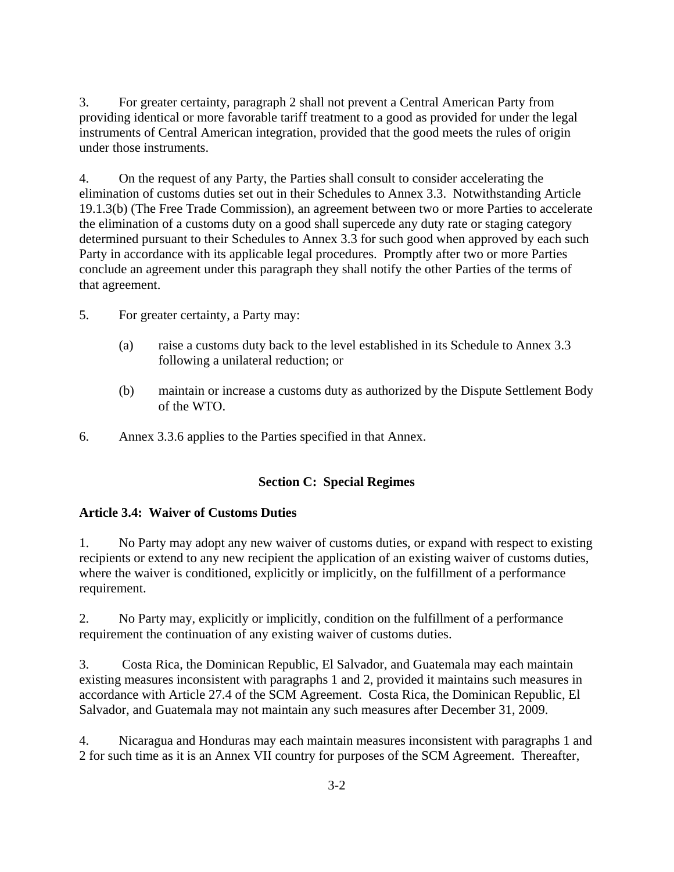3. For greater certainty, paragraph 2 shall not prevent a Central American Party from providing identical or more favorable tariff treatment to a good as provided for under the legal instruments of Central American integration, provided that the good meets the rules of origin under those instruments.

4. On the request of any Party, the Parties shall consult to consider accelerating the elimination of customs duties set out in their Schedules to Annex 3.3. Notwithstanding Article 19.1.3(b) (The Free Trade Commission), an agreement between two or more Parties to accelerate the elimination of a customs duty on a good shall supercede any duty rate or staging category determined pursuant to their Schedules to Annex 3.3 for such good when approved by each such Party in accordance with its applicable legal procedures. Promptly after two or more Parties conclude an agreement under this paragraph they shall notify the other Parties of the terms of that agreement.

5. For greater certainty, a Party may:

- (a) raise a customs duty back to the level established in its Schedule to Annex 3.3 following a unilateral reduction; or
- (b) maintain or increase a customs duty as authorized by the Dispute Settlement Body of the WTO.
- 6. Annex 3.3.6 applies to the Parties specified in that Annex.

#### **Section C: Special Regimes**

#### **Article 3.4: Waiver of Customs Duties**

1. No Party may adopt any new waiver of customs duties, or expand with respect to existing recipients or extend to any new recipient the application of an existing waiver of customs duties, where the waiver is conditioned, explicitly or implicitly, on the fulfillment of a performance requirement.

2. No Party may, explicitly or implicitly, condition on the fulfillment of a performance requirement the continuation of any existing waiver of customs duties.

3. Costa Rica, the Dominican Republic, El Salvador, and Guatemala may each maintain existing measures inconsistent with paragraphs 1 and 2, provided it maintains such measures in accordance with Article 27.4 of the SCM Agreement. Costa Rica, the Dominican Republic, El Salvador, and Guatemala may not maintain any such measures after December 31, 2009.

4. Nicaragua and Honduras may each maintain measures inconsistent with paragraphs 1 and 2 for such time as it is an Annex VII country for purposes of the SCM Agreement. Thereafter,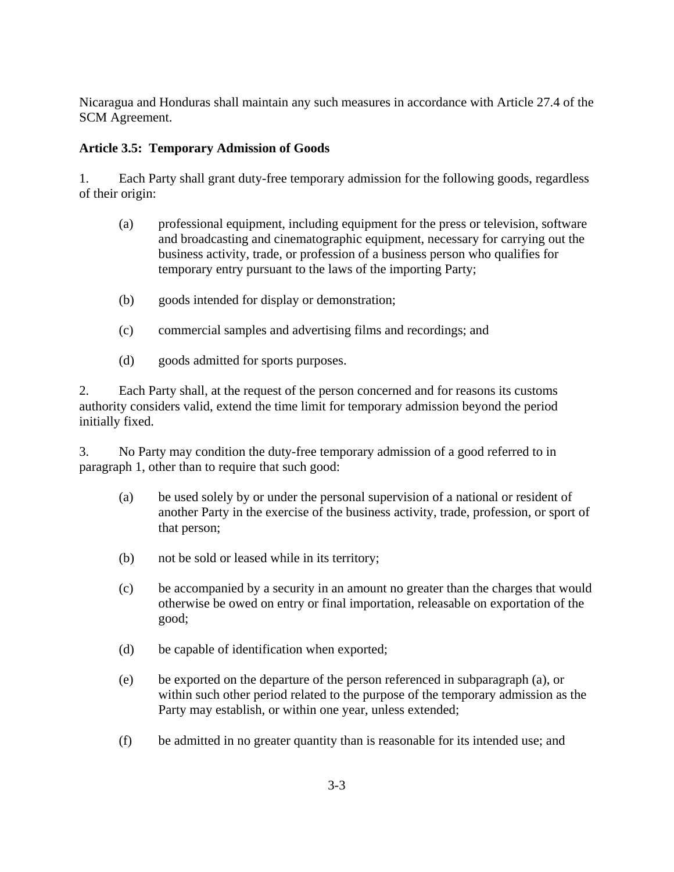Nicaragua and Honduras shall maintain any such measures in accordance with Article 27.4 of the SCM Agreement.

# **Article 3.5: Temporary Admission of Goods**

1. Each Party shall grant duty-free temporary admission for the following goods, regardless of their origin:

- (a) professional equipment, including equipment for the press or television, software and broadcasting and cinematographic equipment, necessary for carrying out the business activity, trade, or profession of a business person who qualifies for temporary entry pursuant to the laws of the importing Party;
- (b) goods intended for display or demonstration;
- (c) commercial samples and advertising films and recordings; and
- (d) goods admitted for sports purposes.

2. Each Party shall, at the request of the person concerned and for reasons its customs authority considers valid, extend the time limit for temporary admission beyond the period initially fixed.

3. No Party may condition the duty-free temporary admission of a good referred to in paragraph 1, other than to require that such good:

- (a) be used solely by or under the personal supervision of a national or resident of another Party in the exercise of the business activity, trade, profession, or sport of that person;
- (b) not be sold or leased while in its territory;
- (c) be accompanied by a security in an amount no greater than the charges that would otherwise be owed on entry or final importation, releasable on exportation of the good;
- (d) be capable of identification when exported;
- (e) be exported on the departure of the person referenced in subparagraph (a), or within such other period related to the purpose of the temporary admission as the Party may establish, or within one year, unless extended;
- (f) be admitted in no greater quantity than is reasonable for its intended use; and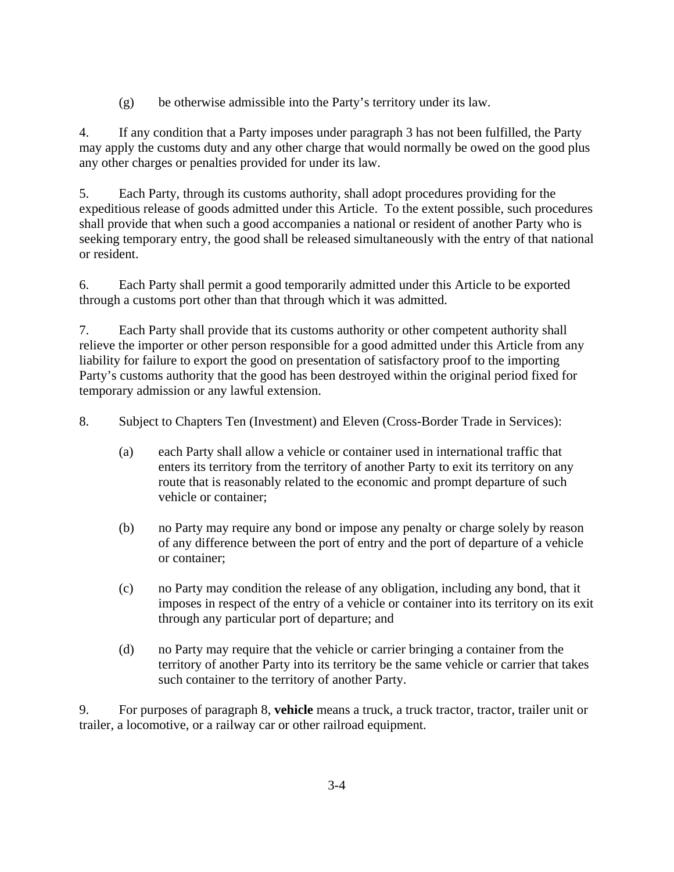(g) be otherwise admissible into the Party's territory under its law.

4. If any condition that a Party imposes under paragraph 3 has not been fulfilled, the Party may apply the customs duty and any other charge that would normally be owed on the good plus any other charges or penalties provided for under its law.

5. Each Party, through its customs authority, shall adopt procedures providing for the expeditious release of goods admitted under this Article. To the extent possible, such procedures shall provide that when such a good accompanies a national or resident of another Party who is seeking temporary entry, the good shall be released simultaneously with the entry of that national or resident.

6. Each Party shall permit a good temporarily admitted under this Article to be exported through a customs port other than that through which it was admitted.

7. Each Party shall provide that its customs authority or other competent authority shall relieve the importer or other person responsible for a good admitted under this Article from any liability for failure to export the good on presentation of satisfactory proof to the importing Party's customs authority that the good has been destroyed within the original period fixed for temporary admission or any lawful extension.

8. Subject to Chapters Ten (Investment) and Eleven (Cross-Border Trade in Services):

- (a) each Party shall allow a vehicle or container used in international traffic that enters its territory from the territory of another Party to exit its territory on any route that is reasonably related to the economic and prompt departure of such vehicle or container;
- (b) no Party may require any bond or impose any penalty or charge solely by reason of any difference between the port of entry and the port of departure of a vehicle or container;
- (c) no Party may condition the release of any obligation, including any bond, that it imposes in respect of the entry of a vehicle or container into its territory on its exit through any particular port of departure; and
- (d) no Party may require that the vehicle or carrier bringing a container from the territory of another Party into its territory be the same vehicle or carrier that takes such container to the territory of another Party.

9. For purposes of paragraph 8, **vehicle** means a truck, a truck tractor, tractor, trailer unit or trailer, a locomotive, or a railway car or other railroad equipment.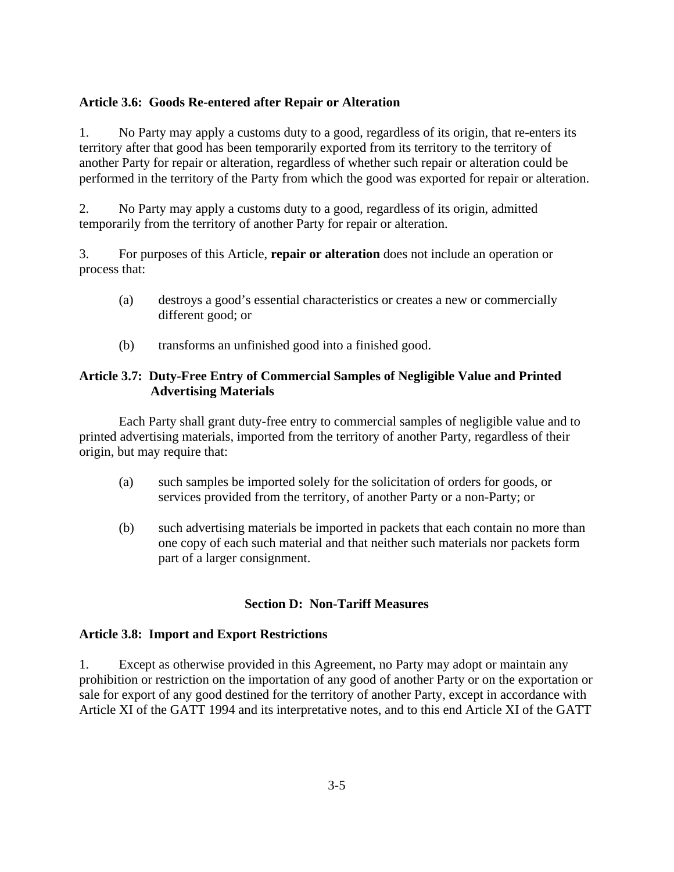#### **Article 3.6: Goods Re-entered after Repair or Alteration**

1. No Party may apply a customs duty to a good, regardless of its origin, that re-enters its territory after that good has been temporarily exported from its territory to the territory of another Party for repair or alteration, regardless of whether such repair or alteration could be performed in the territory of the Party from which the good was exported for repair or alteration.

2. No Party may apply a customs duty to a good, regardless of its origin, admitted temporarily from the territory of another Party for repair or alteration.

3. For purposes of this Article, **repair or alteration** does not include an operation or process that:

- (a) destroys a good's essential characteristics or creates a new or commercially different good; or
- (b) transforms an unfinished good into a finished good.

# **Article 3.7: Duty-Free Entry of Commercial Samples of Negligible Value and Printed Advertising Materials**

Each Party shall grant duty-free entry to commercial samples of negligible value and to printed advertising materials, imported from the territory of another Party, regardless of their origin, but may require that:

- (a) such samples be imported solely for the solicitation of orders for goods, or services provided from the territory, of another Party or a non-Party; or
- (b) such advertising materials be imported in packets that each contain no more than one copy of each such material and that neither such materials nor packets form part of a larger consignment.

# **Section D: Non-Tariff Measures**

#### **Article 3.8: Import and Export Restrictions**

1. Except as otherwise provided in this Agreement, no Party may adopt or maintain any prohibition or restriction on the importation of any good of another Party or on the exportation or sale for export of any good destined for the territory of another Party, except in accordance with Article XI of the GATT 1994 and its interpretative notes, and to this end Article XI of the GATT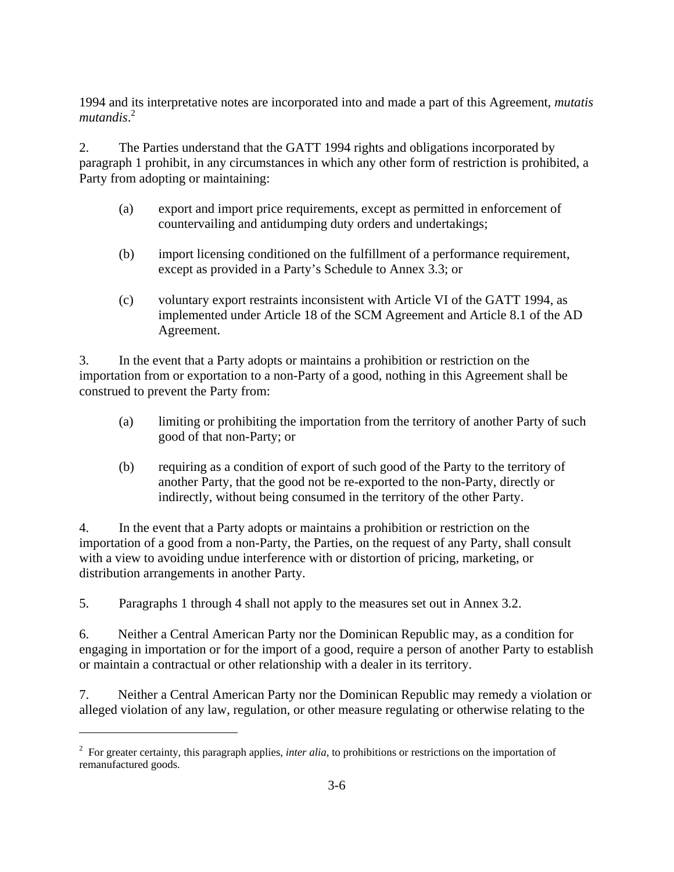1994 and its interpretative notes are incorporated into and made a part of this Agreement, *mutatis mutandis*. 2

2. The Parties understand that the GATT 1994 rights and obligations incorporated by paragraph 1 prohibit, in any circumstances in which any other form of restriction is prohibited, a Party from adopting or maintaining:

- (a) export and import price requirements, except as permitted in enforcement of countervailing and antidumping duty orders and undertakings;
- (b) import licensing conditioned on the fulfillment of a performance requirement, except as provided in a Party's Schedule to Annex 3.3; or
- (c) voluntary export restraints inconsistent with Article VI of the GATT 1994, as implemented under Article 18 of the SCM Agreement and Article 8.1 of the AD Agreement.

3. In the event that a Party adopts or maintains a prohibition or restriction on the importation from or exportation to a non-Party of a good, nothing in this Agreement shall be construed to prevent the Party from:

- (a) limiting or prohibiting the importation from the territory of another Party of such good of that non-Party; or
- (b) requiring as a condition of export of such good of the Party to the territory of another Party, that the good not be re-exported to the non-Party, directly or indirectly, without being consumed in the territory of the other Party.

4. In the event that a Party adopts or maintains a prohibition or restriction on the importation of a good from a non-Party, the Parties, on the request of any Party, shall consult with a view to avoiding undue interference with or distortion of pricing, marketing, or distribution arrangements in another Party.

5. Paragraphs 1 through 4 shall not apply to the measures set out in Annex 3.2.

6. Neither a Central American Party nor the Dominican Republic may, as a condition for engaging in importation or for the import of a good, require a person of another Party to establish or maintain a contractual or other relationship with a dealer in its territory.

7. Neither a Central American Party nor the Dominican Republic may remedy a violation or alleged violation of any law, regulation, or other measure regulating or otherwise relating to the

<sup>&</sup>lt;sup>2</sup> For greater certainty, this paragraph applies, *inter alia*, to prohibitions or restrictions on the importation of remanufactured goods.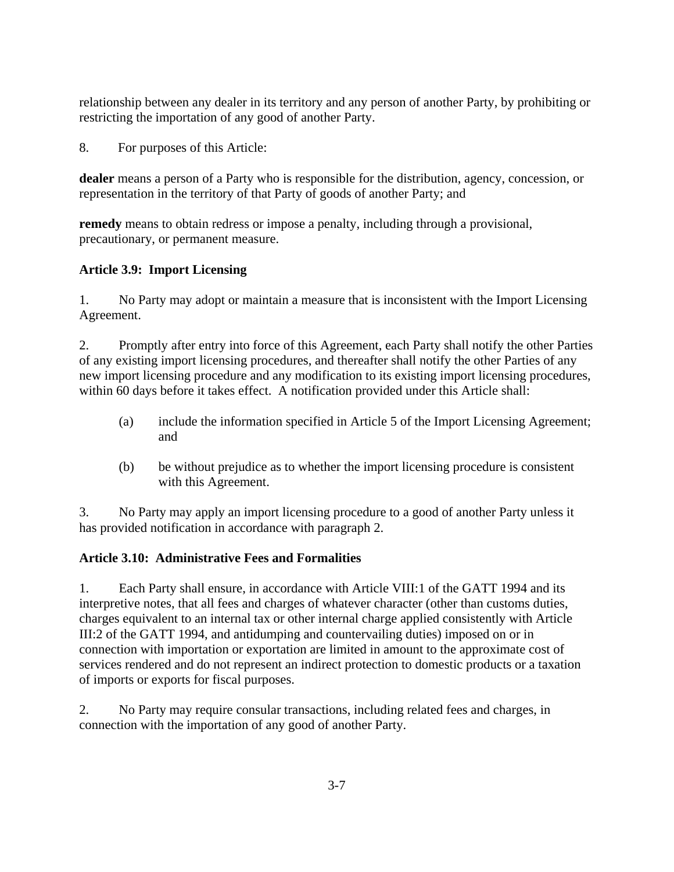relationship between any dealer in its territory and any person of another Party, by prohibiting or restricting the importation of any good of another Party.

8. For purposes of this Article:

**dealer** means a person of a Party who is responsible for the distribution, agency, concession, or representation in the territory of that Party of goods of another Party; and

**remedy** means to obtain redress or impose a penalty, including through a provisional, precautionary, or permanent measure.

# **Article 3.9: Import Licensing**

1. No Party may adopt or maintain a measure that is inconsistent with the Import Licensing Agreement.

2. Promptly after entry into force of this Agreement, each Party shall notify the other Parties of any existing import licensing procedures, and thereafter shall notify the other Parties of any new import licensing procedure and any modification to its existing import licensing procedures, within 60 days before it takes effect. A notification provided under this Article shall:

- (a) include the information specified in Article 5 of the Import Licensing Agreement; and
- (b) be without prejudice as to whether the import licensing procedure is consistent with this Agreement.

3. No Party may apply an import licensing procedure to a good of another Party unless it has provided notification in accordance with paragraph 2.

# **Article 3.10: Administrative Fees and Formalities**

1. Each Party shall ensure, in accordance with Article VIII:1 of the GATT 1994 and its interpretive notes, that all fees and charges of whatever character (other than customs duties, charges equivalent to an internal tax or other internal charge applied consistently with Article III:2 of the GATT 1994, and antidumping and countervailing duties) imposed on or in connection with importation or exportation are limited in amount to the approximate cost of services rendered and do not represent an indirect protection to domestic products or a taxation of imports or exports for fiscal purposes.

2. No Party may require consular transactions, including related fees and charges, in connection with the importation of any good of another Party.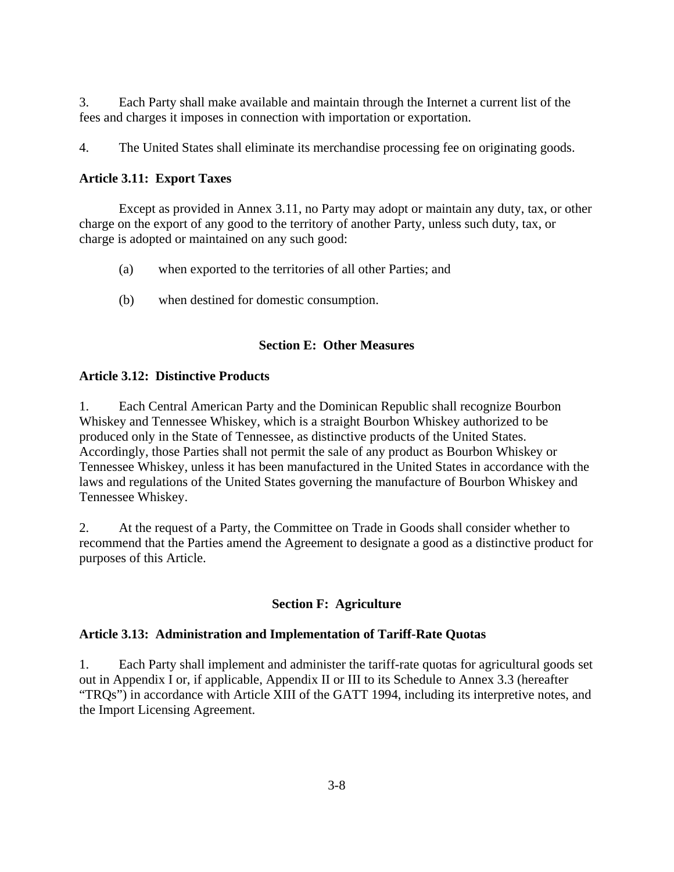3. Each Party shall make available and maintain through the Internet a current list of the fees and charges it imposes in connection with importation or exportation.

4. The United States shall eliminate its merchandise processing fee on originating goods.

### **Article 3.11: Export Taxes**

 Except as provided in Annex 3.11, no Party may adopt or maintain any duty, tax, or other charge on the export of any good to the territory of another Party, unless such duty, tax, or charge is adopted or maintained on any such good:

- (a) when exported to the territories of all other Parties; and
- (b) when destined for domestic consumption.

### **Section E: Other Measures**

### **Article 3.12: Distinctive Products**

1. Each Central American Party and the Dominican Republic shall recognize Bourbon Whiskey and Tennessee Whiskey, which is a straight Bourbon Whiskey authorized to be produced only in the State of Tennessee, as distinctive products of the United States. Accordingly, those Parties shall not permit the sale of any product as Bourbon Whiskey or Tennessee Whiskey, unless it has been manufactured in the United States in accordance with the laws and regulations of the United States governing the manufacture of Bourbon Whiskey and Tennessee Whiskey.

2. At the request of a Party, the Committee on Trade in Goods shall consider whether to recommend that the Parties amend the Agreement to designate a good as a distinctive product for purposes of this Article.

# **Section F: Agriculture**

#### **Article 3.13: Administration and Implementation of Tariff-Rate Quotas**

1. Each Party shall implement and administer the tariff-rate quotas for agricultural goods set out in Appendix I or, if applicable, Appendix II or III to its Schedule to Annex 3.3 (hereafter "TRQs") in accordance with Article XIII of the GATT 1994, including its interpretive notes, and the Import Licensing Agreement.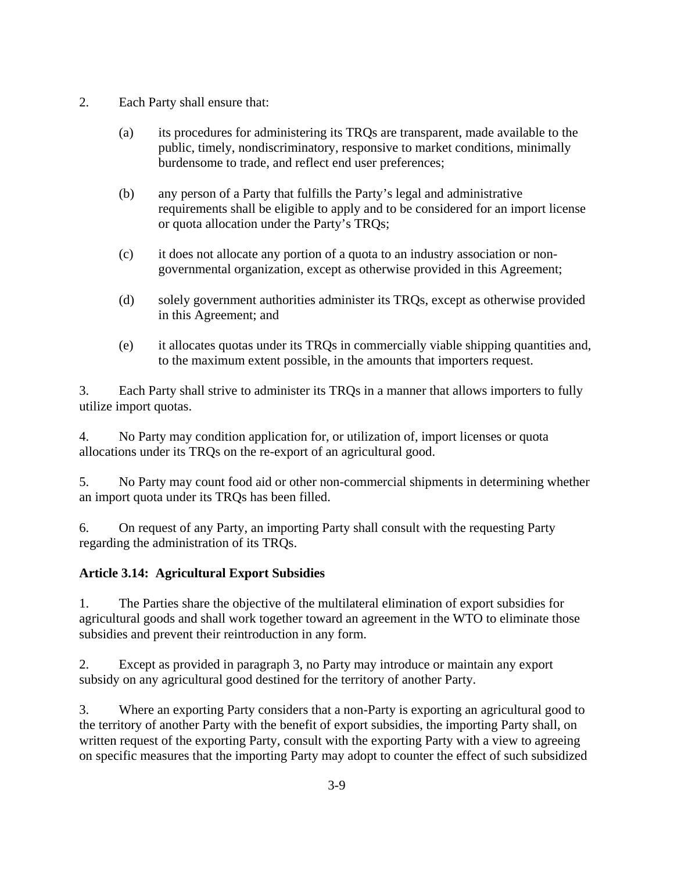- 2. Each Party shall ensure that:
	- (a) its procedures for administering its TRQs are transparent, made available to the public, timely, nondiscriminatory, responsive to market conditions, minimally burdensome to trade, and reflect end user preferences;
	- (b) any person of a Party that fulfills the Party's legal and administrative requirements shall be eligible to apply and to be considered for an import license or quota allocation under the Party's TRQs;
	- (c) it does not allocate any portion of a quota to an industry association or nongovernmental organization, except as otherwise provided in this Agreement;
	- (d) solely government authorities administer its TRQs, except as otherwise provided in this Agreement; and
	- (e) it allocates quotas under its TRQs in commercially viable shipping quantities and, to the maximum extent possible, in the amounts that importers request.

3. Each Party shall strive to administer its TRQs in a manner that allows importers to fully utilize import quotas.

4. No Party may condition application for, or utilization of, import licenses or quota allocations under its TRQs on the re-export of an agricultural good.

5. No Party may count food aid or other non-commercial shipments in determining whether an import quota under its TRQs has been filled.

6. On request of any Party, an importing Party shall consult with the requesting Party regarding the administration of its TRQs.

# **Article 3.14: Agricultural Export Subsidies**

1. The Parties share the objective of the multilateral elimination of export subsidies for agricultural goods and shall work together toward an agreement in the WTO to eliminate those subsidies and prevent their reintroduction in any form.

2. Except as provided in paragraph 3, no Party may introduce or maintain any export subsidy on any agricultural good destined for the territory of another Party.

3. Where an exporting Party considers that a non-Party is exporting an agricultural good to the territory of another Party with the benefit of export subsidies, the importing Party shall, on written request of the exporting Party, consult with the exporting Party with a view to agreeing on specific measures that the importing Party may adopt to counter the effect of such subsidized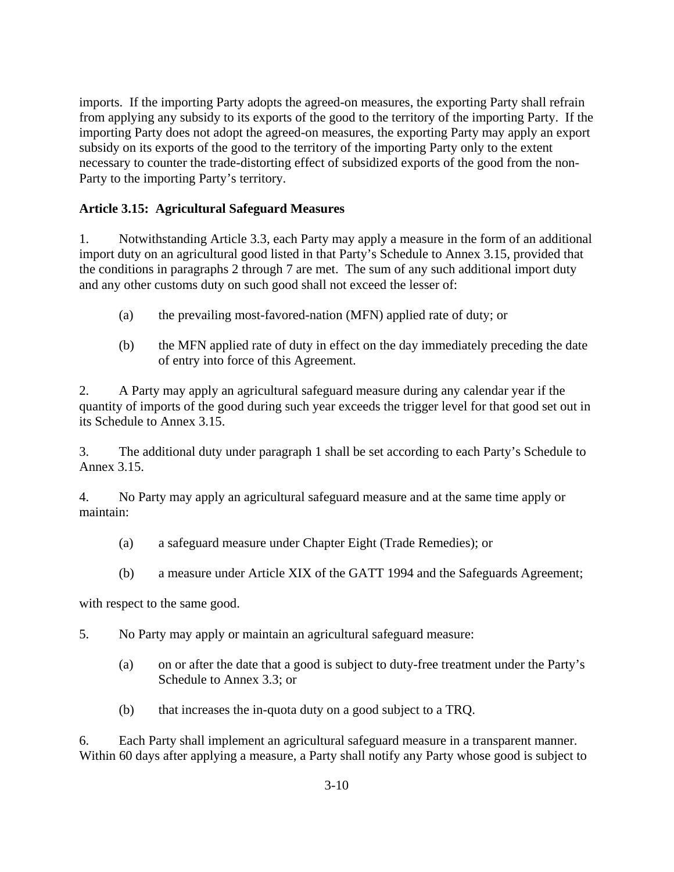imports. If the importing Party adopts the agreed-on measures, the exporting Party shall refrain from applying any subsidy to its exports of the good to the territory of the importing Party. If the importing Party does not adopt the agreed-on measures, the exporting Party may apply an export subsidy on its exports of the good to the territory of the importing Party only to the extent necessary to counter the trade-distorting effect of subsidized exports of the good from the non-Party to the importing Party's territory.

# **Article 3.15: Agricultural Safeguard Measures**

1. Notwithstanding Article 3.3, each Party may apply a measure in the form of an additional import duty on an agricultural good listed in that Party's Schedule to Annex 3.15, provided that the conditions in paragraphs 2 through 7 are met. The sum of any such additional import duty and any other customs duty on such good shall not exceed the lesser of:

- (a) the prevailing most-favored-nation (MFN) applied rate of duty; or
- (b) the MFN applied rate of duty in effect on the day immediately preceding the date of entry into force of this Agreement.

2. A Party may apply an agricultural safeguard measure during any calendar year if the quantity of imports of the good during such year exceeds the trigger level for that good set out in its Schedule to Annex 3.15.

3. The additional duty under paragraph 1 shall be set according to each Party's Schedule to Annex 3.15.

4. No Party may apply an agricultural safeguard measure and at the same time apply or maintain:

- (a) a safeguard measure under Chapter Eight (Trade Remedies); or
- (b) a measure under Article XIX of the GATT 1994 and the Safeguards Agreement;

with respect to the same good.

5. No Party may apply or maintain an agricultural safeguard measure:

- (a) on or after the date that a good is subject to duty-free treatment under the Party's Schedule to Annex 3.3; or
- (b) that increases the in-quota duty on a good subject to a TRQ.

6. Each Party shall implement an agricultural safeguard measure in a transparent manner. Within 60 days after applying a measure, a Party shall notify any Party whose good is subject to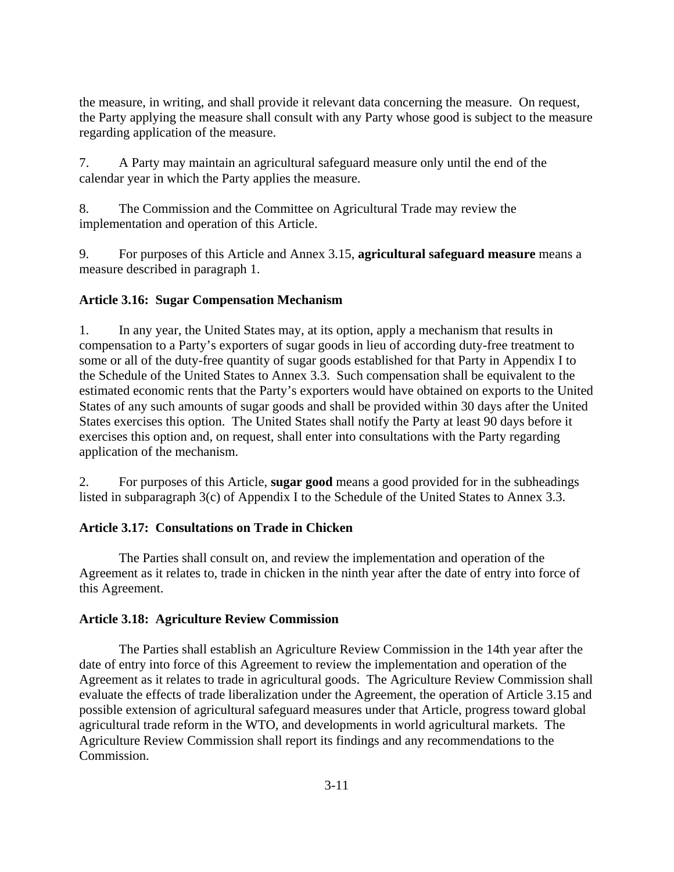the measure, in writing, and shall provide it relevant data concerning the measure. On request, the Party applying the measure shall consult with any Party whose good is subject to the measure regarding application of the measure.

7. A Party may maintain an agricultural safeguard measure only until the end of the calendar year in which the Party applies the measure.

8. The Commission and the Committee on Agricultural Trade may review the implementation and operation of this Article.

9. For purposes of this Article and Annex 3.15, **agricultural safeguard measure** means a measure described in paragraph 1.

# **Article 3.16: Sugar Compensation Mechanism**

1. In any year, the United States may, at its option, apply a mechanism that results in compensation to a Party's exporters of sugar goods in lieu of according duty-free treatment to some or all of the duty-free quantity of sugar goods established for that Party in Appendix I to the Schedule of the United States to Annex 3.3. Such compensation shall be equivalent to the estimated economic rents that the Party's exporters would have obtained on exports to the United States of any such amounts of sugar goods and shall be provided within 30 days after the United States exercises this option. The United States shall notify the Party at least 90 days before it exercises this option and, on request, shall enter into consultations with the Party regarding application of the mechanism.

2. For purposes of this Article, **sugar good** means a good provided for in the subheadings listed in subparagraph 3(c) of Appendix I to the Schedule of the United States to Annex 3.3.

# **Article 3.17: Consultations on Trade in Chicken**

 The Parties shall consult on, and review the implementation and operation of the Agreement as it relates to, trade in chicken in the ninth year after the date of entry into force of this Agreement.

# **Article 3.18: Agriculture Review Commission**

 The Parties shall establish an Agriculture Review Commission in the 14th year after the date of entry into force of this Agreement to review the implementation and operation of the Agreement as it relates to trade in agricultural goods. The Agriculture Review Commission shall evaluate the effects of trade liberalization under the Agreement, the operation of Article 3.15 and possible extension of agricultural safeguard measures under that Article, progress toward global agricultural trade reform in the WTO, and developments in world agricultural markets. The Agriculture Review Commission shall report its findings and any recommendations to the Commission.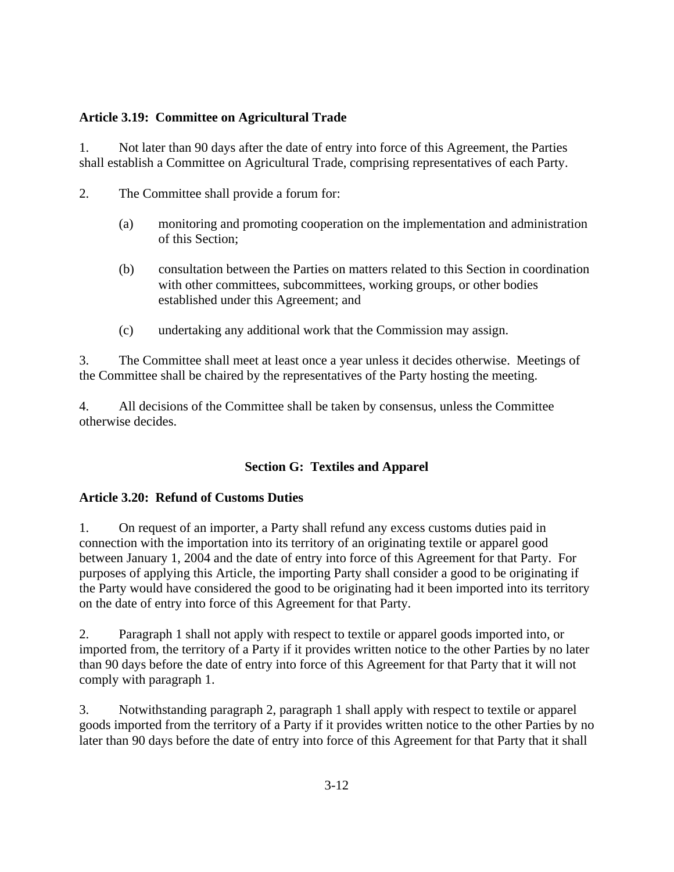# **Article 3.19: Committee on Agricultural Trade**

1. Not later than 90 days after the date of entry into force of this Agreement, the Parties shall establish a Committee on Agricultural Trade, comprising representatives of each Party.

- 2. The Committee shall provide a forum for:
	- (a) monitoring and promoting cooperation on the implementation and administration of this Section;
	- (b) consultation between the Parties on matters related to this Section in coordination with other committees, subcommittees, working groups, or other bodies established under this Agreement; and
	- (c) undertaking any additional work that the Commission may assign.

3. The Committee shall meet at least once a year unless it decides otherwise. Meetings of the Committee shall be chaired by the representatives of the Party hosting the meeting.

4. All decisions of the Committee shall be taken by consensus, unless the Committee otherwise decides.

# **Section G: Textiles and Apparel**

# **Article 3.20: Refund of Customs Duties**

1. On request of an importer, a Party shall refund any excess customs duties paid in connection with the importation into its territory of an originating textile or apparel good between January 1, 2004 and the date of entry into force of this Agreement for that Party. For purposes of applying this Article, the importing Party shall consider a good to be originating if the Party would have considered the good to be originating had it been imported into its territory on the date of entry into force of this Agreement for that Party.

2. Paragraph 1 shall not apply with respect to textile or apparel goods imported into, or imported from, the territory of a Party if it provides written notice to the other Parties by no later than 90 days before the date of entry into force of this Agreement for that Party that it will not comply with paragraph 1.

3. Notwithstanding paragraph 2, paragraph 1 shall apply with respect to textile or apparel goods imported from the territory of a Party if it provides written notice to the other Parties by no later than 90 days before the date of entry into force of this Agreement for that Party that it shall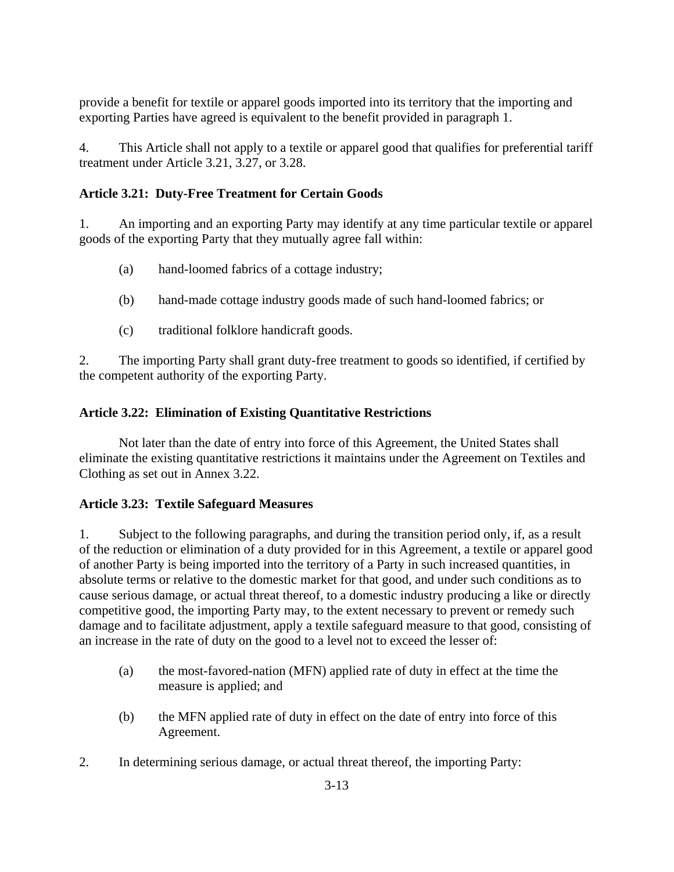provide a benefit for textile or apparel goods imported into its territory that the importing and exporting Parties have agreed is equivalent to the benefit provided in paragraph 1.

4. This Article shall not apply to a textile or apparel good that qualifies for preferential tariff treatment under Article 3.21, 3.27, or 3.28.

# **Article 3.21: Duty-Free Treatment for Certain Goods**

1. An importing and an exporting Party may identify at any time particular textile or apparel goods of the exporting Party that they mutually agree fall within:

- (a) hand-loomed fabrics of a cottage industry;
- (b) hand-made cottage industry goods made of such hand-loomed fabrics; or
- (c) traditional folklore handicraft goods.

2. The importing Party shall grant duty-free treatment to goods so identified, if certified by the competent authority of the exporting Party.

# **Article 3.22: Elimination of Existing Quantitative Restrictions**

Not later than the date of entry into force of this Agreement, the United States shall eliminate the existing quantitative restrictions it maintains under the Agreement on Textiles and Clothing as set out in Annex 3.22.

# **Article 3.23: Textile Safeguard Measures**

1. Subject to the following paragraphs, and during the transition period only, if, as a result of the reduction or elimination of a duty provided for in this Agreement, a textile or apparel good of another Party is being imported into the territory of a Party in such increased quantities, in absolute terms or relative to the domestic market for that good, and under such conditions as to cause serious damage, or actual threat thereof, to a domestic industry producing a like or directly competitive good, the importing Party may, to the extent necessary to prevent or remedy such damage and to facilitate adjustment, apply a textile safeguard measure to that good, consisting of an increase in the rate of duty on the good to a level not to exceed the lesser of:

- (a) the most-favored-nation (MFN) applied rate of duty in effect at the time the measure is applied; and
- (b) the MFN applied rate of duty in effect on the date of entry into force of this Agreement.
- 2. In determining serious damage, or actual threat thereof, the importing Party: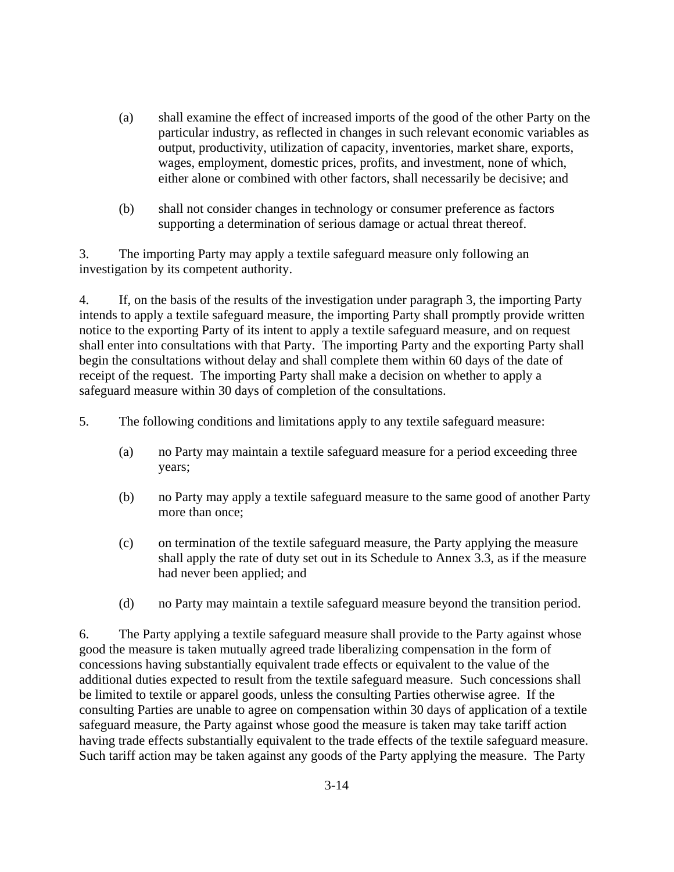- (a) shall examine the effect of increased imports of the good of the other Party on the particular industry, as reflected in changes in such relevant economic variables as output, productivity, utilization of capacity, inventories, market share, exports, wages, employment, domestic prices, profits, and investment, none of which, either alone or combined with other factors, shall necessarily be decisive; and
- (b) shall not consider changes in technology or consumer preference as factors supporting a determination of serious damage or actual threat thereof.

3. The importing Party may apply a textile safeguard measure only following an investigation by its competent authority.

4. If, on the basis of the results of the investigation under paragraph 3, the importing Party intends to apply a textile safeguard measure, the importing Party shall promptly provide written notice to the exporting Party of its intent to apply a textile safeguard measure, and on request shall enter into consultations with that Party. The importing Party and the exporting Party shall begin the consultations without delay and shall complete them within 60 days of the date of receipt of the request. The importing Party shall make a decision on whether to apply a safeguard measure within 30 days of completion of the consultations.

5. The following conditions and limitations apply to any textile safeguard measure:

- (a) no Party may maintain a textile safeguard measure for a period exceeding three years;
- (b) no Party may apply a textile safeguard measure to the same good of another Party more than once;
- (c) on termination of the textile safeguard measure, the Party applying the measure shall apply the rate of duty set out in its Schedule to Annex 3.3, as if the measure had never been applied; and
- (d) no Party may maintain a textile safeguard measure beyond the transition period.

6. The Party applying a textile safeguard measure shall provide to the Party against whose good the measure is taken mutually agreed trade liberalizing compensation in the form of concessions having substantially equivalent trade effects or equivalent to the value of the additional duties expected to result from the textile safeguard measure. Such concessions shall be limited to textile or apparel goods, unless the consulting Parties otherwise agree. If the consulting Parties are unable to agree on compensation within 30 days of application of a textile safeguard measure, the Party against whose good the measure is taken may take tariff action having trade effects substantially equivalent to the trade effects of the textile safeguard measure. Such tariff action may be taken against any goods of the Party applying the measure. The Party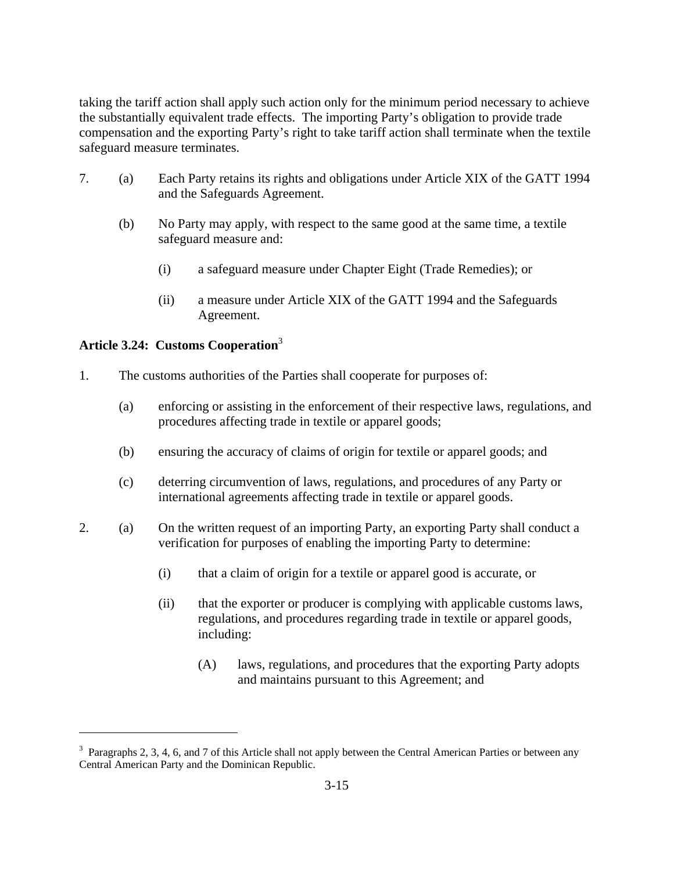taking the tariff action shall apply such action only for the minimum period necessary to achieve the substantially equivalent trade effects. The importing Party's obligation to provide trade compensation and the exporting Party's right to take tariff action shall terminate when the textile safeguard measure terminates.

- 7. (a) Each Party retains its rights and obligations under Article XIX of the GATT 1994 and the Safeguards Agreement.
	- (b) No Party may apply, with respect to the same good at the same time, a textile safeguard measure and:
		- (i) a safeguard measure under Chapter Eight (Trade Remedies); or
		- (ii) a measure under Article XIX of the GATT 1994 and the Safeguards Agreement.

# **Article 3.24: Customs Cooperation**<sup>3</sup>

1

- 1. The customs authorities of the Parties shall cooperate for purposes of:
	- (a) enforcing or assisting in the enforcement of their respective laws, regulations, and procedures affecting trade in textile or apparel goods;
	- (b) ensuring the accuracy of claims of origin for textile or apparel goods; and
	- (c) deterring circumvention of laws, regulations, and procedures of any Party or international agreements affecting trade in textile or apparel goods.
- 2. (a) On the written request of an importing Party, an exporting Party shall conduct a verification for purposes of enabling the importing Party to determine:
	- (i) that a claim of origin for a textile or apparel good is accurate, or
	- (ii) that the exporter or producer is complying with applicable customs laws, regulations, and procedures regarding trade in textile or apparel goods, including:
		- (A) laws, regulations, and procedures that the exporting Party adopts and maintains pursuant to this Agreement; and

 $3$  Paragraphs 2, 3, 4, 6, and 7 of this Article shall not apply between the Central American Parties or between any Central American Party and the Dominican Republic.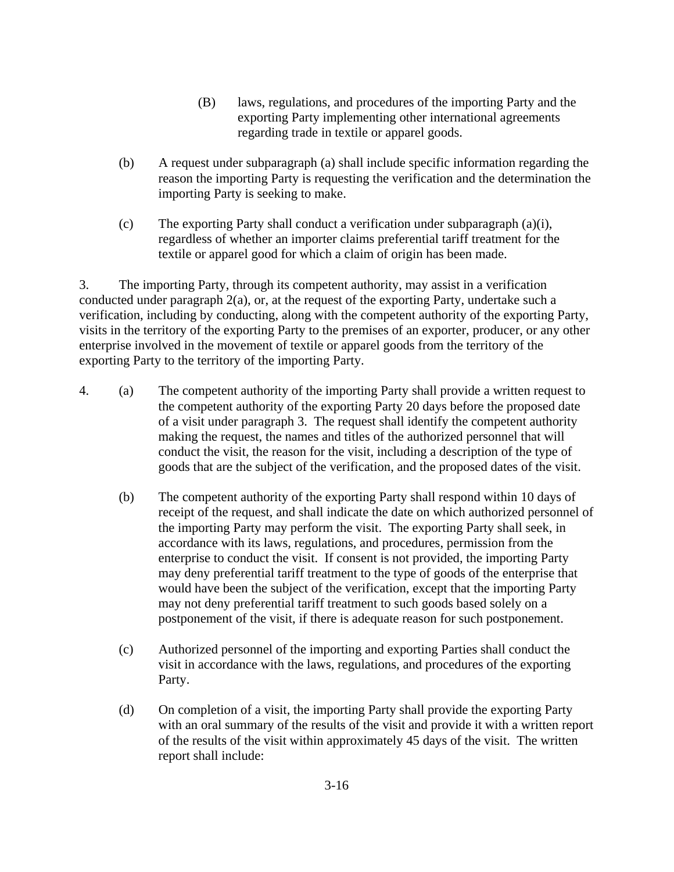- (B) laws, regulations, and procedures of the importing Party and the exporting Party implementing other international agreements regarding trade in textile or apparel goods.
- (b) A request under subparagraph (a) shall include specific information regarding the reason the importing Party is requesting the verification and the determination the importing Party is seeking to make.
- (c) The exporting Party shall conduct a verification under subparagraph (a)(i), regardless of whether an importer claims preferential tariff treatment for the textile or apparel good for which a claim of origin has been made.

3. The importing Party, through its competent authority, may assist in a verification conducted under paragraph 2(a), or, at the request of the exporting Party, undertake such a verification, including by conducting, along with the competent authority of the exporting Party, visits in the territory of the exporting Party to the premises of an exporter, producer, or any other enterprise involved in the movement of textile or apparel goods from the territory of the exporting Party to the territory of the importing Party.

- 4. (a) The competent authority of the importing Party shall provide a written request to the competent authority of the exporting Party 20 days before the proposed date of a visit under paragraph 3. The request shall identify the competent authority making the request, the names and titles of the authorized personnel that will conduct the visit, the reason for the visit, including a description of the type of goods that are the subject of the verification, and the proposed dates of the visit.
	- (b) The competent authority of the exporting Party shall respond within 10 days of receipt of the request, and shall indicate the date on which authorized personnel of the importing Party may perform the visit. The exporting Party shall seek, in accordance with its laws, regulations, and procedures, permission from the enterprise to conduct the visit. If consent is not provided, the importing Party may deny preferential tariff treatment to the type of goods of the enterprise that would have been the subject of the verification, except that the importing Party may not deny preferential tariff treatment to such goods based solely on a postponement of the visit, if there is adequate reason for such postponement.
	- (c) Authorized personnel of the importing and exporting Parties shall conduct the visit in accordance with the laws, regulations, and procedures of the exporting Party.
	- (d) On completion of a visit, the importing Party shall provide the exporting Party with an oral summary of the results of the visit and provide it with a written report of the results of the visit within approximately 45 days of the visit. The written report shall include: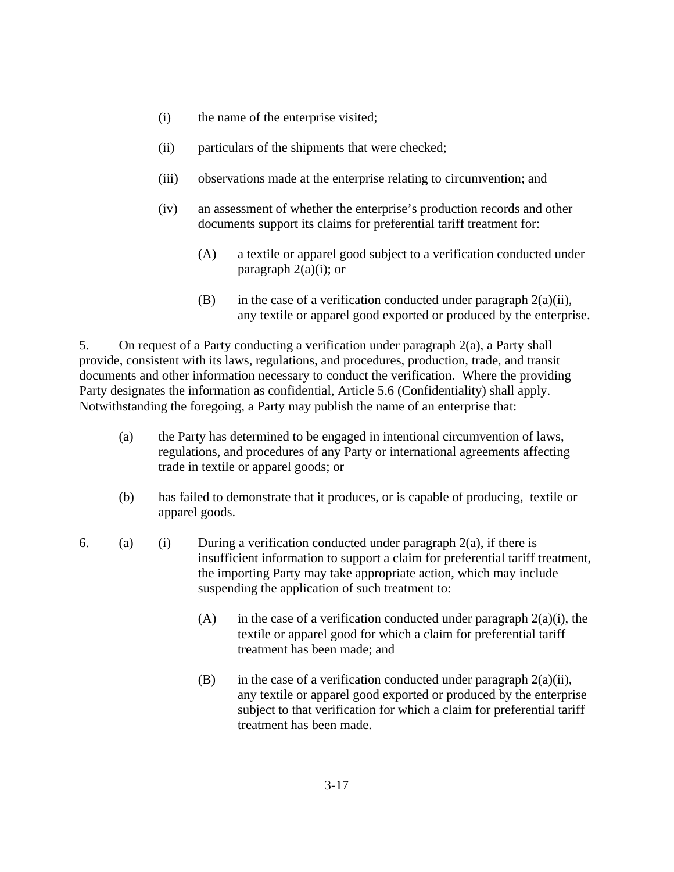- (i) the name of the enterprise visited;
- (ii) particulars of the shipments that were checked;
- (iii) observations made at the enterprise relating to circumvention; and
- (iv) an assessment of whether the enterprise's production records and other documents support its claims for preferential tariff treatment for:
	- (A) a textile or apparel good subject to a verification conducted under paragraph  $2(a)(i)$ ; or
	- (B) in the case of a verification conducted under paragraph  $2(a)(ii)$ , any textile or apparel good exported or produced by the enterprise.

5. On request of a Party conducting a verification under paragraph 2(a), a Party shall provide, consistent with its laws, regulations, and procedures, production, trade, and transit documents and other information necessary to conduct the verification. Where the providing Party designates the information as confidential, Article 5.6 (Confidentiality) shall apply. Notwithstanding the foregoing, a Party may publish the name of an enterprise that:

- (a) the Party has determined to be engaged in intentional circumvention of laws, regulations, and procedures of any Party or international agreements affecting trade in textile or apparel goods; or
- (b) has failed to demonstrate that it produces, or is capable of producing, textile or apparel goods.
- 6. (a) (i) During a verification conducted under paragraph  $2(a)$ , if there is insufficient information to support a claim for preferential tariff treatment, the importing Party may take appropriate action, which may include suspending the application of such treatment to:
	- (A) in the case of a verification conducted under paragraph  $2(a)(i)$ , the textile or apparel good for which a claim for preferential tariff treatment has been made; and
	- (B) in the case of a verification conducted under paragraph  $2(a)(ii)$ , any textile or apparel good exported or produced by the enterprise subject to that verification for which a claim for preferential tariff treatment has been made.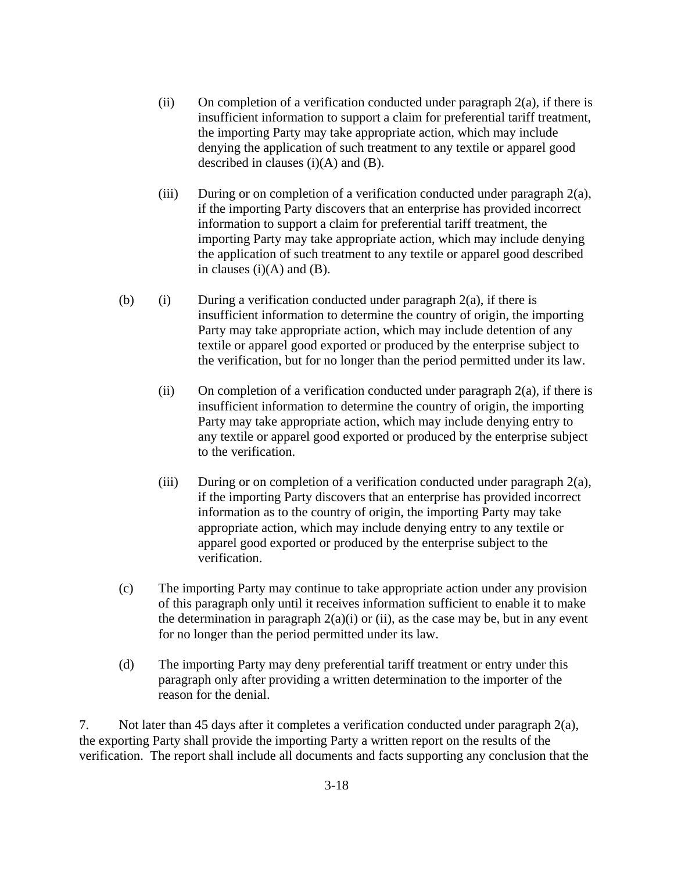- (ii) On completion of a verification conducted under paragraph  $2(a)$ , if there is insufficient information to support a claim for preferential tariff treatment, the importing Party may take appropriate action, which may include denying the application of such treatment to any textile or apparel good described in clauses  $(i)(A)$  and  $(B)$ .
- (iii) During or on completion of a verification conducted under paragraph 2(a), if the importing Party discovers that an enterprise has provided incorrect information to support a claim for preferential tariff treatment, the importing Party may take appropriate action, which may include denying the application of such treatment to any textile or apparel good described in clauses  $(i)(A)$  and  $(B)$ .
- (b) (i) During a verification conducted under paragraph  $2(a)$ , if there is insufficient information to determine the country of origin, the importing Party may take appropriate action, which may include detention of any textile or apparel good exported or produced by the enterprise subject to the verification, but for no longer than the period permitted under its law.
	- (ii) On completion of a verification conducted under paragraph  $2(a)$ , if there is insufficient information to determine the country of origin, the importing Party may take appropriate action, which may include denying entry to any textile or apparel good exported or produced by the enterprise subject to the verification.
	- (iii) During or on completion of a verification conducted under paragraph  $2(a)$ , if the importing Party discovers that an enterprise has provided incorrect information as to the country of origin, the importing Party may take appropriate action, which may include denying entry to any textile or apparel good exported or produced by the enterprise subject to the verification.
- (c) The importing Party may continue to take appropriate action under any provision of this paragraph only until it receives information sufficient to enable it to make the determination in paragraph  $2(a)(i)$  or (ii), as the case may be, but in any event for no longer than the period permitted under its law.
- (d) The importing Party may deny preferential tariff treatment or entry under this paragraph only after providing a written determination to the importer of the reason for the denial.

7. Not later than 45 days after it completes a verification conducted under paragraph 2(a), the exporting Party shall provide the importing Party a written report on the results of the verification. The report shall include all documents and facts supporting any conclusion that the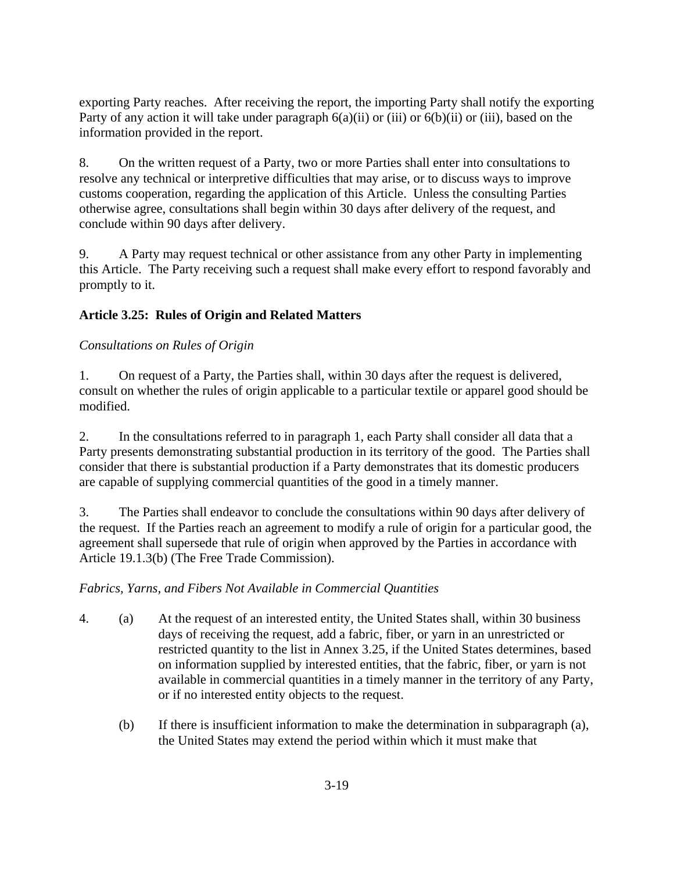exporting Party reaches. After receiving the report, the importing Party shall notify the exporting Party of any action it will take under paragraph  $6(a)(ii)$  or (iii) or  $6(b)(ii)$  or (iii), based on the information provided in the report.

8. On the written request of a Party, two or more Parties shall enter into consultations to resolve any technical or interpretive difficulties that may arise, or to discuss ways to improve customs cooperation, regarding the application of this Article. Unless the consulting Parties otherwise agree, consultations shall begin within 30 days after delivery of the request, and conclude within 90 days after delivery.

9. A Party may request technical or other assistance from any other Party in implementing this Article. The Party receiving such a request shall make every effort to respond favorably and promptly to it.

# **Article 3.25: Rules of Origin and Related Matters**

# *Consultations on Rules of Origin*

1. On request of a Party, the Parties shall, within 30 days after the request is delivered, consult on whether the rules of origin applicable to a particular textile or apparel good should be modified.

2. In the consultations referred to in paragraph 1, each Party shall consider all data that a Party presents demonstrating substantial production in its territory of the good. The Parties shall consider that there is substantial production if a Party demonstrates that its domestic producers are capable of supplying commercial quantities of the good in a timely manner.

3. The Parties shall endeavor to conclude the consultations within 90 days after delivery of the request. If the Parties reach an agreement to modify a rule of origin for a particular good, the agreement shall supersede that rule of origin when approved by the Parties in accordance with Article 19.1.3(b) (The Free Trade Commission).

# *Fabrics, Yarns, and Fibers Not Available in Commercial Quantities*

- 4. (a) At the request of an interested entity, the United States shall, within 30 business days of receiving the request, add a fabric, fiber, or yarn in an unrestricted or restricted quantity to the list in Annex 3.25, if the United States determines, based on information supplied by interested entities, that the fabric, fiber, or yarn is not available in commercial quantities in a timely manner in the territory of any Party, or if no interested entity objects to the request.
	- (b) If there is insufficient information to make the determination in subparagraph (a), the United States may extend the period within which it must make that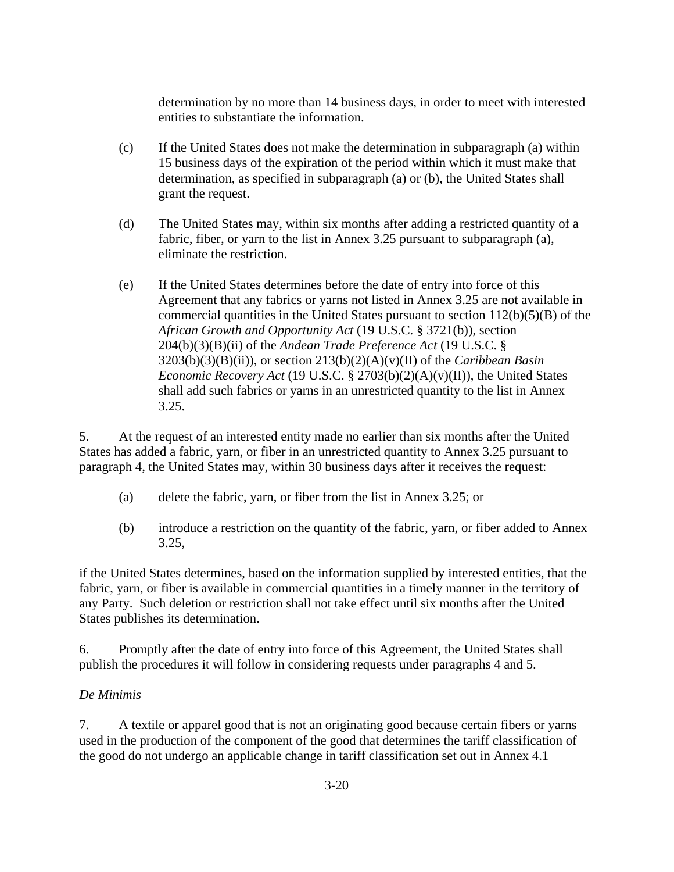determination by no more than 14 business days, in order to meet with interested entities to substantiate the information.

- (c) If the United States does not make the determination in subparagraph (a) within 15 business days of the expiration of the period within which it must make that determination, as specified in subparagraph (a) or (b), the United States shall grant the request.
- (d) The United States may, within six months after adding a restricted quantity of a fabric, fiber, or yarn to the list in Annex 3.25 pursuant to subparagraph (a), eliminate the restriction.
- (e) If the United States determines before the date of entry into force of this Agreement that any fabrics or yarns not listed in Annex 3.25 are not available in commercial quantities in the United States pursuant to section  $112(b)(5)(B)$  of the *African Growth and Opportunity Act* (19 U.S.C. § 3721(b)), section 204(b)(3)(B)(ii) of the *Andean Trade Preference Act* (19 U.S.C. § 3203(b)(3)(B)(ii)), or section 213(b)(2)(A)(v)(II) of the *Caribbean Basin Economic Recovery Act* (19 U.S.C. § 2703(b)(2)(A)(v)(II)), the United States shall add such fabrics or yarns in an unrestricted quantity to the list in Annex 3.25.

5. At the request of an interested entity made no earlier than six months after the United States has added a fabric, yarn, or fiber in an unrestricted quantity to Annex 3.25 pursuant to paragraph 4, the United States may, within 30 business days after it receives the request:

- (a) delete the fabric, yarn, or fiber from the list in Annex 3.25; or
- (b) introduce a restriction on the quantity of the fabric, yarn, or fiber added to Annex 3.25,

if the United States determines, based on the information supplied by interested entities, that the fabric, yarn, or fiber is available in commercial quantities in a timely manner in the territory of any Party. Such deletion or restriction shall not take effect until six months after the United States publishes its determination.

6. Promptly after the date of entry into force of this Agreement, the United States shall publish the procedures it will follow in considering requests under paragraphs 4 and 5.

# *De Minimis*

7. A textile or apparel good that is not an originating good because certain fibers or yarns used in the production of the component of the good that determines the tariff classification of the good do not undergo an applicable change in tariff classification set out in Annex 4.1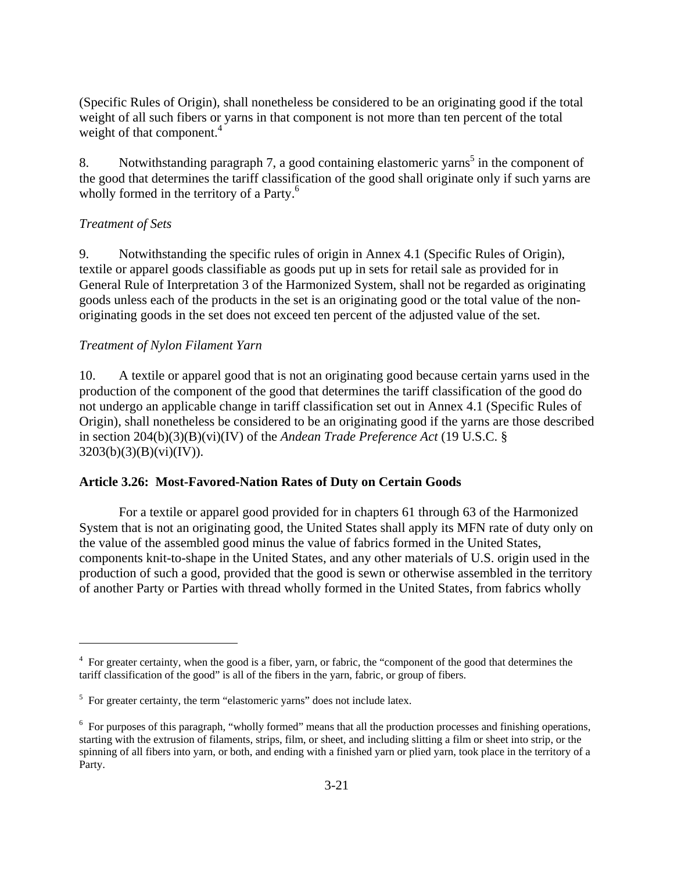(Specific Rules of Origin), shall nonetheless be considered to be an originating good if the total weight of all such fibers or yarns in that component is not more than ten percent of the total weight of that component. $4$ 

8. Notwithstanding paragraph 7, a good containing elastomeric yarns<sup>5</sup> in the component of the good that determines the tariff classification of the good shall originate only if such yarns are wholly formed in the territory of a Party.<sup>6</sup>

### *Treatment of Sets*

 $\overline{a}$ 

9. Notwithstanding the specific rules of origin in Annex 4.1 (Specific Rules of Origin), textile or apparel goods classifiable as goods put up in sets for retail sale as provided for in General Rule of Interpretation 3 of the Harmonized System, shall not be regarded as originating goods unless each of the products in the set is an originating good or the total value of the nonoriginating goods in the set does not exceed ten percent of the adjusted value of the set.

### *Treatment of Nylon Filament Yarn*

10. A textile or apparel good that is not an originating good because certain yarns used in the production of the component of the good that determines the tariff classification of the good do not undergo an applicable change in tariff classification set out in Annex 4.1 (Specific Rules of Origin), shall nonetheless be considered to be an originating good if the yarns are those described in section 204(b)(3)(B)(vi)(IV) of the *Andean Trade Preference Act* (19 U.S.C. §  $3203(b)(3)(B)(vi)(IV)$ .

#### **Article 3.26: Most-Favored-Nation Rates of Duty on Certain Goods**

For a textile or apparel good provided for in chapters 61 through 63 of the Harmonized System that is not an originating good, the United States shall apply its MFN rate of duty only on the value of the assembled good minus the value of fabrics formed in the United States, components knit-to-shape in the United States, and any other materials of U.S. origin used in the production of such a good, provided that the good is sewn or otherwise assembled in the territory of another Party or Parties with thread wholly formed in the United States, from fabrics wholly

<sup>&</sup>lt;sup>4</sup> For greater certainty, when the good is a fiber, yarn, or fabric, the "component of the good that determines the tariff classification of the good" is all of the fibers in the yarn, fabric, or group of fibers.

<sup>&</sup>lt;sup>5</sup> For greater certainty, the term "elastomeric yarns" does not include latex.

<sup>&</sup>lt;sup>6</sup> For purposes of this paragraph, "wholly formed" means that all the production processes and finishing operations, starting with the extrusion of filaments, strips, film, or sheet, and including slitting a film or sheet into strip, or the spinning of all fibers into yarn, or both, and ending with a finished yarn or plied yarn, took place in the territory of a Party.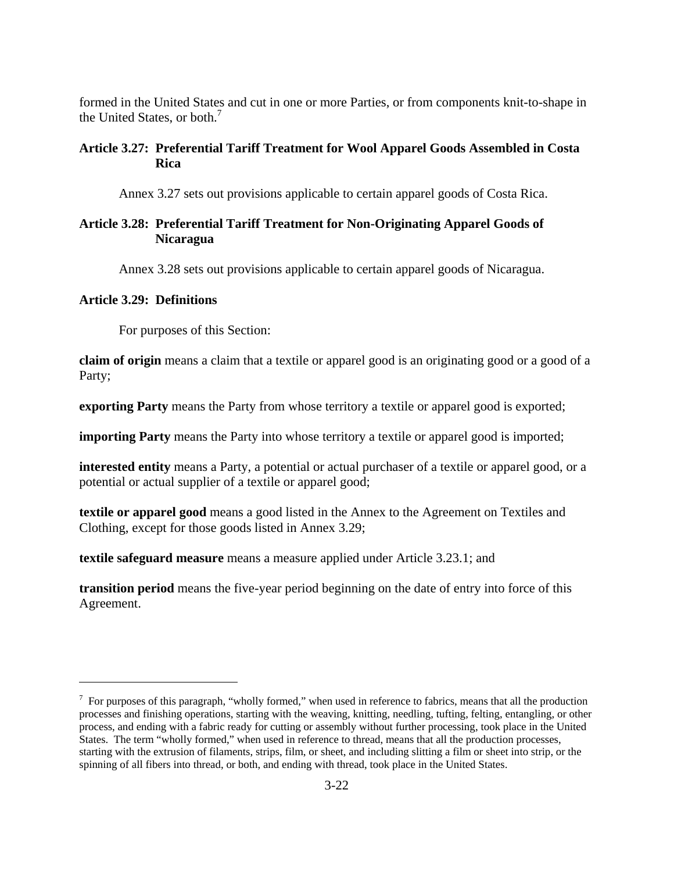formed in the United States and cut in one or more Parties, or from components knit-to-shape in the United States, or both.<sup>7</sup>

#### **Article 3.27: Preferential Tariff Treatment for Wool Apparel Goods Assembled in Costa Rica**

Annex 3.27 sets out provisions applicable to certain apparel goods of Costa Rica.

### **Article 3.28: Preferential Tariff Treatment for Non-Originating Apparel Goods of Nicaragua**

Annex 3.28 sets out provisions applicable to certain apparel goods of Nicaragua.

#### **Article 3.29: Definitions**

 $\overline{a}$ 

For purposes of this Section:

**claim of origin** means a claim that a textile or apparel good is an originating good or a good of a Party;

**exporting Party** means the Party from whose territory a textile or apparel good is exported;

**importing Party** means the Party into whose territory a textile or apparel good is imported;

**interested entity** means a Party, a potential or actual purchaser of a textile or apparel good, or a potential or actual supplier of a textile or apparel good;

**textile or apparel good** means a good listed in the Annex to the Agreement on Textiles and Clothing, except for those goods listed in Annex 3.29;

**textile safeguard measure** means a measure applied under Article 3.23.1; and

**transition period** means the five-year period beginning on the date of entry into force of this Agreement.

 $<sup>7</sup>$  For purposes of this paragraph, "wholly formed," when used in reference to fabrics, means that all the production</sup> processes and finishing operations, starting with the weaving, knitting, needling, tufting, felting, entangling, or other process, and ending with a fabric ready for cutting or assembly without further processing, took place in the United States. The term "wholly formed," when used in reference to thread, means that all the production processes, starting with the extrusion of filaments, strips, film, or sheet, and including slitting a film or sheet into strip, or the spinning of all fibers into thread, or both, and ending with thread, took place in the United States.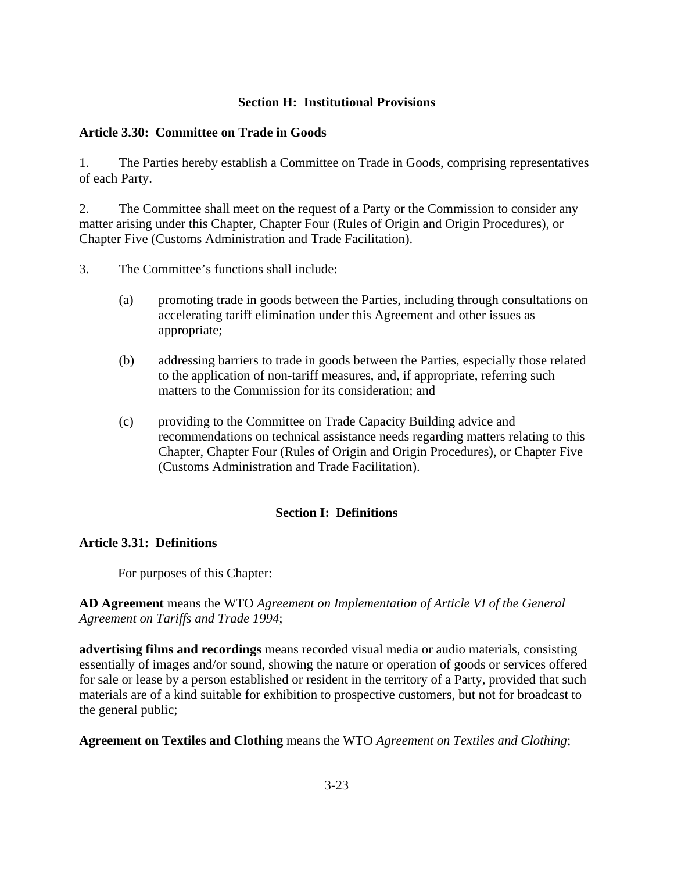### **Section H: Institutional Provisions**

#### **Article 3.30: Committee on Trade in Goods**

1. The Parties hereby establish a Committee on Trade in Goods, comprising representatives of each Party.

2. The Committee shall meet on the request of a Party or the Commission to consider any matter arising under this Chapter, Chapter Four (Rules of Origin and Origin Procedures), or Chapter Five (Customs Administration and Trade Facilitation).

3. The Committee's functions shall include:

- (a) promoting trade in goods between the Parties, including through consultations on accelerating tariff elimination under this Agreement and other issues as appropriate;
- (b) addressing barriers to trade in goods between the Parties, especially those related to the application of non-tariff measures, and, if appropriate, referring such matters to the Commission for its consideration; and
- (c) providing to the Committee on Trade Capacity Building advice and recommendations on technical assistance needs regarding matters relating to this Chapter, Chapter Four (Rules of Origin and Origin Procedures), or Chapter Five (Customs Administration and Trade Facilitation).

# **Section I: Definitions**

#### **Article 3.31: Definitions**

For purposes of this Chapter:

# **AD Agreement** means the WTO *Agreement on Implementation of Article VI of the General Agreement on Tariffs and Trade 1994*;

**advertising films and recordings** means recorded visual media or audio materials, consisting essentially of images and/or sound, showing the nature or operation of goods or services offered for sale or lease by a person established or resident in the territory of a Party, provided that such materials are of a kind suitable for exhibition to prospective customers, but not for broadcast to the general public;

**Agreement on Textiles and Clothing** means the WTO *Agreement on Textiles and Clothing*;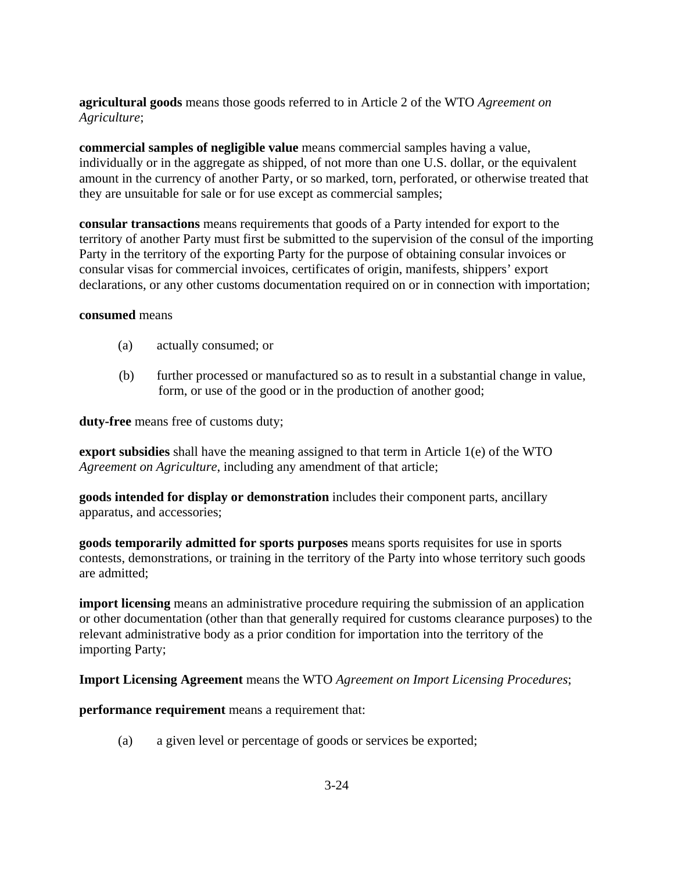# **agricultural goods** means those goods referred to in Article 2 of the WTO *Agreement on Agriculture*;

**commercial samples of negligible value** means commercial samples having a value, individually or in the aggregate as shipped, of not more than one U.S. dollar, or the equivalent amount in the currency of another Party, or so marked, torn, perforated, or otherwise treated that they are unsuitable for sale or for use except as commercial samples;

**consular transactions** means requirements that goods of a Party intended for export to the territory of another Party must first be submitted to the supervision of the consul of the importing Party in the territory of the exporting Party for the purpose of obtaining consular invoices or consular visas for commercial invoices, certificates of origin, manifests, shippers' export declarations, or any other customs documentation required on or in connection with importation;

#### **consumed** means

- (a) actually consumed; or
- (b) further processed or manufactured so as to result in a substantial change in value, form, or use of the good or in the production of another good;

**duty-free** means free of customs duty;

**export subsidies** shall have the meaning assigned to that term in Article 1(e) of the WTO *Agreement on Agriculture*, including any amendment of that article;

**goods intended for display or demonstration** includes their component parts, ancillary apparatus, and accessories;

**goods temporarily admitted for sports purposes** means sports requisites for use in sports contests, demonstrations, or training in the territory of the Party into whose territory such goods are admitted;

**import licensing** means an administrative procedure requiring the submission of an application or other documentation (other than that generally required for customs clearance purposes) to the relevant administrative body as a prior condition for importation into the territory of the importing Party;

**Import Licensing Agreement** means the WTO *Agreement on Import Licensing Procedures*;

**performance requirement** means a requirement that:

(a) a given level or percentage of goods or services be exported;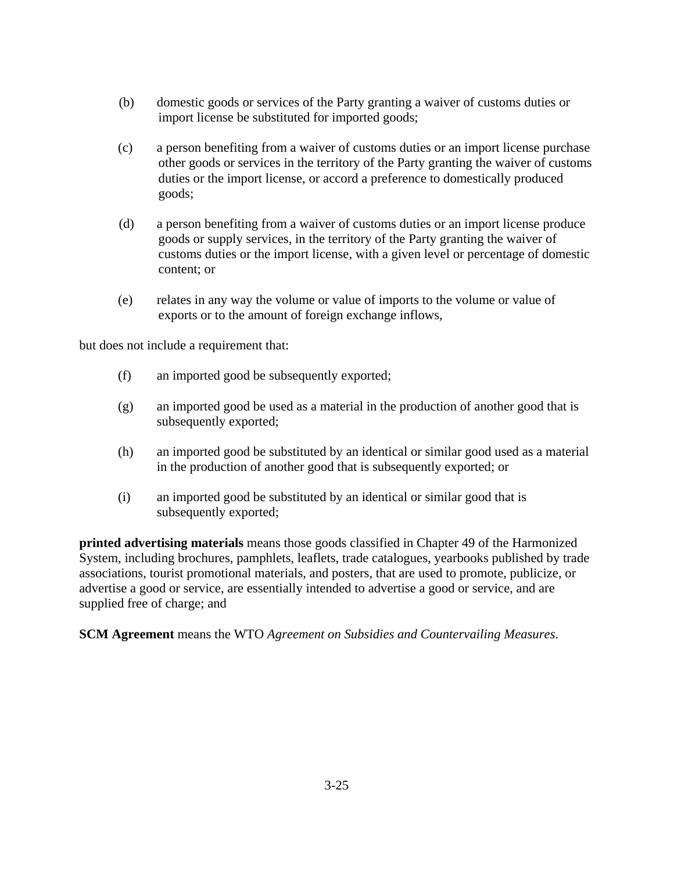- (b) domestic goods or services of the Party granting a waiver of customs duties or import license be substituted for imported goods;
- (c) a person benefiting from a waiver of customs duties or an import license purchase other goods or services in the territory of the Party granting the waiver of customs duties or the import license, or accord a preference to domestically produced goods;
- (d) a person benefiting from a waiver of customs duties or an import license produce goods or supply services, in the territory of the Party granting the waiver of customs duties or the import license, with a given level or percentage of domestic content; or
- (e) relates in any way the volume or value of imports to the volume or value of exports or to the amount of foreign exchange inflows,

but does not include a requirement that:

- (f) an imported good be subsequently exported;
- (g) an imported good be used as a material in the production of another good that is subsequently exported;
- (h) an imported good be substituted by an identical or similar good used as a material in the production of another good that is subsequently exported; or
- (i) an imported good be substituted by an identical or similar good that is subsequently exported;

**printed advertising materials** means those goods classified in Chapter 49 of the Harmonized System, including brochures, pamphlets, leaflets, trade catalogues, yearbooks published by trade associations, tourist promotional materials, and posters, that are used to promote, publicize, or advertise a good or service, are essentially intended to advertise a good or service, and are supplied free of charge; and

**SCM Agreement** means the WTO *Agreement on Subsidies and Countervailing Measures*.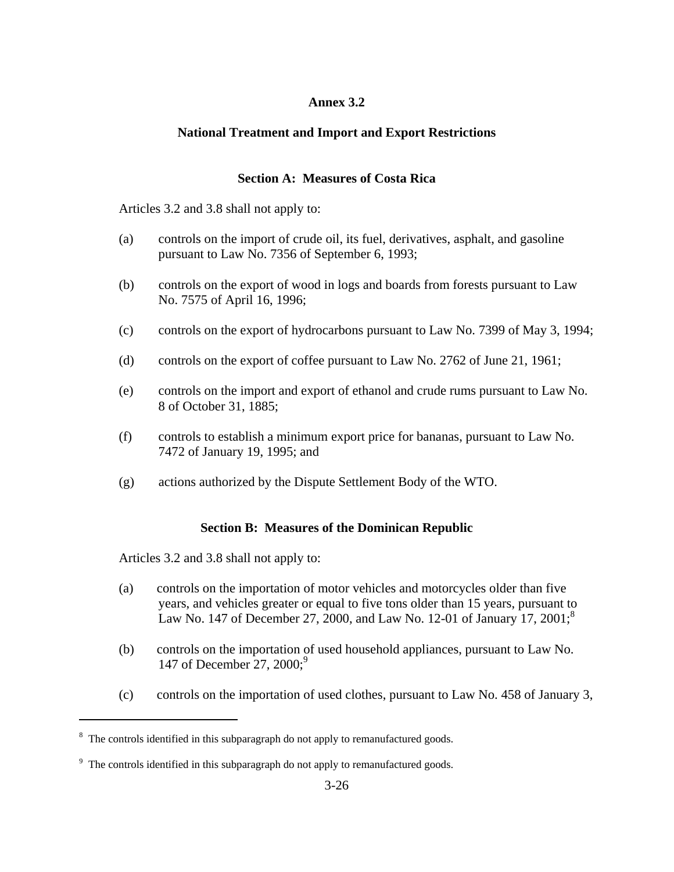### **Annex 3.2**

# **National Treatment and Import and Export Restrictions**

### **Section A: Measures of Costa Rica**

Articles 3.2 and 3.8 shall not apply to:

- (a) controls on the import of crude oil, its fuel, derivatives, asphalt, and gasoline pursuant to Law No. 7356 of September 6, 1993;
- (b) controls on the export of wood in logs and boards from forests pursuant to Law No. 7575 of April 16, 1996;
- (c) controls on the export of hydrocarbons pursuant to Law No. 7399 of May 3, 1994;
- (d) controls on the export of coffee pursuant to Law No. 2762 of June 21, 1961;
- (e) controls on the import and export of ethanol and crude rums pursuant to Law No. 8 of October 31, 1885;
- (f) controls to establish a minimum export price for bananas, pursuant to Law No. 7472 of January 19, 1995; and
- (g) actions authorized by the Dispute Settlement Body of the WTO.

# **Section B: Measures of the Dominican Republic**

Articles 3.2 and 3.8 shall not apply to:

- (a) controls on the importation of motor vehicles and motorcycles older than five years, and vehicles greater or equal to five tons older than 15 years, pursuant to Law No. 147 of December 27, 2000, and Law No. 12-01 of January 17, 2001;<sup>8</sup>
- (b) controls on the importation of used household appliances, pursuant to Law No. 147 of December 27, 2000;<sup>9</sup>
- (c) controls on the importation of used clothes, pursuant to Law No. 458 of January 3,

<sup>&</sup>lt;sup>8</sup> The controls identified in this subparagraph do not apply to remanufactured goods.

<sup>&</sup>lt;sup>9</sup> The controls identified in this subparagraph do not apply to remanufactured goods.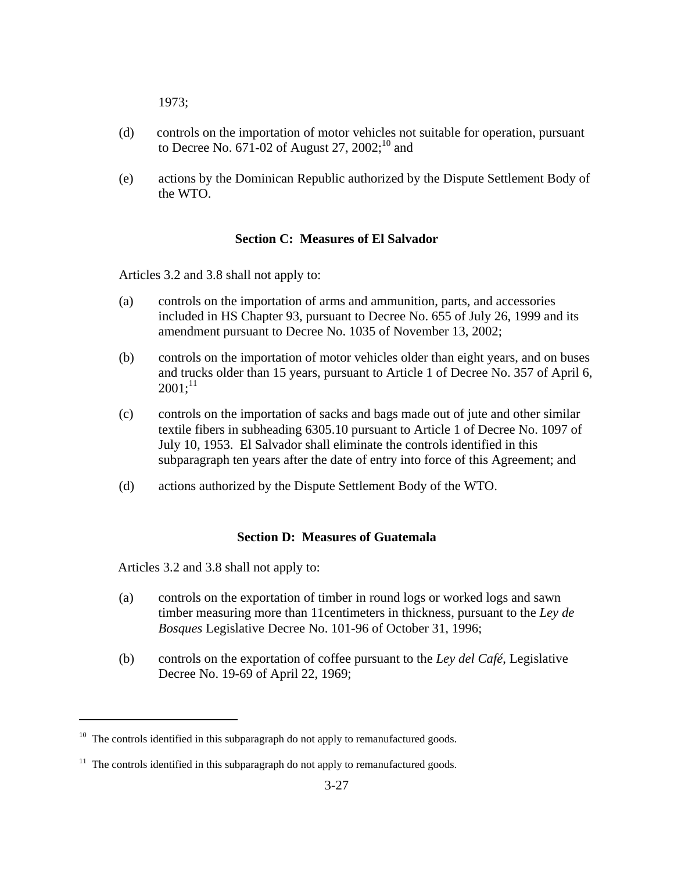1973;

- (d) controls on the importation of motor vehicles not suitable for operation, pursuant to Decree No.  $671-02$  of August 27,  $2002$ ;<sup>10</sup> and
- (e) actions by the Dominican Republic authorized by the Dispute Settlement Body of the WTO.

#### **Section C: Measures of El Salvador**

Articles 3.2 and 3.8 shall not apply to:

- (a) controls on the importation of arms and ammunition, parts, and accessories included in HS Chapter 93, pursuant to Decree No. 655 of July 26, 1999 and its amendment pursuant to Decree No. 1035 of November 13, 2002;
- (b) controls on the importation of motor vehicles older than eight years, and on buses and trucks older than 15 years, pursuant to Article 1 of Decree No. 357 of April 6,  $2001$ ;<sup>11</sup>
- (c) controls on the importation of sacks and bags made out of jute and other similar textile fibers in subheading 6305.10 pursuant to Article 1 of Decree No. 1097 of July 10, 1953. El Salvador shall eliminate the controls identified in this subparagraph ten years after the date of entry into force of this Agreement; and
- (d) actions authorized by the Dispute Settlement Body of the WTO.

#### **Section D: Measures of Guatemala**

Articles 3.2 and 3.8 shall not apply to:

- (a) controls on the exportation of timber in round logs or worked logs and sawn timber measuring more than 11centimeters in thickness, pursuant to the *Ley de Bosques* Legislative Decree No. 101-96 of October 31, 1996;
- (b) controls on the exportation of coffee pursuant to the *Ley del Café*, Legislative Decree No. 19-69 of April 22, 1969;

 $10$  The controls identified in this subparagraph do not apply to remanufactured goods.

 $11$  The controls identified in this subparagraph do not apply to remanufactured goods.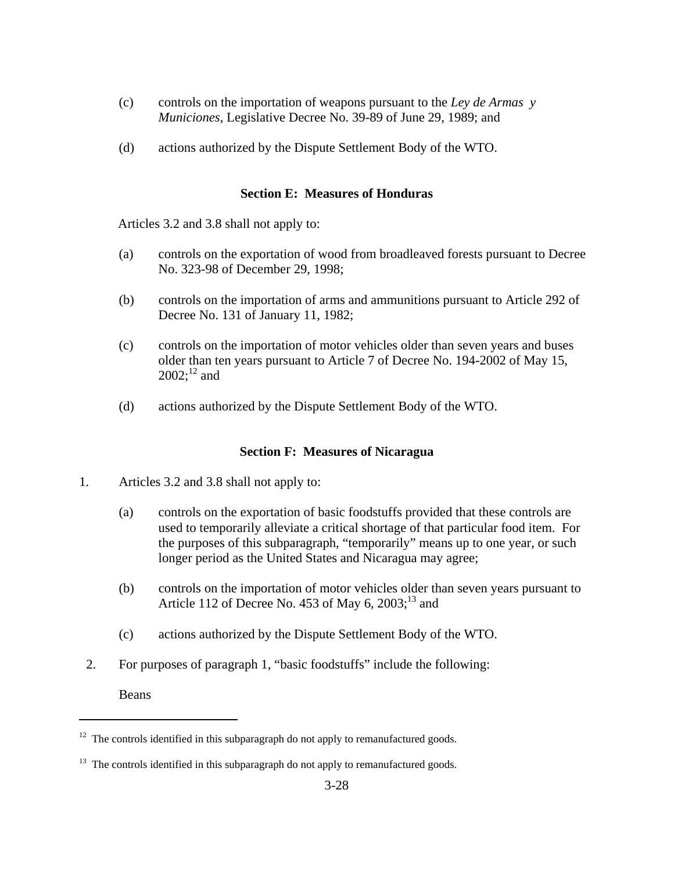- (c) controls on the importation of weapons pursuant to the *Ley de Armas y Municiones*, Legislative Decree No. 39-89 of June 29, 1989; and
- (d) actions authorized by the Dispute Settlement Body of the WTO.

#### **Section E: Measures of Honduras**

Articles 3.2 and 3.8 shall not apply to:

- (a) controls on the exportation of wood from broadleaved forests pursuant to Decree No. 323-98 of December 29, 1998;
- (b) controls on the importation of arms and ammunitions pursuant to Article 292 of Decree No. 131 of January 11, 1982;
- (c) controls on the importation of motor vehicles older than seven years and buses older than ten years pursuant to Article 7 of Decree No. 194-2002 of May 15,  $2002$ ;<sup>12</sup> and
- (d) actions authorized by the Dispute Settlement Body of the WTO.

#### **Section F: Measures of Nicaragua**

- 1. Articles 3.2 and 3.8 shall not apply to:
	- (a) controls on the exportation of basic foodstuffs provided that these controls are used to temporarily alleviate a critical shortage of that particular food item. For the purposes of this subparagraph, "temporarily" means up to one year, or such longer period as the United States and Nicaragua may agree;
	- (b) controls on the importation of motor vehicles older than seven years pursuant to Article 112 of Decree No. 453 of May 6,  $2003$ ;<sup>13</sup> and
	- (c) actions authorized by the Dispute Settlement Body of the WTO.
- 2. For purposes of paragraph 1, "basic foodstuffs" include the following:

Beans

 $12$  The controls identified in this subparagraph do not apply to remanufactured goods.

 $13$  The controls identified in this subparagraph do not apply to remanufactured goods.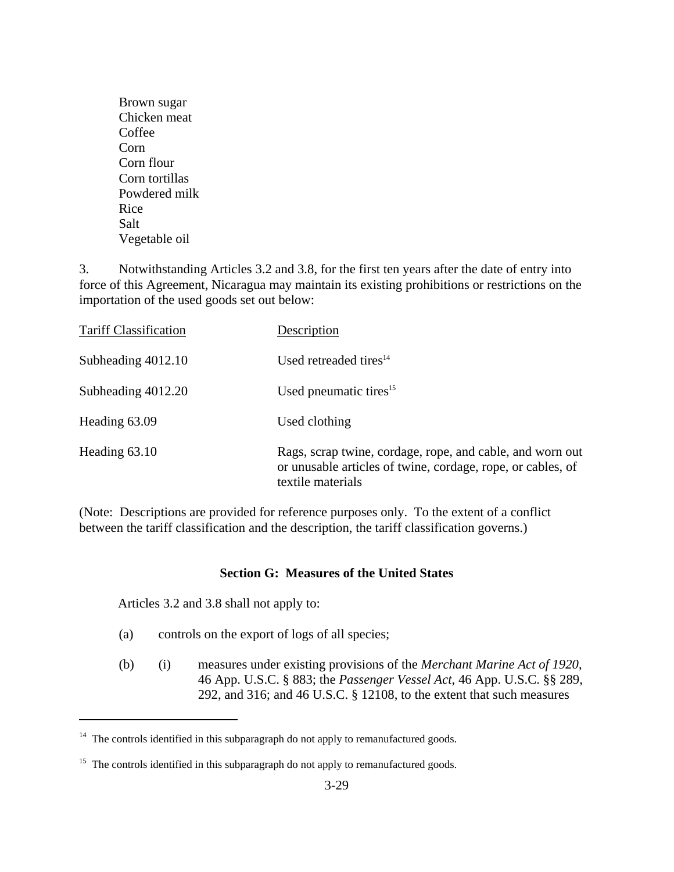Brown sugar Chicken meat Coffee Corn Corn flour Corn tortillas Powdered milk Rice Salt Vegetable oil

3. Notwithstanding Articles 3.2 and 3.8, for the first ten years after the date of entry into force of this Agreement, Nicaragua may maintain its existing prohibitions or restrictions on the importation of the used goods set out below:

| <b>Tariff Classification</b> | Description                                                                                                                                   |
|------------------------------|-----------------------------------------------------------------------------------------------------------------------------------------------|
| Subheading 4012.10           | Used retreaded tires $14$                                                                                                                     |
| Subheading 4012.20           | Used pneumatic tires $15$                                                                                                                     |
| Heading 63.09                | Used clothing                                                                                                                                 |
| Heading 63.10                | Rags, scrap twine, cordage, rope, and cable, and worn out<br>or unusable articles of twine, cordage, rope, or cables, of<br>textile materials |

(Note: Descriptions are provided for reference purposes only. To the extent of a conflict between the tariff classification and the description, the tariff classification governs.)

#### **Section G: Measures of the United States**

Articles 3.2 and 3.8 shall not apply to:

- (a) controls on the export of logs of all species;
- (b) (i) measures under existing provisions of the *Merchant Marine Act of 1920*, 46 App. U.S.C. § 883; the *Passenger Vessel Act*, 46 App. U.S.C. §§ 289, 292, and 316; and 46 U.S.C. § 12108, to the extent that such measures

<sup>&</sup>lt;sup>14</sup> The controls identified in this subparagraph do not apply to remanufactured goods.

 $15$  The controls identified in this subparagraph do not apply to remanufactured goods.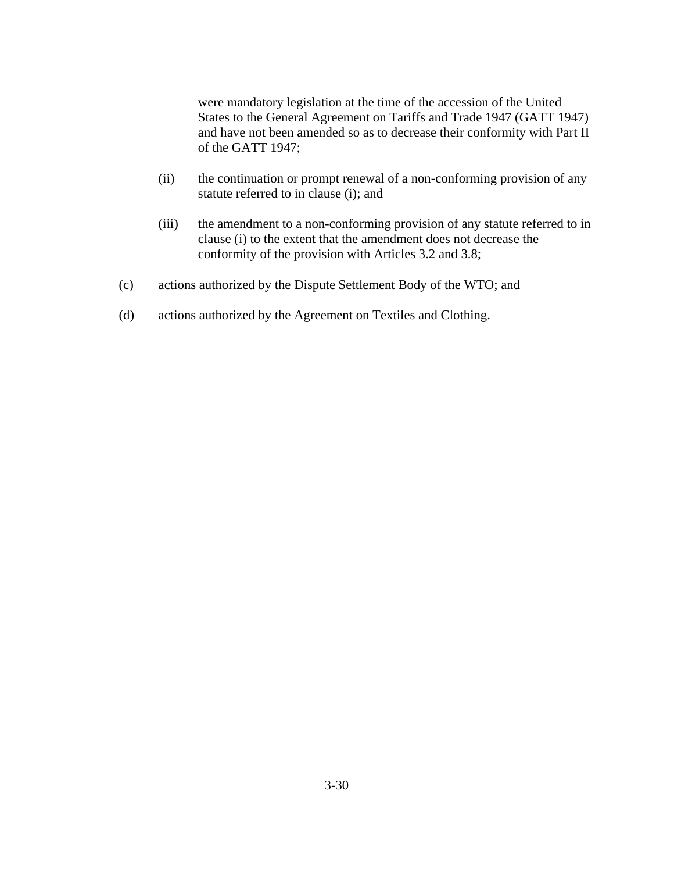were mandatory legislation at the time of the accession of the United States to the General Agreement on Tariffs and Trade 1947 (GATT 1947) and have not been amended so as to decrease their conformity with Part II of the GATT 1947;

- (ii) the continuation or prompt renewal of a non-conforming provision of any statute referred to in clause (i); and
- (iii) the amendment to a non-conforming provision of any statute referred to in clause (i) to the extent that the amendment does not decrease the conformity of the provision with Articles 3.2 and 3.8;
- (c) actions authorized by the Dispute Settlement Body of the WTO; and
- (d) actions authorized by the Agreement on Textiles and Clothing.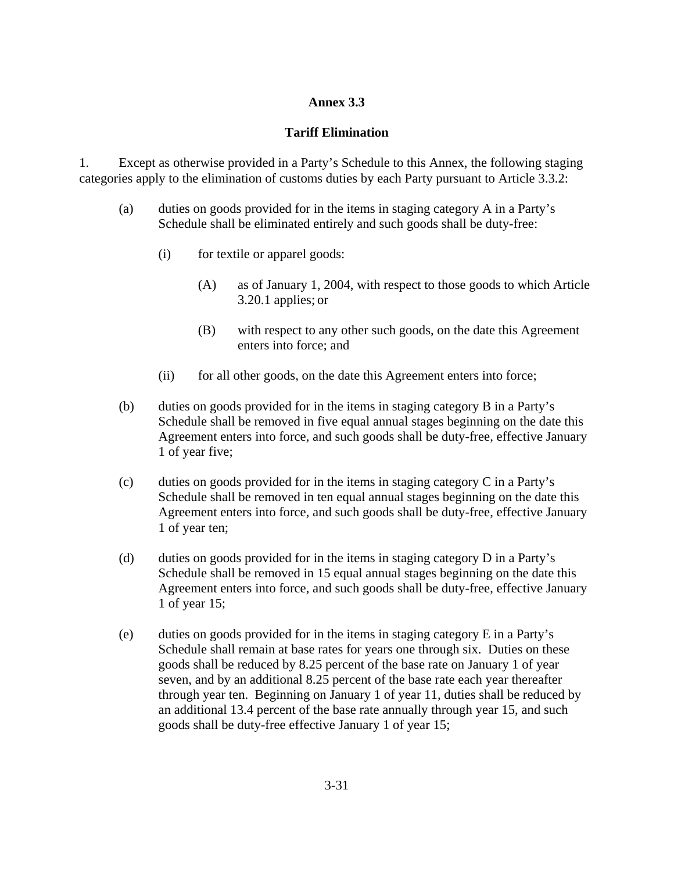### **Annex 3.3**

### **Tariff Elimination**

1. Except as otherwise provided in a Party's Schedule to this Annex, the following staging categories apply to the elimination of customs duties by each Party pursuant to Article 3.3.2:

- (a) duties on goods provided for in the items in staging category A in a Party's Schedule shall be eliminated entirely and such goods shall be duty-free:
	- (i) for textile or apparel goods:
		- (A) as of January 1, 2004, with respect to those goods to which Article 3.20.1 applies; or
		- (B) with respect to any other such goods, on the date this Agreement enters into force; and
	- (ii) for all other goods, on the date this Agreement enters into force;
- (b) duties on goods provided for in the items in staging category B in a Party's Schedule shall be removed in five equal annual stages beginning on the date this Agreement enters into force, and such goods shall be duty-free, effective January 1 of year five;
- (c) duties on goods provided for in the items in staging category C in a Party's Schedule shall be removed in ten equal annual stages beginning on the date this Agreement enters into force, and such goods shall be duty-free, effective January 1 of year ten;
- (d) duties on goods provided for in the items in staging category D in a Party's Schedule shall be removed in 15 equal annual stages beginning on the date this Agreement enters into force, and such goods shall be duty-free, effective January 1 of year 15;
- (e) duties on goods provided for in the items in staging category E in a Party's Schedule shall remain at base rates for years one through six. Duties on these goods shall be reduced by 8.25 percent of the base rate on January 1 of year seven, and by an additional 8.25 percent of the base rate each year thereafter through year ten. Beginning on January 1 of year 11, duties shall be reduced by an additional 13.4 percent of the base rate annually through year 15, and such goods shall be duty-free effective January 1 of year 15;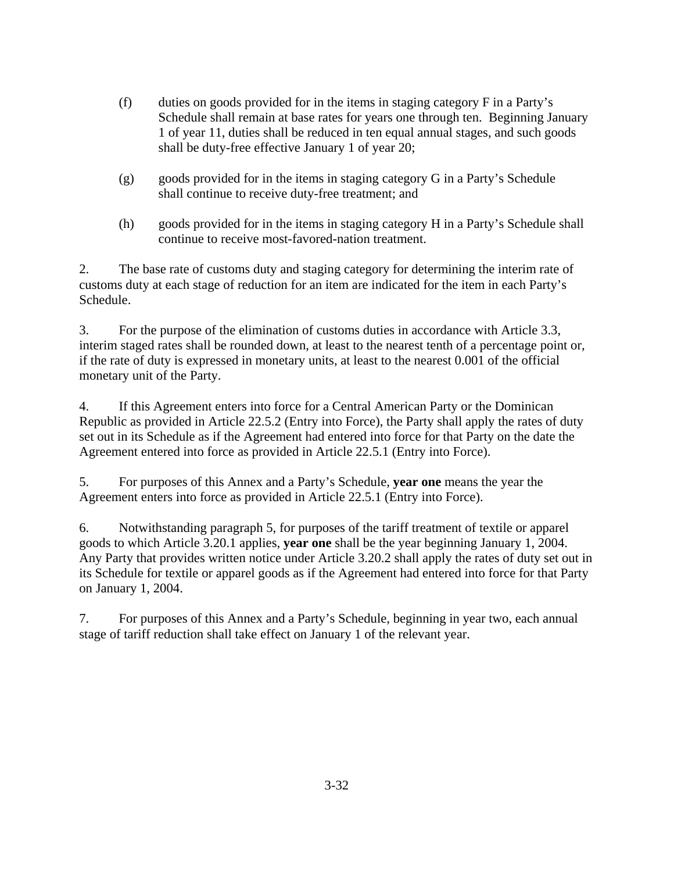- (f) duties on goods provided for in the items in staging category F in a Party's Schedule shall remain at base rates for years one through ten. Beginning January 1 of year 11, duties shall be reduced in ten equal annual stages, and such goods shall be duty-free effective January 1 of year 20;
- (g) goods provided for in the items in staging category G in a Party's Schedule shall continue to receive duty-free treatment; and
- (h) goods provided for in the items in staging category H in a Party's Schedule shall continue to receive most-favored-nation treatment.

2. The base rate of customs duty and staging category for determining the interim rate of customs duty at each stage of reduction for an item are indicated for the item in each Party's Schedule.

3. For the purpose of the elimination of customs duties in accordance with Article 3.3, interim staged rates shall be rounded down, at least to the nearest tenth of a percentage point or, if the rate of duty is expressed in monetary units, at least to the nearest 0.001 of the official monetary unit of the Party.

4. If this Agreement enters into force for a Central American Party or the Dominican Republic as provided in Article 22.5.2 (Entry into Force), the Party shall apply the rates of duty set out in its Schedule as if the Agreement had entered into force for that Party on the date the Agreement entered into force as provided in Article 22.5.1 (Entry into Force).

5. For purposes of this Annex and a Party's Schedule, **year one** means the year the Agreement enters into force as provided in Article 22.5.1 (Entry into Force).

6. Notwithstanding paragraph 5, for purposes of the tariff treatment of textile or apparel goods to which Article 3.20.1 applies, **year one** shall be the year beginning January 1, 2004. Any Party that provides written notice under Article 3.20.2 shall apply the rates of duty set out in its Schedule for textile or apparel goods as if the Agreement had entered into force for that Party on January 1, 2004.

7. For purposes of this Annex and a Party's Schedule, beginning in year two, each annual stage of tariff reduction shall take effect on January 1 of the relevant year.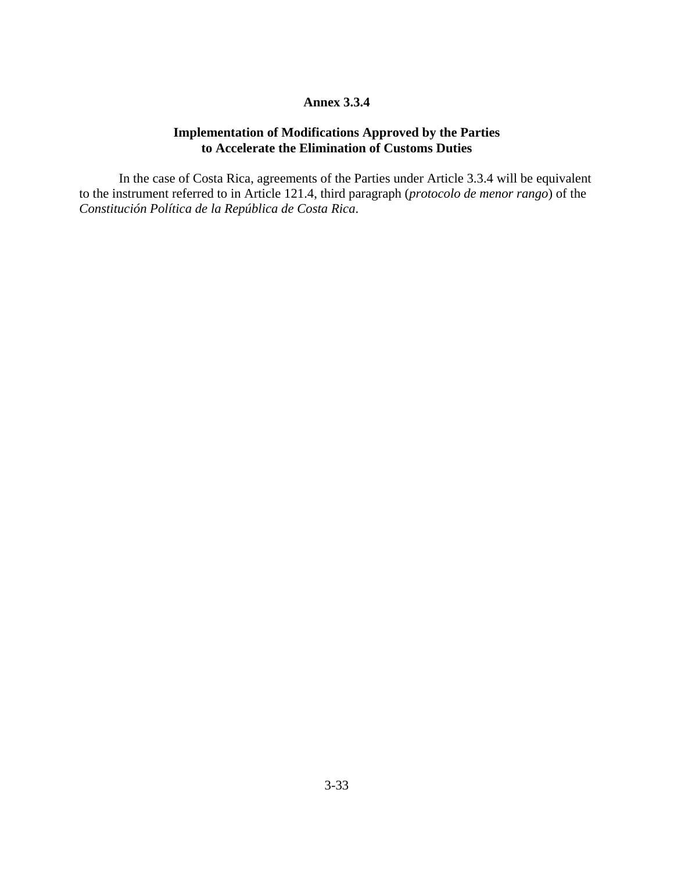#### **Annex 3.3.4**

### **Implementation of Modifications Approved by the Parties to Accelerate the Elimination of Customs Duties**

 In the case of Costa Rica, agreements of the Parties under Article 3.3.4 will be equivalent to the instrument referred to in Article 121.4, third paragraph (*protocolo de menor rango*) of the *Constitución Política de la República de Costa Rica*.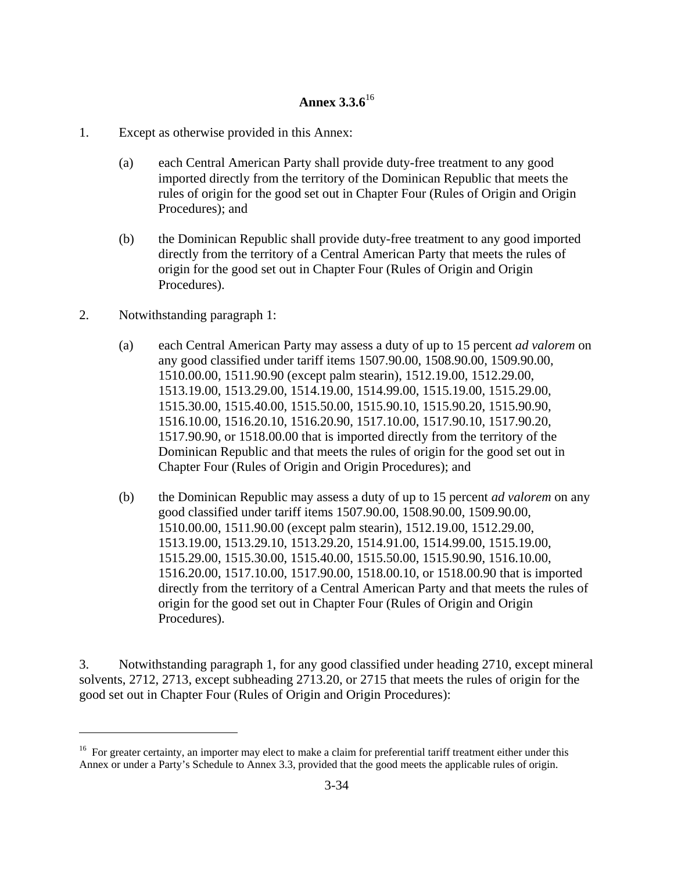# **Annex 3.3.6**<sup>16</sup>

- 1. Except as otherwise provided in this Annex:
	- (a) each Central American Party shall provide duty-free treatment to any good imported directly from the territory of the Dominican Republic that meets the rules of origin for the good set out in Chapter Four (Rules of Origin and Origin Procedures); and
	- (b) the Dominican Republic shall provide duty-free treatment to any good imported directly from the territory of a Central American Party that meets the rules of origin for the good set out in Chapter Four (Rules of Origin and Origin Procedures).
- 2. Notwithstanding paragraph 1:

 $\overline{a}$ 

- (a) each Central American Party may assess a duty of up to 15 percent *ad valorem* on any good classified under tariff items 1507.90.00, 1508.90.00, 1509.90.00, 1510.00.00, 1511.90.90 (except palm stearin), 1512.19.00, 1512.29.00, 1513.19.00, 1513.29.00, 1514.19.00, 1514.99.00, 1515.19.00, 1515.29.00, 1515.30.00, 1515.40.00, 1515.50.00, 1515.90.10, 1515.90.20, 1515.90.90, 1516.10.00, 1516.20.10, 1516.20.90, 1517.10.00, 1517.90.10, 1517.90.20, 1517.90.90, or 1518.00.00 that is imported directly from the territory of the Dominican Republic and that meets the rules of origin for the good set out in Chapter Four (Rules of Origin and Origin Procedures); and
- (b) the Dominican Republic may assess a duty of up to 15 percent *ad valorem* on any good classified under tariff items 1507.90.00, 1508.90.00, 1509.90.00, 1510.00.00, 1511.90.00 (except palm stearin), 1512.19.00, 1512.29.00, 1513.19.00, 1513.29.10, 1513.29.20, 1514.91.00, 1514.99.00, 1515.19.00, 1515.29.00, 1515.30.00, 1515.40.00, 1515.50.00, 1515.90.90, 1516.10.00, 1516.20.00, 1517.10.00, 1517.90.00, 1518.00.10, or 1518.00.90 that is imported directly from the territory of a Central American Party and that meets the rules of origin for the good set out in Chapter Four (Rules of Origin and Origin Procedures).

3. Notwithstanding paragraph 1, for any good classified under heading 2710, except mineral solvents, 2712, 2713, except subheading 2713.20, or 2715 that meets the rules of origin for the good set out in Chapter Four (Rules of Origin and Origin Procedures):

<sup>&</sup>lt;sup>16</sup> For greater certainty, an importer may elect to make a claim for preferential tariff treatment either under this Annex or under a Party's Schedule to Annex 3.3, provided that the good meets the applicable rules of origin.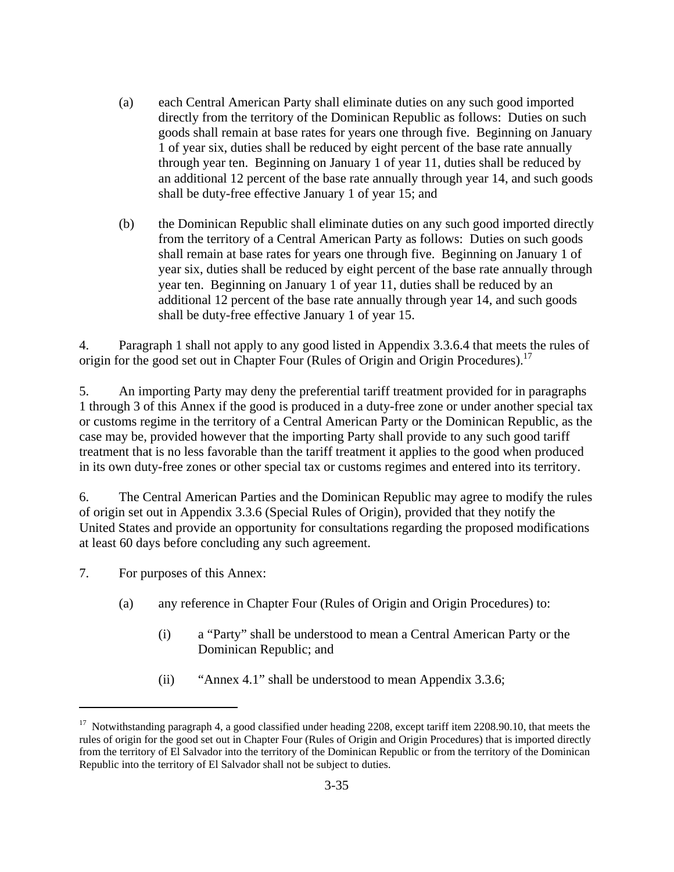- (a) each Central American Party shall eliminate duties on any such good imported directly from the territory of the Dominican Republic as follows: Duties on such goods shall remain at base rates for years one through five. Beginning on January 1 of year six, duties shall be reduced by eight percent of the base rate annually through year ten. Beginning on January 1 of year 11, duties shall be reduced by an additional 12 percent of the base rate annually through year 14, and such goods shall be duty-free effective January 1 of year 15; and
- (b) the Dominican Republic shall eliminate duties on any such good imported directly from the territory of a Central American Party as follows: Duties on such goods shall remain at base rates for years one through five. Beginning on January 1 of year six, duties shall be reduced by eight percent of the base rate annually through year ten. Beginning on January 1 of year 11, duties shall be reduced by an additional 12 percent of the base rate annually through year 14, and such goods shall be duty-free effective January 1 of year 15.

4. Paragraph 1 shall not apply to any good listed in Appendix 3.3.6.4 that meets the rules of origin for the good set out in Chapter Four (Rules of Origin and Origin Procedures).<sup>17</sup>

5. An importing Party may deny the preferential tariff treatment provided for in paragraphs 1 through 3 of this Annex if the good is produced in a duty-free zone or under another special tax or customs regime in the territory of a Central American Party or the Dominican Republic, as the case may be, provided however that the importing Party shall provide to any such good tariff treatment that is no less favorable than the tariff treatment it applies to the good when produced in its own duty-free zones or other special tax or customs regimes and entered into its territory.

6. The Central American Parties and the Dominican Republic may agree to modify the rules of origin set out in Appendix 3.3.6 (Special Rules of Origin), provided that they notify the United States and provide an opportunity for consultations regarding the proposed modifications at least 60 days before concluding any such agreement.

7. For purposes of this Annex:

- (a) any reference in Chapter Four (Rules of Origin and Origin Procedures) to:
	- (i) a "Party" shall be understood to mean a Central American Party or the Dominican Republic; and
	- (ii) "Annex 4.1" shall be understood to mean Appendix 3.3.6;

<sup>&</sup>lt;sup>17</sup> Notwithstanding paragraph 4, a good classified under heading 2208, except tariff item 2208.90.10, that meets the rules of origin for the good set out in Chapter Four (Rules of Origin and Origin Procedures) that is imported directly from the territory of El Salvador into the territory of the Dominican Republic or from the territory of the Dominican Republic into the territory of El Salvador shall not be subject to duties.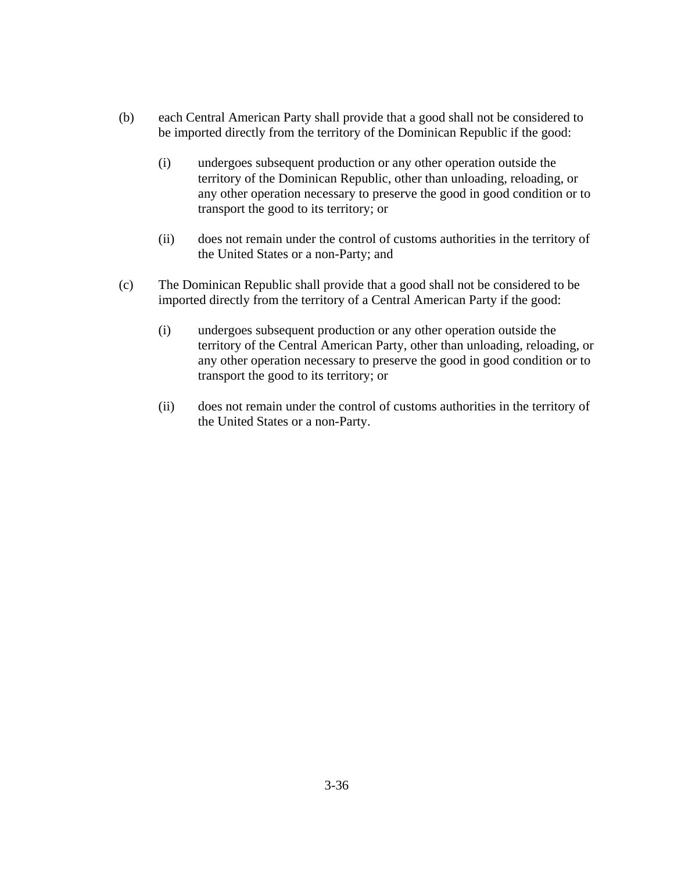- (b) each Central American Party shall provide that a good shall not be considered to be imported directly from the territory of the Dominican Republic if the good:
	- (i) undergoes subsequent production or any other operation outside the territory of the Dominican Republic, other than unloading, reloading, or any other operation necessary to preserve the good in good condition or to transport the good to its territory; or
	- (ii) does not remain under the control of customs authorities in the territory of the United States or a non-Party; and
- (c) The Dominican Republic shall provide that a good shall not be considered to be imported directly from the territory of a Central American Party if the good:
	- (i) undergoes subsequent production or any other operation outside the territory of the Central American Party, other than unloading, reloading, or any other operation necessary to preserve the good in good condition or to transport the good to its territory; or
	- (ii) does not remain under the control of customs authorities in the territory of the United States or a non-Party.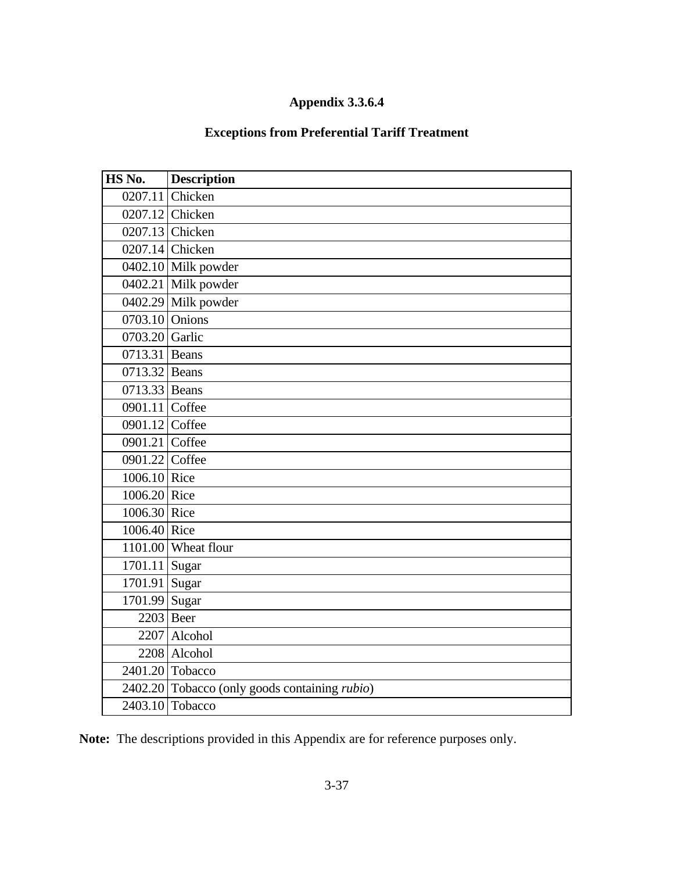# **Appendix 3.3.6.4**

## **Exceptions from Preferential Tariff Treatment**

| HS No.         | <b>Description</b>                                    |
|----------------|-------------------------------------------------------|
|                | 0207.11 Chicken                                       |
|                | 0207.12 Chicken                                       |
|                | 0207.13 Chicken                                       |
|                | 0207.14 Chicken                                       |
|                | 0402.10 Milk powder                                   |
|                | 0402.21 Milk powder                                   |
|                | 0402.29 Milk powder                                   |
| 0703.10 Onions |                                                       |
| 0703.20 Garlic |                                                       |
| 0713.31 Beans  |                                                       |
| 0713.32 Beans  |                                                       |
| 0713.33 Beans  |                                                       |
| 0901.11 Coffee |                                                       |
| 0901.12 Coffee |                                                       |
| 0901.21 Coffee |                                                       |
| 0901.22 Coffee |                                                       |
| 1006.10 Rice   |                                                       |
| 1006.20 Rice   |                                                       |
| 1006.30 Rice   |                                                       |
| 1006.40 Rice   |                                                       |
|                | 1101.00 Wheat flour                                   |
| 1701.11 Sugar  |                                                       |
| 1701.91 Sugar  |                                                       |
| 1701.99 Sugar  |                                                       |
|                | $2203$ Beer                                           |
|                | 2207 Alcohol                                          |
|                | 2208 Alcohol                                          |
|                | 2401.20 Tobacco                                       |
|                | 2402.20 Tobacco (only goods containing <i>rubio</i> ) |
|                | $2403.10$ Tobacco                                     |

**Note:** The descriptions provided in this Appendix are for reference purposes only.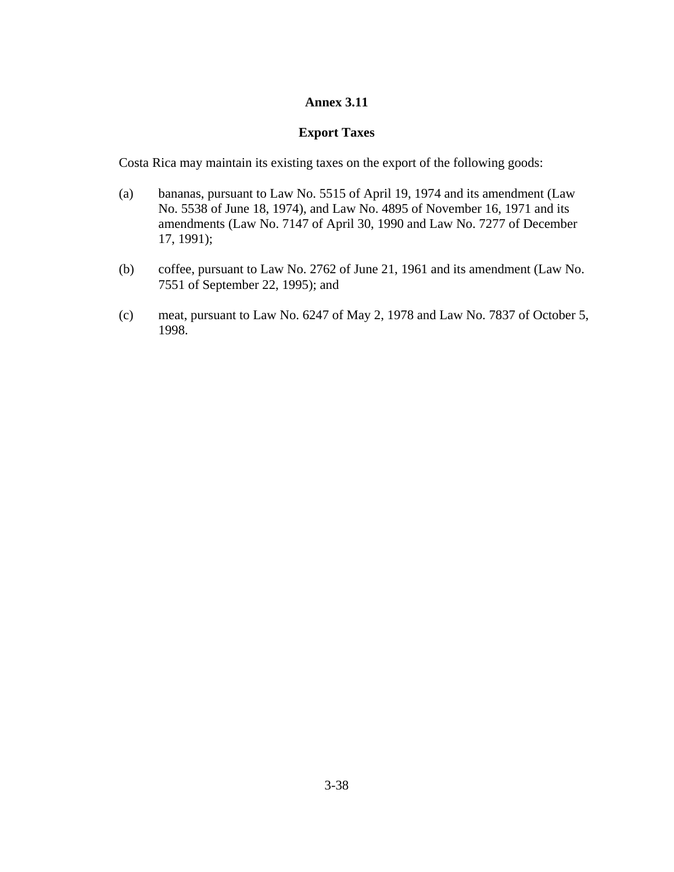### **Annex 3.11**

#### **Export Taxes**

Costa Rica may maintain its existing taxes on the export of the following goods:

- (a) bananas, pursuant to Law No. 5515 of April 19, 1974 and its amendment (Law No. 5538 of June 18, 1974), and Law No. 4895 of November 16, 1971 and its amendments (Law No. 7147 of April 30, 1990 and Law No. 7277 of December 17, 1991);
- (b) coffee, pursuant to Law No. 2762 of June 21, 1961 and its amendment (Law No. 7551 of September 22, 1995); and
- (c) meat, pursuant to Law No. 6247 of May 2, 1978 and Law No. 7837 of October 5, 1998.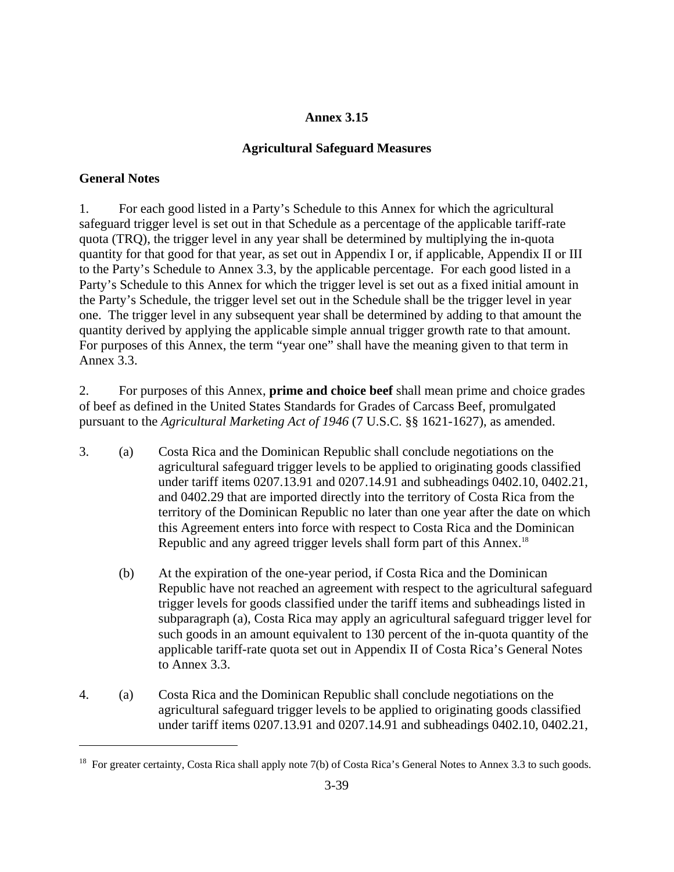## **Annex 3.15**

### **Agricultural Safeguard Measures**

### **General Notes**

 $\overline{a}$ 

1. For each good listed in a Party's Schedule to this Annex for which the agricultural safeguard trigger level is set out in that Schedule as a percentage of the applicable tariff-rate quota (TRQ), the trigger level in any year shall be determined by multiplying the in-quota quantity for that good for that year, as set out in Appendix I or, if applicable, Appendix II or III to the Party's Schedule to Annex 3.3, by the applicable percentage. For each good listed in a Party's Schedule to this Annex for which the trigger level is set out as a fixed initial amount in the Party's Schedule, the trigger level set out in the Schedule shall be the trigger level in year one. The trigger level in any subsequent year shall be determined by adding to that amount the quantity derived by applying the applicable simple annual trigger growth rate to that amount. For purposes of this Annex, the term "year one" shall have the meaning given to that term in Annex 3.3.

2. For purposes of this Annex, **prime and choice beef** shall mean prime and choice grades of beef as defined in the United States Standards for Grades of Carcass Beef, promulgated pursuant to the *Agricultural Marketing Act of 1946* (7 U.S.C. §§ 1621-1627), as amended.

- 3. (a) Costa Rica and the Dominican Republic shall conclude negotiations on the agricultural safeguard trigger levels to be applied to originating goods classified under tariff items 0207.13.91 and 0207.14.91 and subheadings 0402.10, 0402.21, and 0402.29 that are imported directly into the territory of Costa Rica from the territory of the Dominican Republic no later than one year after the date on which this Agreement enters into force with respect to Costa Rica and the Dominican Republic and any agreed trigger levels shall form part of this Annex.<sup>18</sup>
	- (b) At the expiration of the one-year period, if Costa Rica and the Dominican Republic have not reached an agreement with respect to the agricultural safeguard trigger levels for goods classified under the tariff items and subheadings listed in subparagraph (a), Costa Rica may apply an agricultural safeguard trigger level for such goods in an amount equivalent to 130 percent of the in-quota quantity of the applicable tariff-rate quota set out in Appendix II of Costa Rica's General Notes to Annex 3.3.
- 4. (a) Costa Rica and the Dominican Republic shall conclude negotiations on the agricultural safeguard trigger levels to be applied to originating goods classified under tariff items 0207.13.91 and 0207.14.91 and subheadings 0402.10, 0402.21,

<sup>&</sup>lt;sup>18</sup> For greater certainty, Costa Rica shall apply note 7(b) of Costa Rica's General Notes to Annex 3.3 to such goods.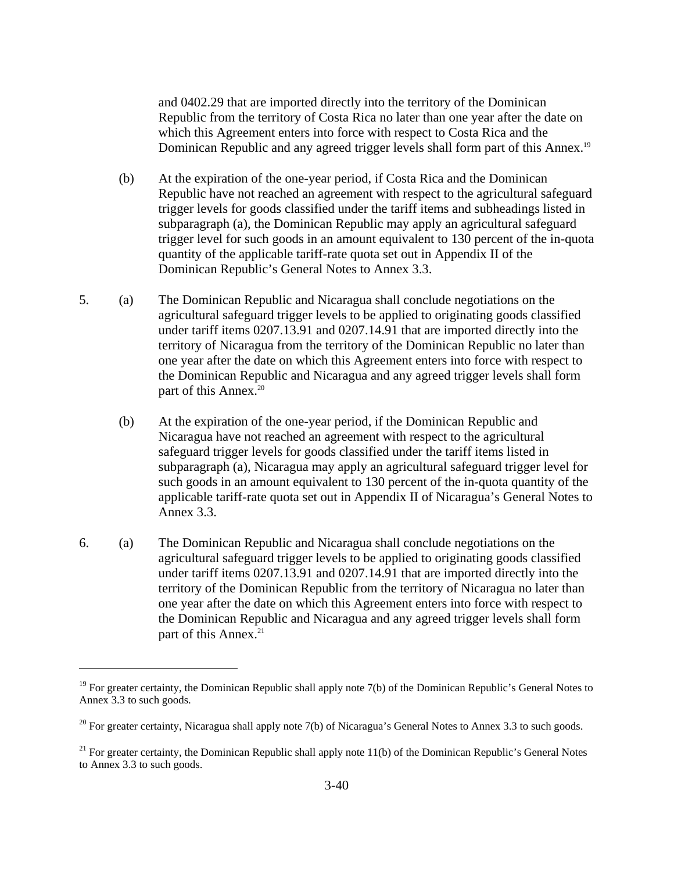and 0402.29 that are imported directly into the territory of the Dominican Republic from the territory of Costa Rica no later than one year after the date on which this Agreement enters into force with respect to Costa Rica and the Dominican Republic and any agreed trigger levels shall form part of this Annex.<sup>19</sup>

- (b) At the expiration of the one-year period, if Costa Rica and the Dominican Republic have not reached an agreement with respect to the agricultural safeguard trigger levels for goods classified under the tariff items and subheadings listed in subparagraph (a), the Dominican Republic may apply an agricultural safeguard trigger level for such goods in an amount equivalent to 130 percent of the in-quota quantity of the applicable tariff-rate quota set out in Appendix II of the Dominican Republic's General Notes to Annex 3.3.
- 5. (a) The Dominican Republic and Nicaragua shall conclude negotiations on the agricultural safeguard trigger levels to be applied to originating goods classified under tariff items 0207.13.91 and 0207.14.91 that are imported directly into the territory of Nicaragua from the territory of the Dominican Republic no later than one year after the date on which this Agreement enters into force with respect to the Dominican Republic and Nicaragua and any agreed trigger levels shall form part of this Annex.<sup>20</sup>
	- (b) At the expiration of the one-year period, if the Dominican Republic and Nicaragua have not reached an agreement with respect to the agricultural safeguard trigger levels for goods classified under the tariff items listed in subparagraph (a), Nicaragua may apply an agricultural safeguard trigger level for such goods in an amount equivalent to 130 percent of the in-quota quantity of the applicable tariff-rate quota set out in Appendix II of Nicaragua's General Notes to Annex 3.3.
- 6. (a) The Dominican Republic and Nicaragua shall conclude negotiations on the agricultural safeguard trigger levels to be applied to originating goods classified under tariff items 0207.13.91 and 0207.14.91 that are imported directly into the territory of the Dominican Republic from the territory of Nicaragua no later than one year after the date on which this Agreement enters into force with respect to the Dominican Republic and Nicaragua and any agreed trigger levels shall form part of this Annex.<sup>21</sup>

1

<sup>&</sup>lt;sup>19</sup> For greater certainty, the Dominican Republic shall apply note  $7(b)$  of the Dominican Republic's General Notes to Annex 3.3 to such goods.

<sup>&</sup>lt;sup>20</sup> For greater certainty, Nicaragua shall apply note 7(b) of Nicaragua's General Notes to Annex 3.3 to such goods.

<sup>&</sup>lt;sup>21</sup> For greater certainty, the Dominican Republic shall apply note 11(b) of the Dominican Republic's General Notes to Annex 3.3 to such goods.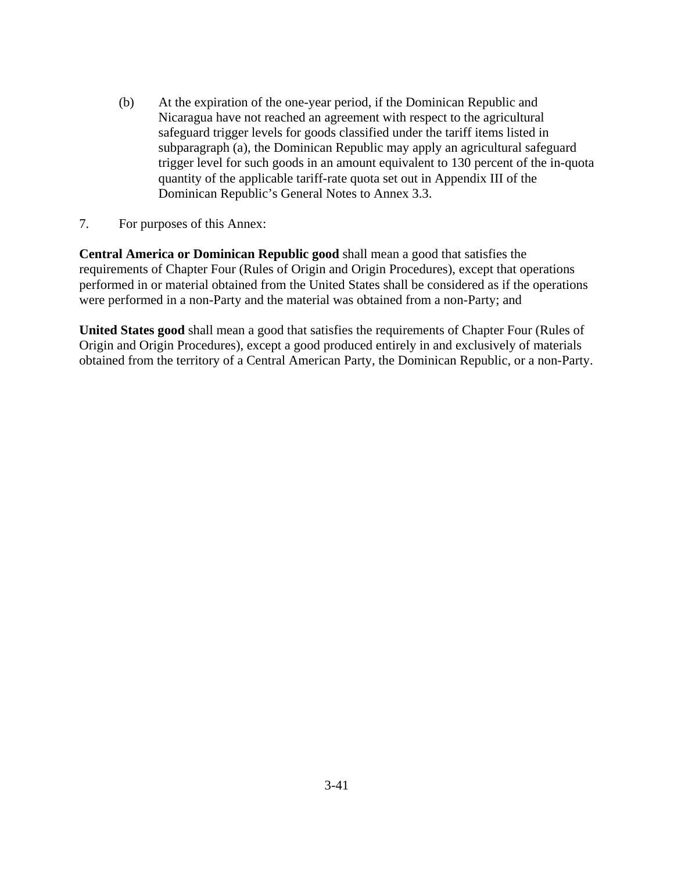- (b) At the expiration of the one-year period, if the Dominican Republic and Nicaragua have not reached an agreement with respect to the agricultural safeguard trigger levels for goods classified under the tariff items listed in subparagraph (a), the Dominican Republic may apply an agricultural safeguard trigger level for such goods in an amount equivalent to 130 percent of the in-quota quantity of the applicable tariff-rate quota set out in Appendix III of the Dominican Republic's General Notes to Annex 3.3.
- 7. For purposes of this Annex:

**Central America or Dominican Republic good** shall mean a good that satisfies the requirements of Chapter Four (Rules of Origin and Origin Procedures), except that operations performed in or material obtained from the United States shall be considered as if the operations were performed in a non-Party and the material was obtained from a non-Party; and

**United States good** shall mean a good that satisfies the requirements of Chapter Four (Rules of Origin and Origin Procedures), except a good produced entirely in and exclusively of materials obtained from the territory of a Central American Party, the Dominican Republic, or a non-Party.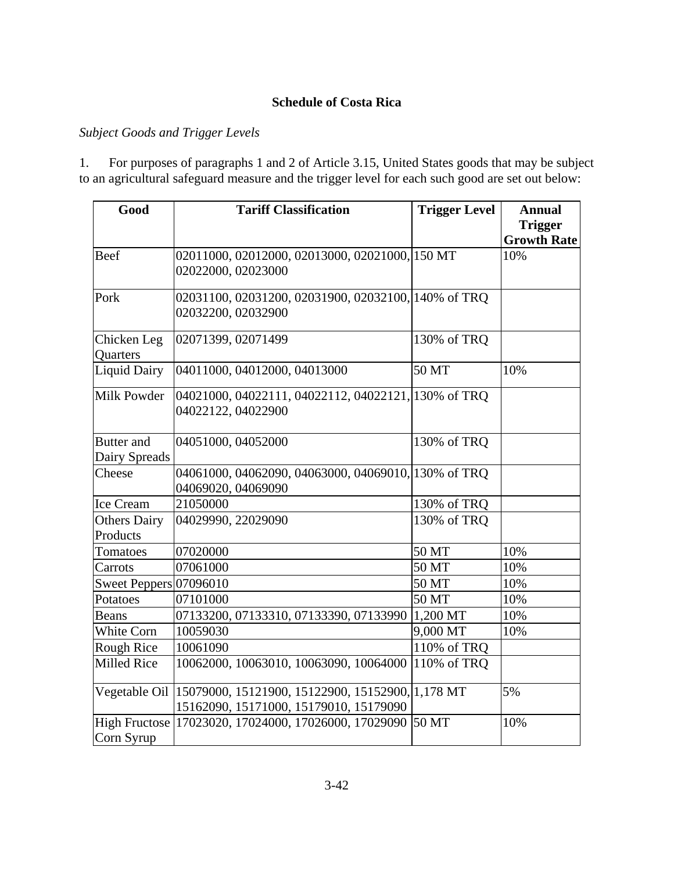### **Schedule of Costa Rica**

### *Subject Goods and Trigger Levels*

1. For purposes of paragraphs 1 and 2 of Article 3.15, United States goods that may be subject to an agricultural safeguard measure and the trigger level for each such good are set out below:

| Good                   | <b>Tariff Classification</b>                        | <b>Trigger Level</b> | <b>Annual</b>      |
|------------------------|-----------------------------------------------------|----------------------|--------------------|
|                        |                                                     |                      | <b>Trigger</b>     |
|                        |                                                     |                      | <b>Growth Rate</b> |
| Beef                   | 02011000, 02012000, 02013000, 02021000, 150 MT      |                      | 10%                |
|                        | 02022000, 02023000                                  |                      |                    |
| Pork                   | 02031100, 02031200, 02031900, 02032100, 140% of TRQ |                      |                    |
|                        | 02032200, 02032900                                  |                      |                    |
| Chicken Leg            | 02071399, 02071499                                  | 130% of TRQ          |                    |
| Quarters               |                                                     |                      |                    |
| <b>Liquid Dairy</b>    | 04011000, 04012000, 04013000                        | 50 MT                | 10%                |
| Milk Powder            | 04021000, 04022111, 04022112, 04022121, 130% of TRQ |                      |                    |
|                        | 04022122, 04022900                                  |                      |                    |
| <b>Butter</b> and      | 04051000, 04052000                                  | 130% of TRQ          |                    |
| Dairy Spreads          |                                                     |                      |                    |
| Cheese                 | 04061000, 04062090, 04063000, 04069010, 130% of TRQ |                      |                    |
|                        | 04069020, 04069090                                  |                      |                    |
| Ice Cream              | 21050000                                            | 130% of TRQ          |                    |
| <b>Others Dairy</b>    | 04029990, 22029090                                  | 130% of TRQ          |                    |
| Products               |                                                     |                      |                    |
| Tomatoes               | 07020000                                            | 50 MT                | 10%                |
| Carrots                | 07061000                                            | 50 MT                | 10%                |
| Sweet Peppers 07096010 |                                                     | 50 MT                | 10%                |
| Potatoes               | 07101000                                            | 50 MT                | 10%                |
| <b>Beans</b>           | 07133200, 07133310, 07133390, 07133990              | $1,200$ MT           | 10%                |
| White Corn             | 10059030                                            | 9,000 MT             | 10%                |
| Rough Rice             | 10061090                                            | 110% of TRQ          |                    |
| <b>Milled Rice</b>     | 10062000, 10063010, 10063090, 10064000              | 110% of TRQ          |                    |
| Vegetable Oil          | 15079000, 15121900, 15122900, 15152900, 1,178 MT    |                      | 5%                 |
|                        | 15162090, 15171000, 15179010, 15179090              |                      |                    |
| <b>High Fructose</b>   | 17023020, 17024000, 17026000, 17029090              | 50 MT                | 10%                |
| Corn Syrup             |                                                     |                      |                    |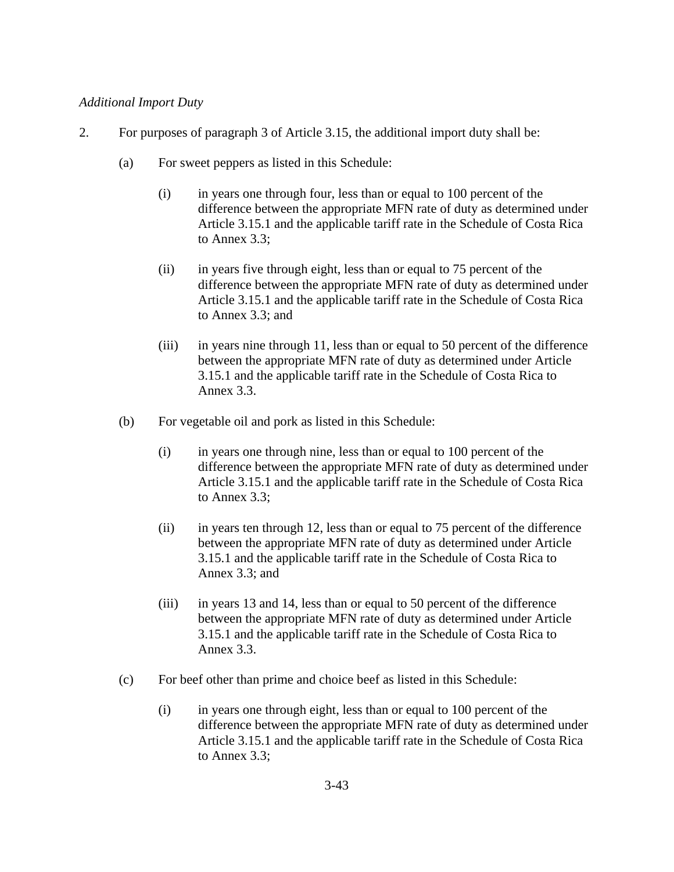### *Additional Import Duty*

- 2. For purposes of paragraph 3 of Article 3.15, the additional import duty shall be:
	- (a) For sweet peppers as listed in this Schedule:
		- (i) in years one through four, less than or equal to 100 percent of the difference between the appropriate MFN rate of duty as determined under Article 3.15.1 and the applicable tariff rate in the Schedule of Costa Rica to Annex 3.3;
		- (ii) in years five through eight, less than or equal to 75 percent of the difference between the appropriate MFN rate of duty as determined under Article 3.15.1 and the applicable tariff rate in the Schedule of Costa Rica to Annex 3.3; and
		- (iii) in years nine through 11, less than or equal to 50 percent of the difference between the appropriate MFN rate of duty as determined under Article 3.15.1 and the applicable tariff rate in the Schedule of Costa Rica to Annex 3.3.
	- (b) For vegetable oil and pork as listed in this Schedule:
		- (i) in years one through nine, less than or equal to 100 percent of the difference between the appropriate MFN rate of duty as determined under Article 3.15.1 and the applicable tariff rate in the Schedule of Costa Rica to Annex 3.3;
		- (ii) in years ten through 12, less than or equal to 75 percent of the difference between the appropriate MFN rate of duty as determined under Article 3.15.1 and the applicable tariff rate in the Schedule of Costa Rica to Annex 3.3; and
		- (iii) in years 13 and 14, less than or equal to 50 percent of the difference between the appropriate MFN rate of duty as determined under Article 3.15.1 and the applicable tariff rate in the Schedule of Costa Rica to Annex 3.3.
	- (c) For beef other than prime and choice beef as listed in this Schedule:
		- (i) in years one through eight, less than or equal to 100 percent of the difference between the appropriate MFN rate of duty as determined under Article 3.15.1 and the applicable tariff rate in the Schedule of Costa Rica to Annex 3.3;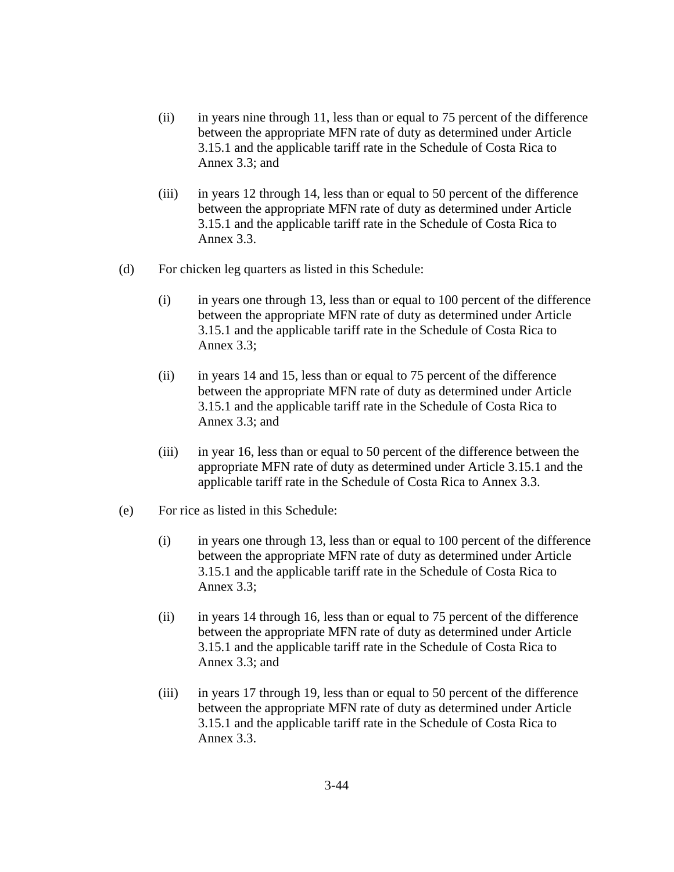- (ii) in years nine through 11, less than or equal to 75 percent of the difference between the appropriate MFN rate of duty as determined under Article 3.15.1 and the applicable tariff rate in the Schedule of Costa Rica to Annex 3.3; and
- (iii) in years 12 through 14, less than or equal to 50 percent of the difference between the appropriate MFN rate of duty as determined under Article 3.15.1 and the applicable tariff rate in the Schedule of Costa Rica to Annex 3.3.
- (d) For chicken leg quarters as listed in this Schedule:
	- (i) in years one through 13, less than or equal to 100 percent of the difference between the appropriate MFN rate of duty as determined under Article 3.15.1 and the applicable tariff rate in the Schedule of Costa Rica to Annex 3.3;
	- (ii) in years 14 and 15, less than or equal to 75 percent of the difference between the appropriate MFN rate of duty as determined under Article 3.15.1 and the applicable tariff rate in the Schedule of Costa Rica to Annex 3.3; and
	- (iii) in year 16, less than or equal to 50 percent of the difference between the appropriate MFN rate of duty as determined under Article 3.15.1 and the applicable tariff rate in the Schedule of Costa Rica to Annex 3.3.
- (e) For rice as listed in this Schedule:
	- (i) in years one through 13, less than or equal to 100 percent of the difference between the appropriate MFN rate of duty as determined under Article 3.15.1 and the applicable tariff rate in the Schedule of Costa Rica to Annex 3.3;
	- (ii) in years 14 through 16, less than or equal to 75 percent of the difference between the appropriate MFN rate of duty as determined under Article 3.15.1 and the applicable tariff rate in the Schedule of Costa Rica to Annex 3.3; and
	- (iii) in years 17 through 19, less than or equal to 50 percent of the difference between the appropriate MFN rate of duty as determined under Article 3.15.1 and the applicable tariff rate in the Schedule of Costa Rica to Annex 3.3.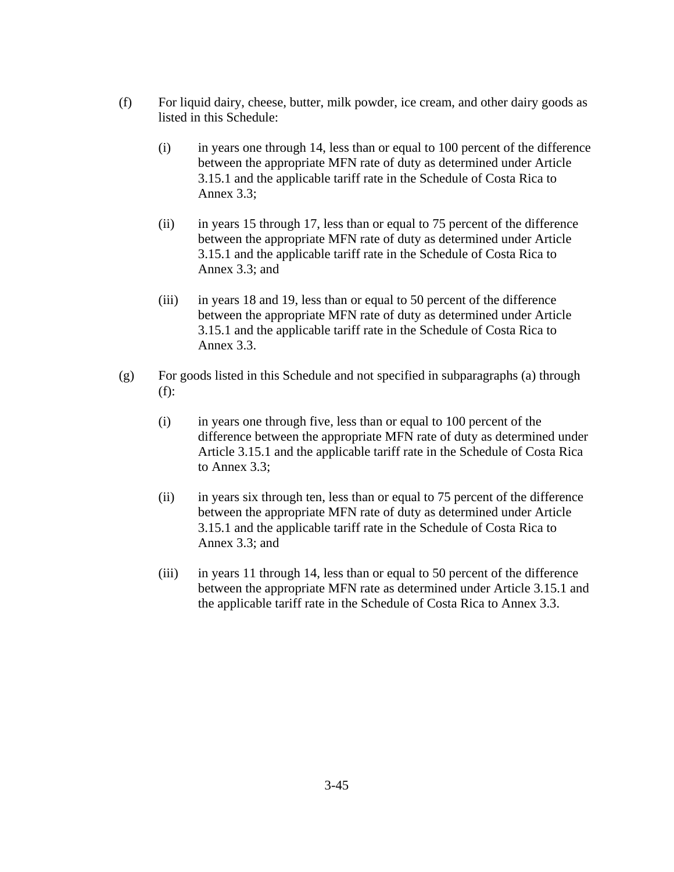- (f) For liquid dairy, cheese, butter, milk powder, ice cream, and other dairy goods as listed in this Schedule:
	- (i) in years one through 14, less than or equal to 100 percent of the difference between the appropriate MFN rate of duty as determined under Article 3.15.1 and the applicable tariff rate in the Schedule of Costa Rica to Annex 3.3;
	- (ii) in years 15 through 17, less than or equal to 75 percent of the difference between the appropriate MFN rate of duty as determined under Article 3.15.1 and the applicable tariff rate in the Schedule of Costa Rica to Annex 3.3; and
	- (iii) in years 18 and 19, less than or equal to 50 percent of the difference between the appropriate MFN rate of duty as determined under Article 3.15.1 and the applicable tariff rate in the Schedule of Costa Rica to Annex 3.3.
- (g) For goods listed in this Schedule and not specified in subparagraphs (a) through (f):
	- (i) in years one through five, less than or equal to 100 percent of the difference between the appropriate MFN rate of duty as determined under Article 3.15.1 and the applicable tariff rate in the Schedule of Costa Rica to Annex 3.3;
	- (ii) in years six through ten, less than or equal to 75 percent of the difference between the appropriate MFN rate of duty as determined under Article 3.15.1 and the applicable tariff rate in the Schedule of Costa Rica to Annex 3.3; and
	- (iii) in years 11 through 14, less than or equal to 50 percent of the difference between the appropriate MFN rate as determined under Article 3.15.1 and the applicable tariff rate in the Schedule of Costa Rica to Annex 3.3.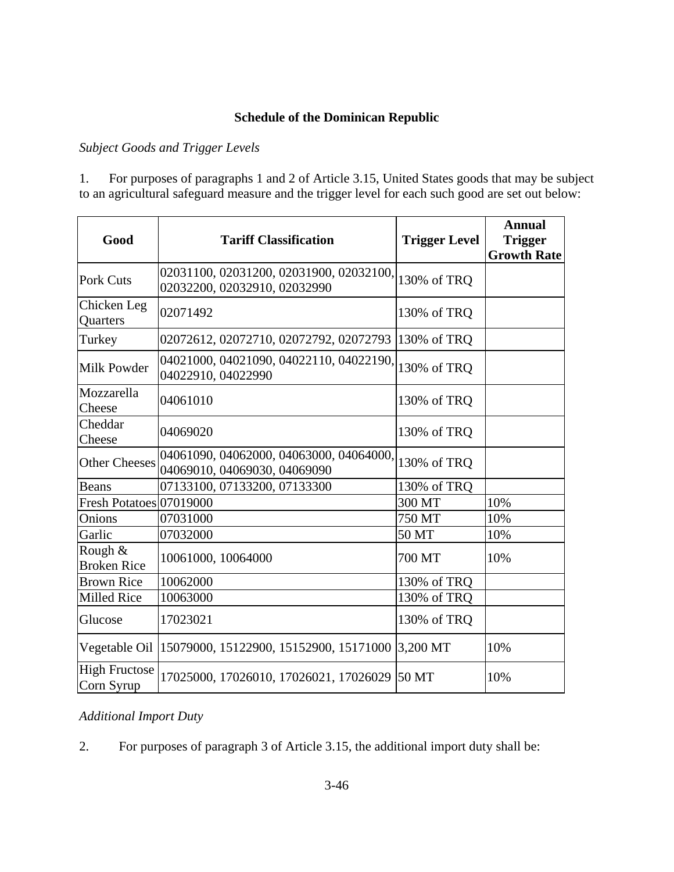# **Schedule of the Dominican Republic**

## *Subject Goods and Trigger Levels*

1. For purposes of paragraphs 1 and 2 of Article 3.15, United States goods that may be subject to an agricultural safeguard measure and the trigger level for each such good are set out below:

| Good                               | <b>Tariff Classification</b>                                            | <b>Trigger Level</b> | <b>Annual</b><br><b>Trigger</b><br><b>Growth Rate</b> |
|------------------------------------|-------------------------------------------------------------------------|----------------------|-------------------------------------------------------|
| <b>Pork Cuts</b>                   | 02031100, 02031200, 02031900, 02032100,<br>02032200, 02032910, 02032990 | 130% of TRQ          |                                                       |
| Chicken Leg<br>Quarters            | 02071492                                                                | 130% of TRQ          |                                                       |
| Turkey                             | 02072612, 02072710, 02072792, 02072793                                  | 130% of TRQ          |                                                       |
| Milk Powder                        | 04021000, 04021090, 04022110, 04022190,<br>04022910, 04022990           | 130% of TRQ          |                                                       |
| Mozzarella<br>Cheese               | 04061010                                                                | 130% of TRQ          |                                                       |
| Cheddar<br>Cheese                  | 04069020                                                                | 130% of TRQ          |                                                       |
| <b>Other Cheeses</b>               | 04061090, 04062000, 04063000, 04064000,<br>04069010, 04069030, 04069090 | 130% of TRQ          |                                                       |
| Beans                              | 07133100, 07133200, 07133300                                            | 130% of TRQ          |                                                       |
| Fresh Potatoes 07019000            |                                                                         | 300 MT               | 10%                                                   |
| Onions                             | 07031000                                                                | 750 MT               | 10%                                                   |
| Garlic                             | 07032000                                                                | 50 MT                | 10%                                                   |
| Rough &<br><b>Broken Rice</b>      | 10061000, 10064000                                                      | 700 MT               | 10%                                                   |
| <b>Brown Rice</b>                  | 10062000                                                                | 130% of TRQ          |                                                       |
| <b>Milled Rice</b>                 | 10063000                                                                | 130% of TRQ          |                                                       |
| Glucose                            | 17023021                                                                | 130% of TRQ          |                                                       |
| Vegetable Oil                      | 15079000, 15122900, 15152900, 15171000 3,200 MT                         |                      | 10%                                                   |
| <b>High Fructose</b><br>Corn Syrup | 17025000, 17026010, 17026021, 17026029 50 MT                            |                      | 10%                                                   |

### *Additional Import Duty*

2. For purposes of paragraph 3 of Article 3.15, the additional import duty shall be: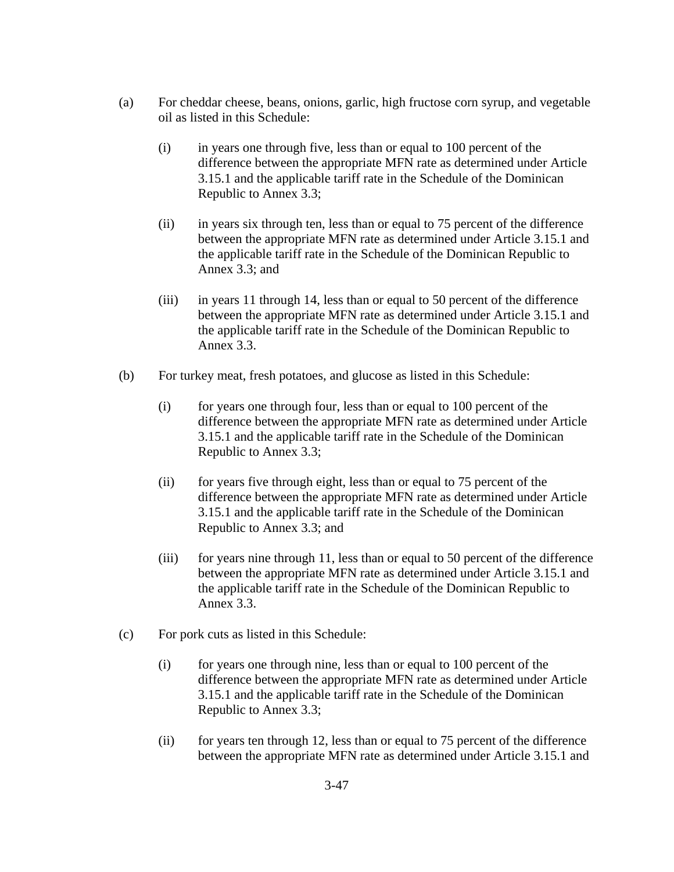- (a) For cheddar cheese, beans, onions, garlic, high fructose corn syrup, and vegetable oil as listed in this Schedule:
	- (i) in years one through five, less than or equal to 100 percent of the difference between the appropriate MFN rate as determined under Article 3.15.1 and the applicable tariff rate in the Schedule of the Dominican Republic to Annex 3.3;
	- (ii) in years six through ten, less than or equal to 75 percent of the difference between the appropriate MFN rate as determined under Article 3.15.1 and the applicable tariff rate in the Schedule of the Dominican Republic to Annex 3.3; and
	- (iii) in years 11 through 14, less than or equal to 50 percent of the difference between the appropriate MFN rate as determined under Article 3.15.1 and the applicable tariff rate in the Schedule of the Dominican Republic to Annex 3.3.
- (b) For turkey meat, fresh potatoes, and glucose as listed in this Schedule:
	- (i) for years one through four, less than or equal to 100 percent of the difference between the appropriate MFN rate as determined under Article 3.15.1 and the applicable tariff rate in the Schedule of the Dominican Republic to Annex 3.3;
	- (ii) for years five through eight, less than or equal to 75 percent of the difference between the appropriate MFN rate as determined under Article 3.15.1 and the applicable tariff rate in the Schedule of the Dominican Republic to Annex 3.3; and
	- (iii) for years nine through 11, less than or equal to 50 percent of the difference between the appropriate MFN rate as determined under Article 3.15.1 and the applicable tariff rate in the Schedule of the Dominican Republic to Annex 3.3.
- (c) For pork cuts as listed in this Schedule:
	- (i) for years one through nine, less than or equal to 100 percent of the difference between the appropriate MFN rate as determined under Article 3.15.1 and the applicable tariff rate in the Schedule of the Dominican Republic to Annex 3.3;
	- (ii) for years ten through 12, less than or equal to 75 percent of the difference between the appropriate MFN rate as determined under Article 3.15.1 and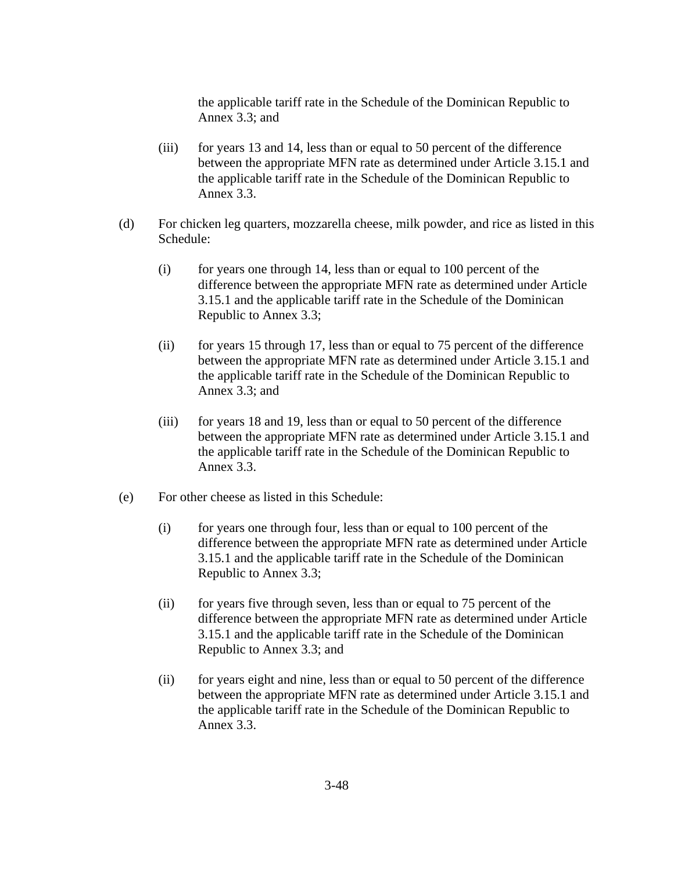the applicable tariff rate in the Schedule of the Dominican Republic to Annex 3.3; and

- (iii) for years 13 and 14, less than or equal to 50 percent of the difference between the appropriate MFN rate as determined under Article 3.15.1 and the applicable tariff rate in the Schedule of the Dominican Republic to Annex 3.3.
- (d) For chicken leg quarters, mozzarella cheese, milk powder, and rice as listed in this Schedule:
	- (i) for years one through 14, less than or equal to 100 percent of the difference between the appropriate MFN rate as determined under Article 3.15.1 and the applicable tariff rate in the Schedule of the Dominican Republic to Annex 3.3;
	- (ii) for years 15 through 17, less than or equal to 75 percent of the difference between the appropriate MFN rate as determined under Article 3.15.1 and the applicable tariff rate in the Schedule of the Dominican Republic to Annex 3.3; and
	- (iii) for years 18 and 19, less than or equal to 50 percent of the difference between the appropriate MFN rate as determined under Article 3.15.1 and the applicable tariff rate in the Schedule of the Dominican Republic to Annex 3.3.
- (e) For other cheese as listed in this Schedule:
	- (i) for years one through four, less than or equal to 100 percent of the difference between the appropriate MFN rate as determined under Article 3.15.1 and the applicable tariff rate in the Schedule of the Dominican Republic to Annex 3.3;
	- (ii) for years five through seven, less than or equal to 75 percent of the difference between the appropriate MFN rate as determined under Article 3.15.1 and the applicable tariff rate in the Schedule of the Dominican Republic to Annex 3.3; and
	- (ii) for years eight and nine, less than or equal to 50 percent of the difference between the appropriate MFN rate as determined under Article 3.15.1 and the applicable tariff rate in the Schedule of the Dominican Republic to Annex 3.3.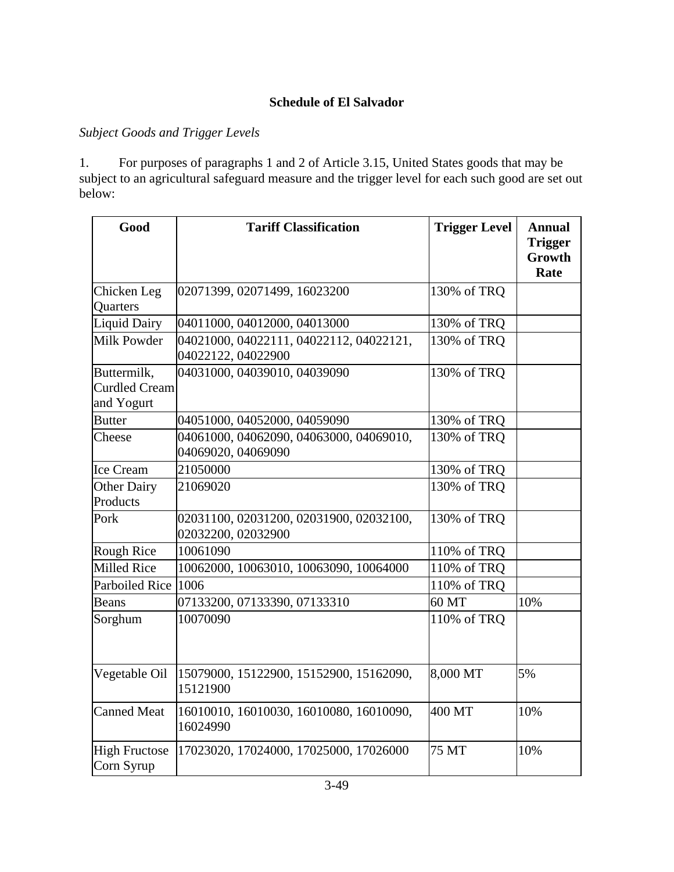## **Schedule of El Salvador**

### *Subject Goods and Trigger Levels*

1. For purposes of paragraphs 1 and 2 of Article 3.15, United States goods that may be subject to an agricultural safeguard measure and the trigger level for each such good are set out below:

| Good                                              | <b>Tariff Classification</b>                                  | <b>Trigger Level</b> | <b>Annual</b><br><b>Trigger</b><br>Growth<br>Rate |
|---------------------------------------------------|---------------------------------------------------------------|----------------------|---------------------------------------------------|
| Chicken Leg<br>Quarters                           | 02071399, 02071499, 16023200                                  | 130% of TRQ          |                                                   |
| Liquid Dairy                                      | 04011000, 04012000, 04013000                                  | 130% of TRQ          |                                                   |
| <b>Milk Powder</b>                                | 04021000, 04022111, 04022112, 04022121,<br>04022122, 04022900 | 130% of TRQ          |                                                   |
| Buttermilk,<br><b>Curdled Cream</b><br>and Yogurt | 04031000, 04039010, 04039090                                  | 130% of TRQ          |                                                   |
| <b>Butter</b>                                     | 04051000, 04052000, 04059090                                  | 130% of TRQ          |                                                   |
| Cheese                                            | 04061000, 04062090, 04063000, 04069010,<br>04069020, 04069090 | 130% of TRQ          |                                                   |
| Ice Cream                                         | 21050000                                                      | 130% of TRQ          |                                                   |
| <b>Other Dairy</b><br>Products                    | 21069020                                                      | 130% of TRQ          |                                                   |
| Pork                                              | 02031100, 02031200, 02031900, 02032100,<br>02032200, 02032900 | 130% of TRQ          |                                                   |
| <b>Rough Rice</b>                                 | 10061090                                                      | 110% of TRQ          |                                                   |
| <b>Milled Rice</b>                                | 10062000, 10063010, 10063090, 10064000                        | 110% of TRQ          |                                                   |
| Parboiled Rice                                    | 1006                                                          | 110% of TRQ          |                                                   |
| <b>Beans</b>                                      | 07133200, 07133390, 07133310                                  | 60 MT                | 10%                                               |
| Sorghum                                           | 10070090                                                      | 110% of TRQ          |                                                   |
| Vegetable Oil                                     | 15079000, 15122900, 15152900, 15162090,<br>15121900           | 8,000 MT             | 5%                                                |
| <b>Canned Meat</b>                                | 16010010, 16010030, 16010080, 16010090,<br>16024990           | 400 MT               | 10%                                               |
| <b>High Fructose</b><br>Corn Syrup                | 17023020, 17024000, 17025000, 17026000                        | 75 MT                | 10%                                               |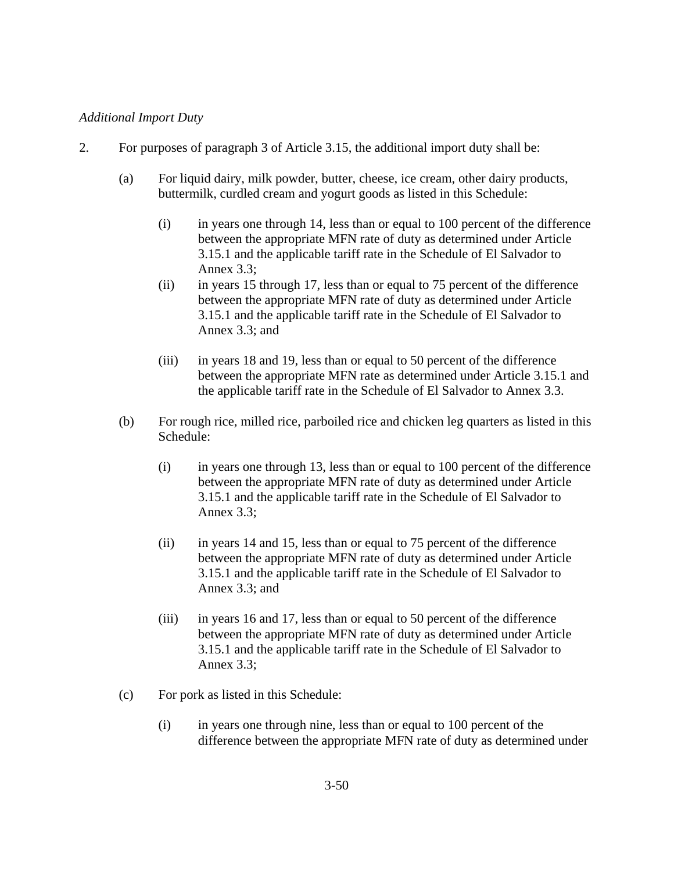### *Additional Import Duty*

- 2. For purposes of paragraph 3 of Article 3.15, the additional import duty shall be:
	- (a) For liquid dairy, milk powder, butter, cheese, ice cream, other dairy products, buttermilk, curdled cream and yogurt goods as listed in this Schedule:
		- (i) in years one through 14, less than or equal to 100 percent of the difference between the appropriate MFN rate of duty as determined under Article 3.15.1 and the applicable tariff rate in the Schedule of El Salvador to Annex 3.3;
		- (ii) in years 15 through 17, less than or equal to 75 percent of the difference between the appropriate MFN rate of duty as determined under Article 3.15.1 and the applicable tariff rate in the Schedule of El Salvador to Annex 3.3; and
		- (iii) in years 18 and 19, less than or equal to 50 percent of the difference between the appropriate MFN rate as determined under Article 3.15.1 and the applicable tariff rate in the Schedule of El Salvador to Annex 3.3.
	- (b) For rough rice, milled rice, parboiled rice and chicken leg quarters as listed in this Schedule:
		- (i) in years one through 13, less than or equal to 100 percent of the difference between the appropriate MFN rate of duty as determined under Article 3.15.1 and the applicable tariff rate in the Schedule of El Salvador to Annex 3.3;
		- (ii) in years 14 and 15, less than or equal to 75 percent of the difference between the appropriate MFN rate of duty as determined under Article 3.15.1 and the applicable tariff rate in the Schedule of El Salvador to Annex 3.3; and
		- (iii) in years 16 and 17, less than or equal to 50 percent of the difference between the appropriate MFN rate of duty as determined under Article 3.15.1 and the applicable tariff rate in the Schedule of El Salvador to Annex 3.3;
	- (c) For pork as listed in this Schedule:
		- (i) in years one through nine, less than or equal to 100 percent of the difference between the appropriate MFN rate of duty as determined under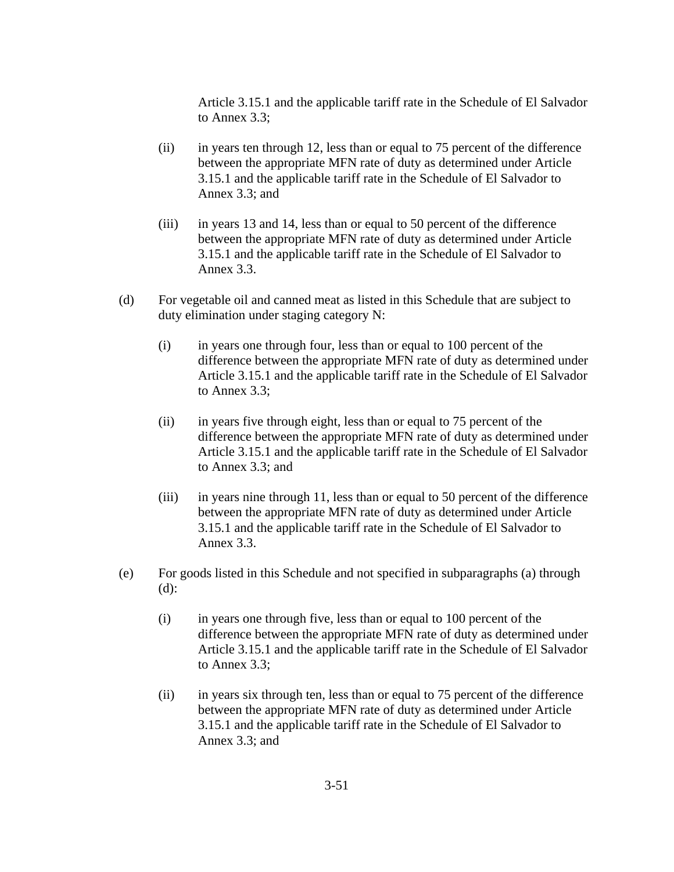Article 3.15.1 and the applicable tariff rate in the Schedule of El Salvador to Annex 3.3;

- (ii) in years ten through 12, less than or equal to 75 percent of the difference between the appropriate MFN rate of duty as determined under Article 3.15.1 and the applicable tariff rate in the Schedule of El Salvador to Annex 3.3; and
- (iii) in years 13 and 14, less than or equal to 50 percent of the difference between the appropriate MFN rate of duty as determined under Article 3.15.1 and the applicable tariff rate in the Schedule of El Salvador to Annex 3.3.
- (d) For vegetable oil and canned meat as listed in this Schedule that are subject to duty elimination under staging category N:
	- (i) in years one through four, less than or equal to 100 percent of the difference between the appropriate MFN rate of duty as determined under Article 3.15.1 and the applicable tariff rate in the Schedule of El Salvador to Annex 3.3;
	- (ii) in years five through eight, less than or equal to 75 percent of the difference between the appropriate MFN rate of duty as determined under Article 3.15.1 and the applicable tariff rate in the Schedule of El Salvador to Annex 3.3; and
	- (iii) in years nine through 11, less than or equal to 50 percent of the difference between the appropriate MFN rate of duty as determined under Article 3.15.1 and the applicable tariff rate in the Schedule of El Salvador to Annex 3.3.
- (e) For goods listed in this Schedule and not specified in subparagraphs (a) through (d):
	- (i) in years one through five, less than or equal to 100 percent of the difference between the appropriate MFN rate of duty as determined under Article 3.15.1 and the applicable tariff rate in the Schedule of El Salvador to Annex 3.3;
	- (ii) in years six through ten, less than or equal to 75 percent of the difference between the appropriate MFN rate of duty as determined under Article 3.15.1 and the applicable tariff rate in the Schedule of El Salvador to Annex 3.3; and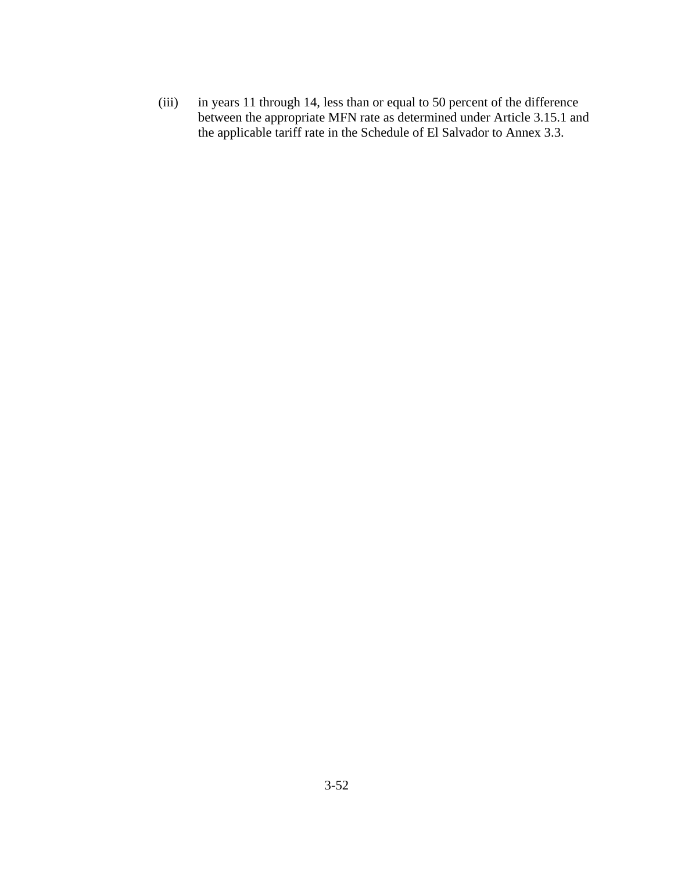(iii) in years 11 through 14, less than or equal to 50 percent of the difference between the appropriate MFN rate as determined under Article 3.15.1 and the applicable tariff rate in the Schedule of El Salvador to Annex 3.3.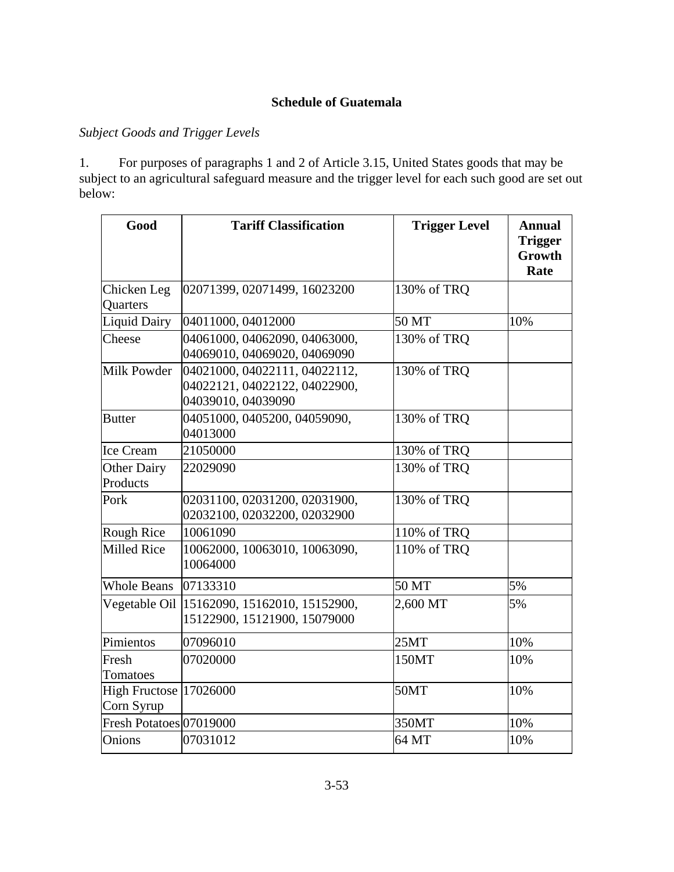## **Schedule of Guatemala**

## *Subject Goods and Trigger Levels*

1. For purposes of paragraphs 1 and 2 of Article 3.15, United States goods that may be subject to an agricultural safeguard measure and the trigger level for each such good are set out below:

| Good                                 | <b>Tariff Classification</b>                                                         | <b>Trigger Level</b> | <b>Annual</b><br><b>Trigger</b><br>Growth<br>Rate |
|--------------------------------------|--------------------------------------------------------------------------------------|----------------------|---------------------------------------------------|
| Chicken Leg<br>Quarters              | 02071399, 02071499, 16023200                                                         | 130% of TRQ          |                                                   |
| Liquid Dairy                         | 04011000, 04012000                                                                   | 50 MT                | 10%                                               |
| Cheese                               | 04061000, 04062090, 04063000,<br>04069010, 04069020, 04069090                        | 130% of TRQ          |                                                   |
| Milk Powder                          | 04021000, 04022111, 04022112,<br>04022121, 04022122, 04022900,<br>04039010, 04039090 | 130% of TRQ          |                                                   |
| <b>Butter</b>                        | 04051000, 0405200, 04059090,<br>04013000                                             | 130% of TRQ          |                                                   |
| Ice Cream                            | 21050000                                                                             | 130% of TRQ          |                                                   |
| Other Dairy<br>Products              | 22029090                                                                             | 130% of TRQ          |                                                   |
| Pork                                 | 02031100, 02031200, 02031900,<br>02032100, 02032200, 02032900                        | 130% of TRQ          |                                                   |
| Rough Rice                           | 10061090                                                                             | 110% of TRQ          |                                                   |
| Milled Rice                          | 10062000, 10063010, 10063090,<br>10064000                                            | 110% of TRQ          |                                                   |
| <b>Whole Beans</b>                   | 07133310                                                                             | 50 MT                | 5%                                                |
| Vegetable Oil                        | 15162090, 15162010, 15152900,<br>15122900, 15121900, 15079000                        | 2,600 MT             | 5%                                                |
| Pimientos                            | 07096010                                                                             | 25MT                 | 10%                                               |
| Fresh<br>Tomatoes                    | 07020000                                                                             | 150MT                | 10%                                               |
| High Fructose 17026000<br>Corn Syrup |                                                                                      | 50MT                 | 10%                                               |
| Fresh Potatoes 07019000              |                                                                                      | 350MT                | 10%                                               |
| Onions                               | 07031012                                                                             | 64 MT                | 10%                                               |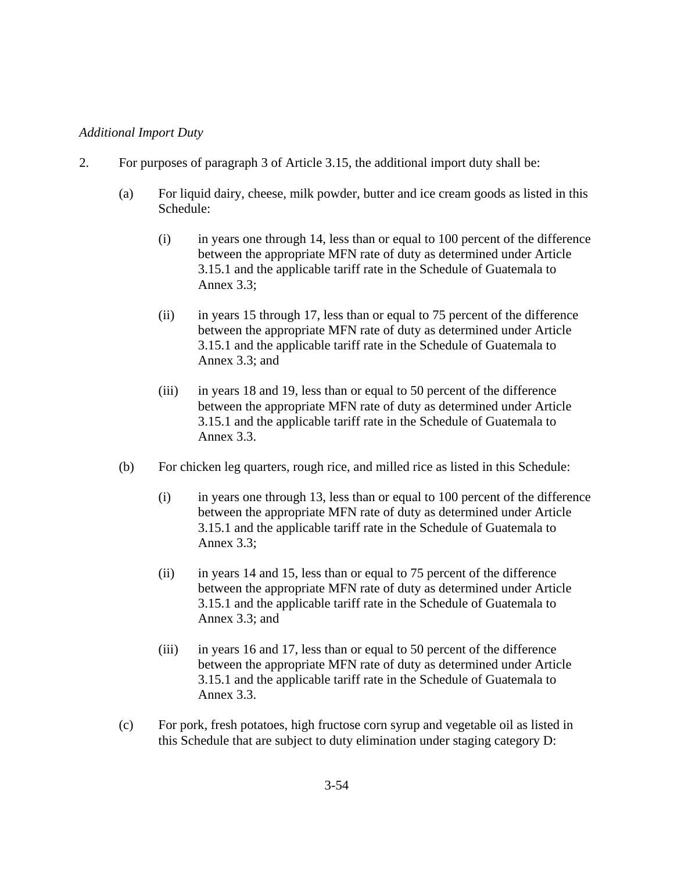#### *Additional Import Duty*

- 2. For purposes of paragraph 3 of Article 3.15, the additional import duty shall be:
	- (a) For liquid dairy, cheese, milk powder, butter and ice cream goods as listed in this Schedule:
		- (i) in years one through 14, less than or equal to 100 percent of the difference between the appropriate MFN rate of duty as determined under Article 3.15.1 and the applicable tariff rate in the Schedule of Guatemala to Annex 3.3;
		- (ii) in years 15 through 17, less than or equal to 75 percent of the difference between the appropriate MFN rate of duty as determined under Article 3.15.1 and the applicable tariff rate in the Schedule of Guatemala to Annex 3.3; and
		- (iii) in years 18 and 19, less than or equal to 50 percent of the difference between the appropriate MFN rate of duty as determined under Article 3.15.1 and the applicable tariff rate in the Schedule of Guatemala to Annex 3.3.
	- (b) For chicken leg quarters, rough rice, and milled rice as listed in this Schedule:
		- (i) in years one through 13, less than or equal to 100 percent of the difference between the appropriate MFN rate of duty as determined under Article 3.15.1 and the applicable tariff rate in the Schedule of Guatemala to Annex 3.3;
		- (ii) in years 14 and 15, less than or equal to 75 percent of the difference between the appropriate MFN rate of duty as determined under Article 3.15.1 and the applicable tariff rate in the Schedule of Guatemala to Annex 3.3; and
		- (iii) in years 16 and 17, less than or equal to 50 percent of the difference between the appropriate MFN rate of duty as determined under Article 3.15.1 and the applicable tariff rate in the Schedule of Guatemala to Annex 3.3.
	- (c) For pork, fresh potatoes, high fructose corn syrup and vegetable oil as listed in this Schedule that are subject to duty elimination under staging category D: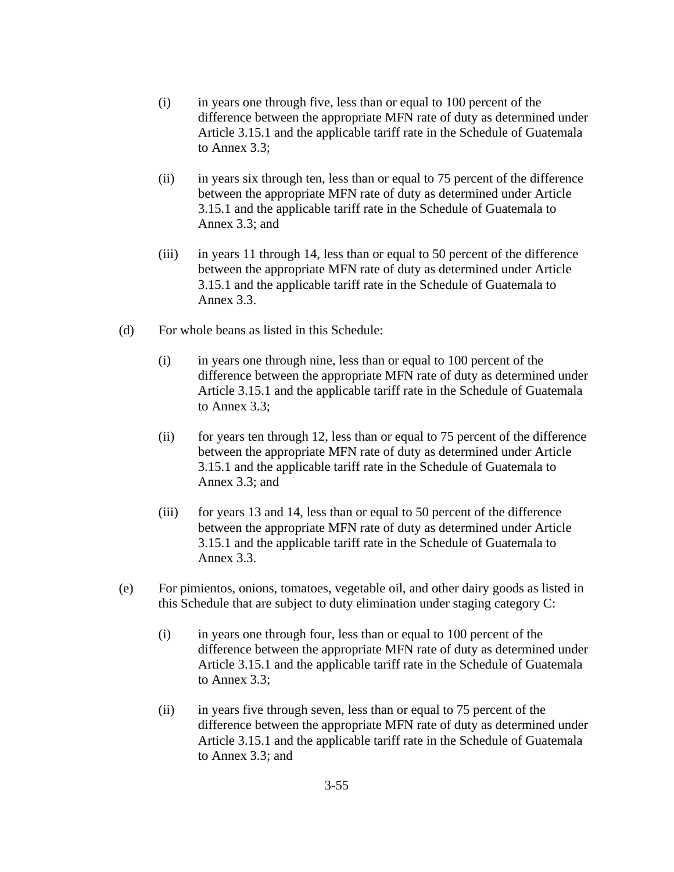- (i) in years one through five, less than or equal to 100 percent of the difference between the appropriate MFN rate of duty as determined under Article 3.15.1 and the applicable tariff rate in the Schedule of Guatemala to Annex 3.3;
- (ii) in years six through ten, less than or equal to 75 percent of the difference between the appropriate MFN rate of duty as determined under Article 3.15.1 and the applicable tariff rate in the Schedule of Guatemala to Annex 3.3; and
- (iii) in years 11 through 14, less than or equal to 50 percent of the difference between the appropriate MFN rate of duty as determined under Article 3.15.1 and the applicable tariff rate in the Schedule of Guatemala to Annex 3.3.
- (d) For whole beans as listed in this Schedule:
	- (i) in years one through nine, less than or equal to 100 percent of the difference between the appropriate MFN rate of duty as determined under Article 3.15.1 and the applicable tariff rate in the Schedule of Guatemala to Annex 3.3;
	- (ii) for years ten through 12, less than or equal to 75 percent of the difference between the appropriate MFN rate of duty as determined under Article 3.15.1 and the applicable tariff rate in the Schedule of Guatemala to Annex 3.3; and
	- (iii) for years 13 and 14, less than or equal to 50 percent of the difference between the appropriate MFN rate of duty as determined under Article 3.15.1 and the applicable tariff rate in the Schedule of Guatemala to Annex 3.3.
- (e) For pimientos, onions, tomatoes, vegetable oil, and other dairy goods as listed in this Schedule that are subject to duty elimination under staging category C:
	- (i) in years one through four, less than or equal to 100 percent of the difference between the appropriate MFN rate of duty as determined under Article 3.15.1 and the applicable tariff rate in the Schedule of Guatemala to Annex 3.3;
	- (ii) in years five through seven, less than or equal to 75 percent of the difference between the appropriate MFN rate of duty as determined under Article 3.15.1 and the applicable tariff rate in the Schedule of Guatemala to Annex 3.3; and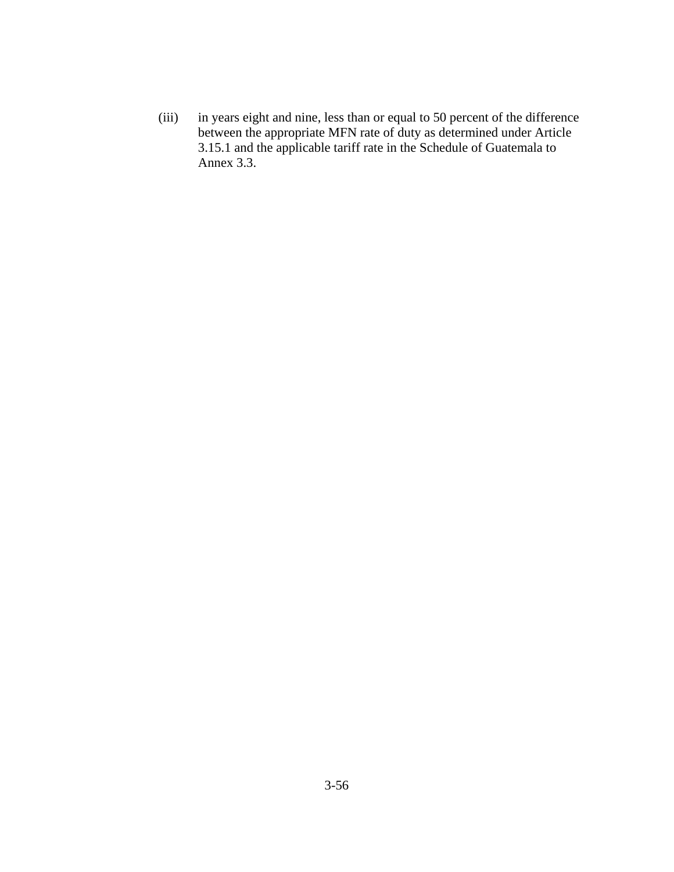(iii) in years eight and nine, less than or equal to 50 percent of the difference between the appropriate MFN rate of duty as determined under Article 3.15.1 and the applicable tariff rate in the Schedule of Guatemala to Annex 3.3.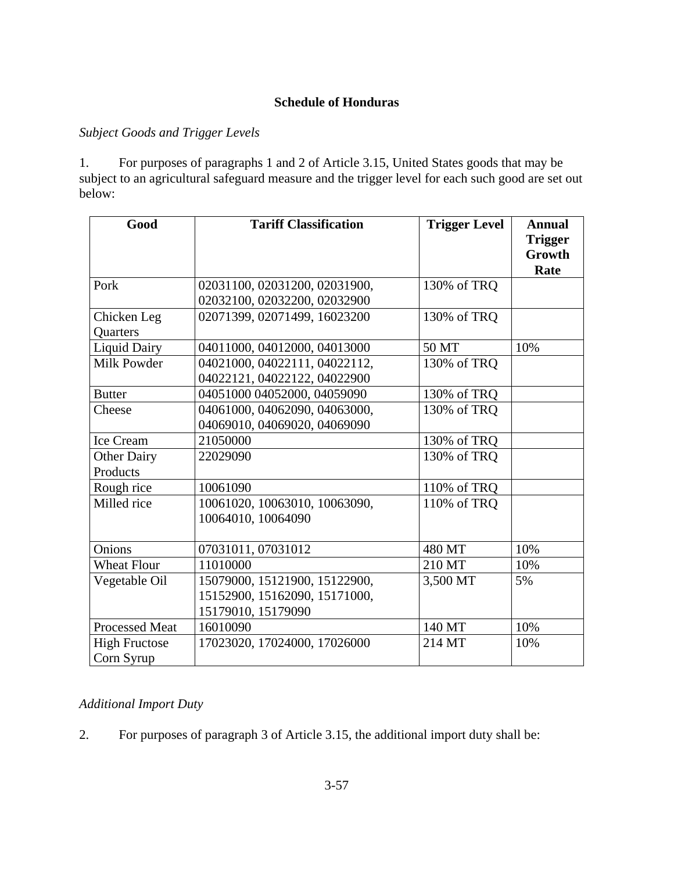## **Schedule of Honduras**

## *Subject Goods and Trigger Levels*

1. For purposes of paragraphs 1 and 2 of Article 3.15, United States goods that may be subject to an agricultural safeguard measure and the trigger level for each such good are set out below:

| Good                               | <b>Tariff Classification</b>                                                         | <b>Trigger Level</b> | <b>Annual</b><br><b>Trigger</b> |
|------------------------------------|--------------------------------------------------------------------------------------|----------------------|---------------------------------|
|                                    |                                                                                      |                      | Growth<br>Rate                  |
| Pork                               | 02031100, 02031200, 02031900,                                                        | 130% of TRQ          |                                 |
| Chicken Leg<br>Quarters            | 02032100, 02032200, 02032900<br>02071399, 02071499, 16023200                         | 130% of TRQ          |                                 |
| <b>Liquid Dairy</b>                | 04011000, 04012000, 04013000                                                         | 50 MT                | 10%                             |
| <b>Milk Powder</b>                 | 04021000, 04022111, 04022112,<br>04022121, 04022122, 04022900                        | 130% of TRQ          |                                 |
| <b>Butter</b>                      | 04051000 04052000, 04059090                                                          | 130% of TRQ          |                                 |
| Cheese                             | 04061000, 04062090, 04063000,<br>04069010, 04069020, 04069090                        | 130% of TRQ          |                                 |
| <b>Ice Cream</b>                   | 21050000                                                                             | 130% of TRQ          |                                 |
| <b>Other Dairy</b><br>Products     | 22029090                                                                             | 130% of TRQ          |                                 |
| Rough rice                         | 10061090                                                                             | 110% of TRQ          |                                 |
| Milled rice                        | 10061020, 10063010, 10063090,<br>10064010, 10064090                                  | 110% of TRQ          |                                 |
| Onions                             | 07031011, 07031012                                                                   | 480 MT               | 10%                             |
| <b>Wheat Flour</b>                 | 11010000                                                                             | 210 MT               | 10%                             |
| Vegetable Oil                      | 15079000, 15121900, 15122900,<br>15152900, 15162090, 15171000,<br>15179010, 15179090 | 3,500 MT             | 5%                              |
| <b>Processed Meat</b>              | 16010090                                                                             | 140 MT               | 10%                             |
| <b>High Fructose</b><br>Corn Syrup | 17023020, 17024000, 17026000                                                         | 214 MT               | 10%                             |

# *Additional Import Duty*

2. For purposes of paragraph 3 of Article 3.15, the additional import duty shall be: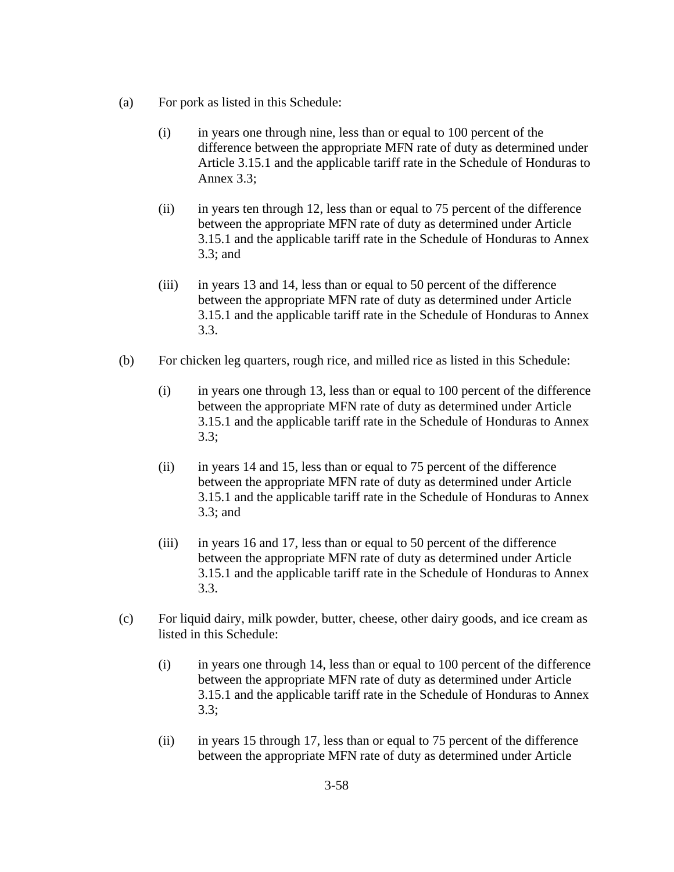- (a) For pork as listed in this Schedule:
	- (i) in years one through nine, less than or equal to 100 percent of the difference between the appropriate MFN rate of duty as determined under Article 3.15.1 and the applicable tariff rate in the Schedule of Honduras to Annex 3.3;
	- (ii) in years ten through 12, less than or equal to 75 percent of the difference between the appropriate MFN rate of duty as determined under Article 3.15.1 and the applicable tariff rate in the Schedule of Honduras to Annex 3.3; and
	- (iii) in years 13 and 14, less than or equal to 50 percent of the difference between the appropriate MFN rate of duty as determined under Article 3.15.1 and the applicable tariff rate in the Schedule of Honduras to Annex 3.3.
- (b) For chicken leg quarters, rough rice, and milled rice as listed in this Schedule:
	- (i) in years one through 13, less than or equal to 100 percent of the difference between the appropriate MFN rate of duty as determined under Article 3.15.1 and the applicable tariff rate in the Schedule of Honduras to Annex 3.3;
	- (ii) in years 14 and 15, less than or equal to 75 percent of the difference between the appropriate MFN rate of duty as determined under Article 3.15.1 and the applicable tariff rate in the Schedule of Honduras to Annex 3.3; and
	- (iii) in years 16 and 17, less than or equal to 50 percent of the difference between the appropriate MFN rate of duty as determined under Article 3.15.1 and the applicable tariff rate in the Schedule of Honduras to Annex 3.3.
- (c) For liquid dairy, milk powder, butter, cheese, other dairy goods, and ice cream as listed in this Schedule:
	- (i) in years one through 14, less than or equal to 100 percent of the difference between the appropriate MFN rate of duty as determined under Article 3.15.1 and the applicable tariff rate in the Schedule of Honduras to Annex 3.3;
	- (ii) in years 15 through 17, less than or equal to 75 percent of the difference between the appropriate MFN rate of duty as determined under Article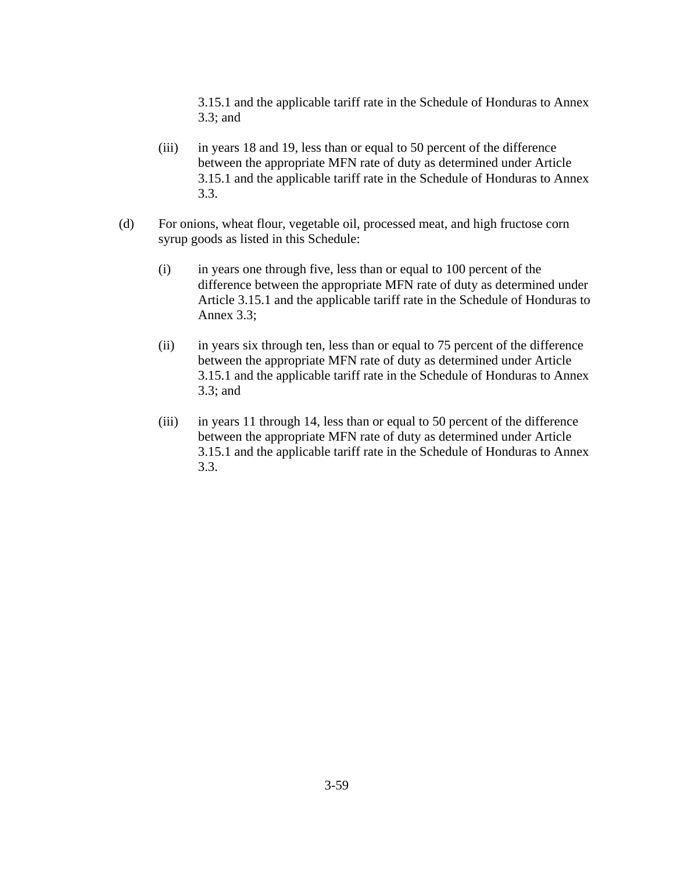3.15.1 and the applicable tariff rate in the Schedule of Honduras to Annex 3.3; and

- (iii) in years 18 and 19, less than or equal to 50 percent of the difference between the appropriate MFN rate of duty as determined under Article 3.15.1 and the applicable tariff rate in the Schedule of Honduras to Annex 3.3.
- (d) For onions, wheat flour, vegetable oil, processed meat, and high fructose corn syrup goods as listed in this Schedule:
	- (i) in years one through five, less than or equal to 100 percent of the difference between the appropriate MFN rate of duty as determined under Article 3.15.1 and the applicable tariff rate in the Schedule of Honduras to Annex 3.3;
	- (ii) in years six through ten, less than or equal to 75 percent of the difference between the appropriate MFN rate of duty as determined under Article 3.15.1 and the applicable tariff rate in the Schedule of Honduras to Annex 3.3; and
	- (iii) in years 11 through 14, less than or equal to 50 percent of the difference between the appropriate MFN rate of duty as determined under Article 3.15.1 and the applicable tariff rate in the Schedule of Honduras to Annex 3.3.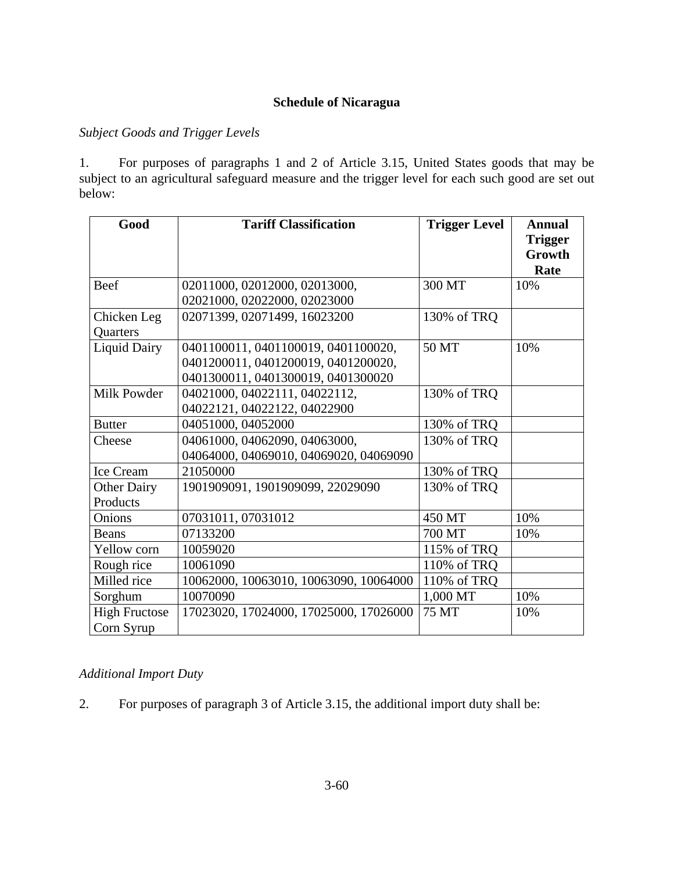## **Schedule of Nicaragua**

## *Subject Goods and Trigger Levels*

1. For purposes of paragraphs 1 and 2 of Article 3.15, United States goods that may be subject to an agricultural safeguard measure and the trigger level for each such good are set out below:

| Good                 | <b>Tariff Classification</b>           | <b>Trigger Level</b> | <b>Annual</b>                    |
|----------------------|----------------------------------------|----------------------|----------------------------------|
|                      |                                        |                      | <b>Trigger</b><br>Growth<br>Rate |
| Beef                 | 02011000, 02012000, 02013000,          | 300 MT               | 10%                              |
|                      | 02021000, 02022000, 02023000           |                      |                                  |
| Chicken Leg          | 02071399, 02071499, 16023200           | 130% of TRQ          |                                  |
| <b>Quarters</b>      |                                        |                      |                                  |
| <b>Liquid Dairy</b>  | 0401100011, 0401100019, 0401100020,    | 50 MT                | 10%                              |
|                      | 0401200011, 0401200019, 0401200020,    |                      |                                  |
|                      | 0401300011, 0401300019, 0401300020     |                      |                                  |
| Milk Powder          | 04021000, 04022111, 04022112,          | 130% of TRQ          |                                  |
|                      | 04022121, 04022122, 04022900           |                      |                                  |
| <b>Butter</b>        | 04051000, 04052000                     | 130% of TRQ          |                                  |
| Cheese               | 04061000, 04062090, 04063000,          | 130% of TRQ          |                                  |
|                      | 04064000, 04069010, 04069020, 04069090 |                      |                                  |
| Ice Cream            | 21050000                               | 130% of TRQ          |                                  |
| <b>Other Dairy</b>   | 1901909091, 1901909099, 22029090       | 130% of TRQ          |                                  |
| Products             |                                        |                      |                                  |
| Onions               | 07031011, 07031012                     | 450 MT               | 10%                              |
| Beans                | 07133200                               | 700 MT               | 10%                              |
| Yellow corn          | 10059020                               | 115% of TRQ          |                                  |
| Rough rice           | 10061090                               | 110% of TRQ          |                                  |
| Milled rice          | 10062000, 10063010, 10063090, 10064000 | 110% of TRQ          |                                  |
| Sorghum              | 10070090                               | 1,000 MT             | 10%                              |
| <b>High Fructose</b> | 17023020, 17024000, 17025000, 17026000 | 75 MT                | 10%                              |
| Corn Syrup           |                                        |                      |                                  |

# *Additional Import Duty*

2. For purposes of paragraph 3 of Article 3.15, the additional import duty shall be: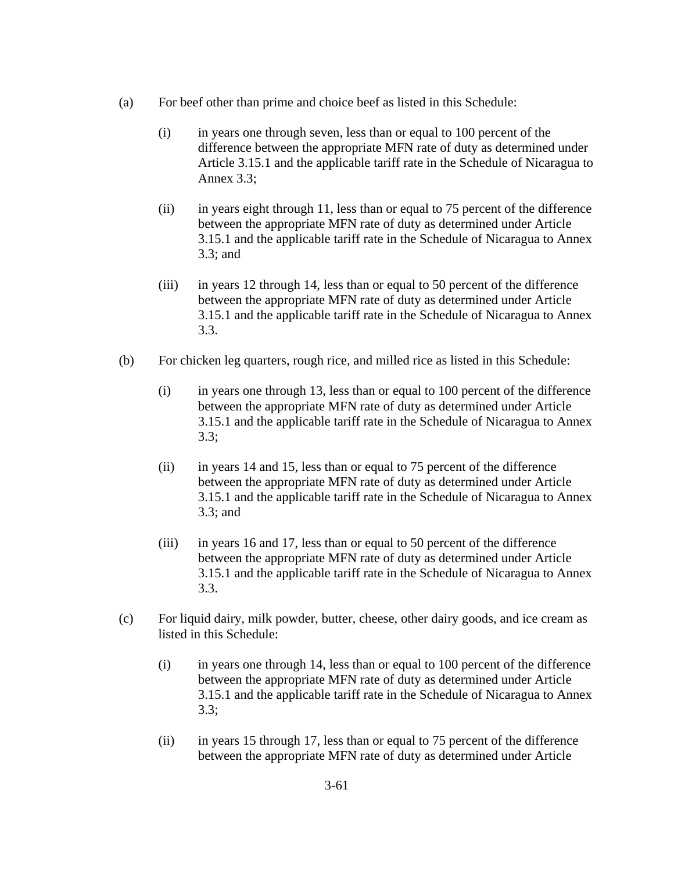- (a) For beef other than prime and choice beef as listed in this Schedule:
	- (i) in years one through seven, less than or equal to 100 percent of the difference between the appropriate MFN rate of duty as determined under Article 3.15.1 and the applicable tariff rate in the Schedule of Nicaragua to Annex 3.3;
	- (ii) in years eight through 11, less than or equal to 75 percent of the difference between the appropriate MFN rate of duty as determined under Article 3.15.1 and the applicable tariff rate in the Schedule of Nicaragua to Annex 3.3; and
	- (iii) in years 12 through 14, less than or equal to 50 percent of the difference between the appropriate MFN rate of duty as determined under Article 3.15.1 and the applicable tariff rate in the Schedule of Nicaragua to Annex 3.3.
- (b) For chicken leg quarters, rough rice, and milled rice as listed in this Schedule:
	- (i) in years one through 13, less than or equal to 100 percent of the difference between the appropriate MFN rate of duty as determined under Article 3.15.1 and the applicable tariff rate in the Schedule of Nicaragua to Annex 3.3;
	- (ii) in years 14 and 15, less than or equal to 75 percent of the difference between the appropriate MFN rate of duty as determined under Article 3.15.1 and the applicable tariff rate in the Schedule of Nicaragua to Annex 3.3; and
	- (iii) in years 16 and 17, less than or equal to 50 percent of the difference between the appropriate MFN rate of duty as determined under Article 3.15.1 and the applicable tariff rate in the Schedule of Nicaragua to Annex 3.3.
- (c) For liquid dairy, milk powder, butter, cheese, other dairy goods, and ice cream as listed in this Schedule:
	- (i) in years one through 14, less than or equal to 100 percent of the difference between the appropriate MFN rate of duty as determined under Article 3.15.1 and the applicable tariff rate in the Schedule of Nicaragua to Annex 3.3;
	- (ii) in years 15 through 17, less than or equal to 75 percent of the difference between the appropriate MFN rate of duty as determined under Article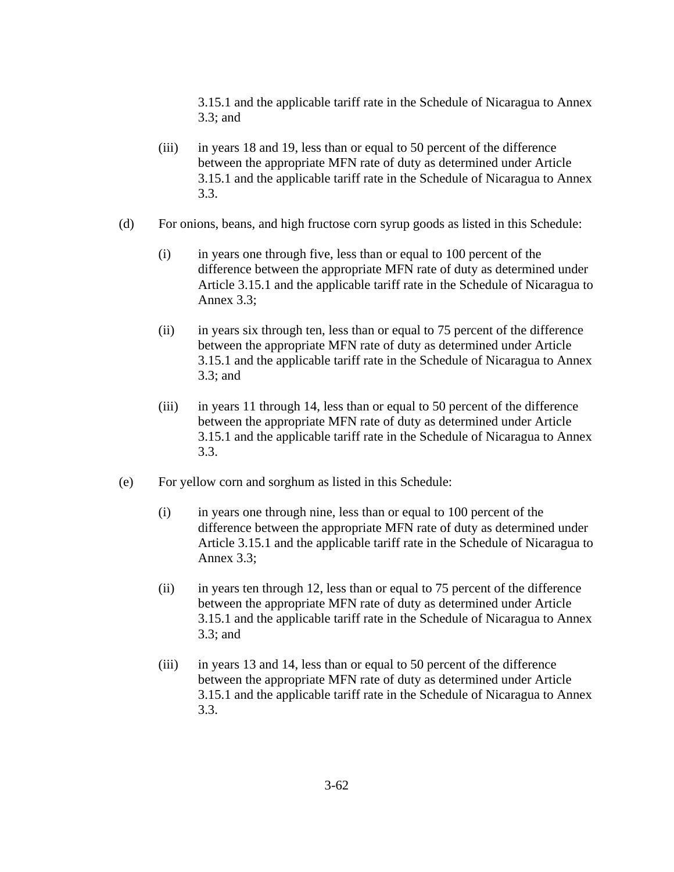3.15.1 and the applicable tariff rate in the Schedule of Nicaragua to Annex 3.3; and

- (iii) in years 18 and 19, less than or equal to 50 percent of the difference between the appropriate MFN rate of duty as determined under Article 3.15.1 and the applicable tariff rate in the Schedule of Nicaragua to Annex 3.3.
- (d) For onions, beans, and high fructose corn syrup goods as listed in this Schedule:
	- (i) in years one through five, less than or equal to 100 percent of the difference between the appropriate MFN rate of duty as determined under Article 3.15.1 and the applicable tariff rate in the Schedule of Nicaragua to Annex 3.3;
	- (ii) in years six through ten, less than or equal to 75 percent of the difference between the appropriate MFN rate of duty as determined under Article 3.15.1 and the applicable tariff rate in the Schedule of Nicaragua to Annex 3.3; and
	- (iii) in years 11 through 14, less than or equal to 50 percent of the difference between the appropriate MFN rate of duty as determined under Article 3.15.1 and the applicable tariff rate in the Schedule of Nicaragua to Annex 3.3.
- (e) For yellow corn and sorghum as listed in this Schedule:
	- (i) in years one through nine, less than or equal to 100 percent of the difference between the appropriate MFN rate of duty as determined under Article 3.15.1 and the applicable tariff rate in the Schedule of Nicaragua to Annex 3.3;
	- (ii) in years ten through 12, less than or equal to 75 percent of the difference between the appropriate MFN rate of duty as determined under Article 3.15.1 and the applicable tariff rate in the Schedule of Nicaragua to Annex 3.3; and
	- (iii) in years 13 and 14, less than or equal to 50 percent of the difference between the appropriate MFN rate of duty as determined under Article 3.15.1 and the applicable tariff rate in the Schedule of Nicaragua to Annex 3.3.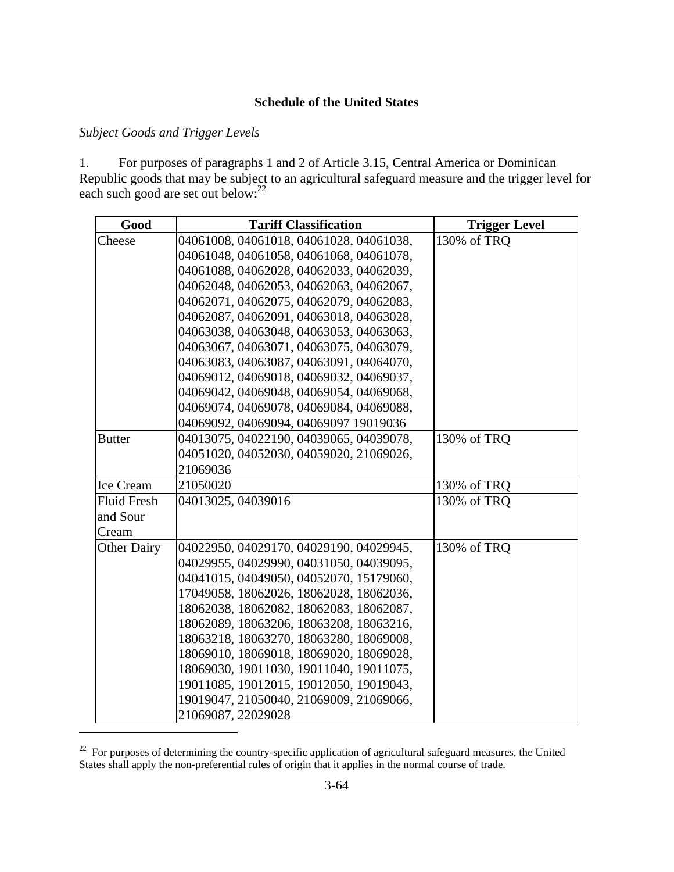### **Schedule of the United States**

## *Subject Goods and Trigger Levels*

 $\overline{a}$ 

1. For purposes of paragraphs 1 and 2 of Article 3.15, Central America or Dominican Republic goods that may be subject to an agricultural safeguard measure and the trigger level for each such good are set out below: $^{22}$ 

| Good             | <b>Tariff Classification</b>            | <b>Trigger Level</b> |
|------------------|-----------------------------------------|----------------------|
| Cheese           | 04061008, 04061018, 04061028, 04061038, | 130% of TRO          |
|                  | 04061048, 04061058, 04061068, 04061078, |                      |
|                  | 04061088, 04062028, 04062033, 04062039, |                      |
|                  | 04062048, 04062053, 04062063, 04062067, |                      |
|                  | 04062071, 04062075, 04062079, 04062083, |                      |
|                  | 04062087, 04062091, 04063018, 04063028, |                      |
|                  | 04063038, 04063048, 04063053, 04063063, |                      |
|                  | 04063067, 04063071, 04063075, 04063079, |                      |
|                  | 04063083, 04063087, 04063091, 04064070, |                      |
|                  | 04069012, 04069018, 04069032, 04069037, |                      |
|                  | 04069042, 04069048, 04069054, 04069068, |                      |
|                  | 04069074, 04069078, 04069084, 04069088, |                      |
|                  | 04069092, 04069094, 04069097 19019036   |                      |
| Butter           | 04013075, 04022190, 04039065, 04039078, | 130% of TRQ          |
|                  | 04051020, 04052030, 04059020, 21069026, |                      |
|                  | 21069036                                |                      |
| <b>Ice Cream</b> | 21050020                                | 130% of TRQ          |
| Fluid Fresh      | 04013025, 04039016                      | 130% of TRQ          |
| and Sour         |                                         |                      |
| Cream            |                                         |                      |
| Other Dairy      | 04022950, 04029170, 04029190, 04029945, | 130% of TRQ          |
|                  | 04029955, 04029990, 04031050, 04039095, |                      |
|                  | 04041015, 04049050, 04052070, 15179060, |                      |
|                  | 17049058, 18062026, 18062028, 18062036, |                      |
|                  | 18062038, 18062082, 18062083, 18062087, |                      |
|                  | 18062089, 18063206, 18063208, 18063216, |                      |
|                  | 18063218, 18063270, 18063280, 18069008, |                      |
|                  | 18069010, 18069018, 18069020, 18069028, |                      |
|                  | 18069030, 19011030, 19011040, 19011075, |                      |
|                  | 19011085, 19012015, 19012050, 19019043, |                      |
|                  | 19019047, 21050040, 21069009, 21069066, |                      |
|                  | 21069087, 22029028                      |                      |

<sup>&</sup>lt;sup>22</sup> For purposes of determining the country-specific application of agricultural safeguard measures, the United States shall apply the non-preferential rules of origin that it applies in the normal course of trade.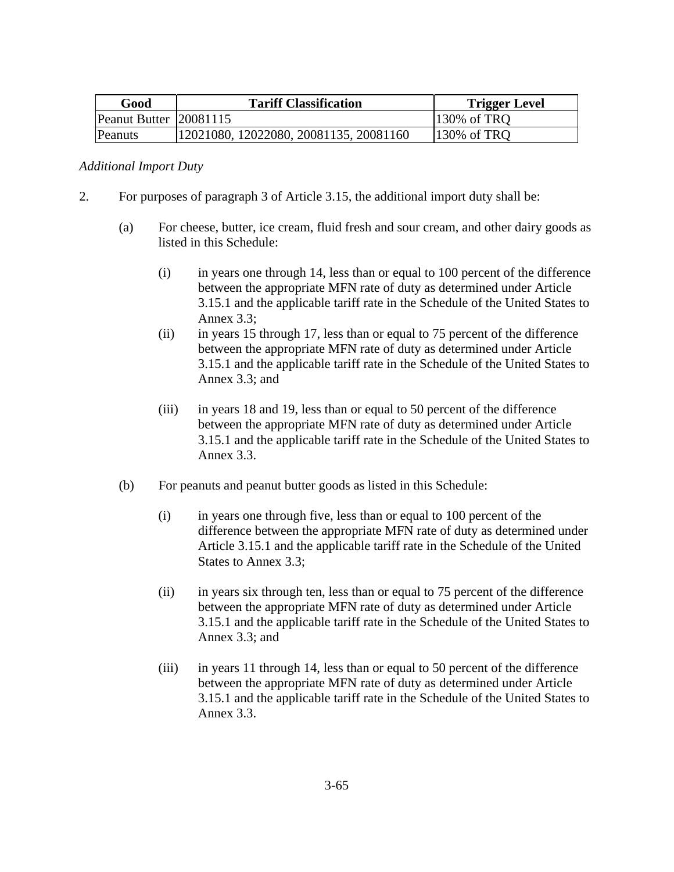| Good                   | <b>Tariff Classification</b>           | <b>Trigger Level</b> |
|------------------------|----------------------------------------|----------------------|
| Peanut Butter 20081115 |                                        | 130% of TRQ          |
| Peanuts                | 12021080, 12022080, 20081135, 20081160 | 130% of TRQ          |

### *Additional Import Duty*

- 2. For purposes of paragraph 3 of Article 3.15, the additional import duty shall be:
	- (a) For cheese, butter, ice cream, fluid fresh and sour cream, and other dairy goods as listed in this Schedule:
		- (i) in years one through 14, less than or equal to 100 percent of the difference between the appropriate MFN rate of duty as determined under Article 3.15.1 and the applicable tariff rate in the Schedule of the United States to Annex 3.3;
		- (ii) in years 15 through 17, less than or equal to 75 percent of the difference between the appropriate MFN rate of duty as determined under Article 3.15.1 and the applicable tariff rate in the Schedule of the United States to Annex 3.3; and
		- (iii) in years 18 and 19, less than or equal to 50 percent of the difference between the appropriate MFN rate of duty as determined under Article 3.15.1 and the applicable tariff rate in the Schedule of the United States to Annex 3.3.
	- (b) For peanuts and peanut butter goods as listed in this Schedule:
		- (i) in years one through five, less than or equal to 100 percent of the difference between the appropriate MFN rate of duty as determined under Article 3.15.1 and the applicable tariff rate in the Schedule of the United States to Annex 3.3;
		- (ii) in years six through ten, less than or equal to 75 percent of the difference between the appropriate MFN rate of duty as determined under Article 3.15.1 and the applicable tariff rate in the Schedule of the United States to Annex 3.3; and
		- (iii) in years 11 through 14, less than or equal to 50 percent of the difference between the appropriate MFN rate of duty as determined under Article 3.15.1 and the applicable tariff rate in the Schedule of the United States to Annex 3.3.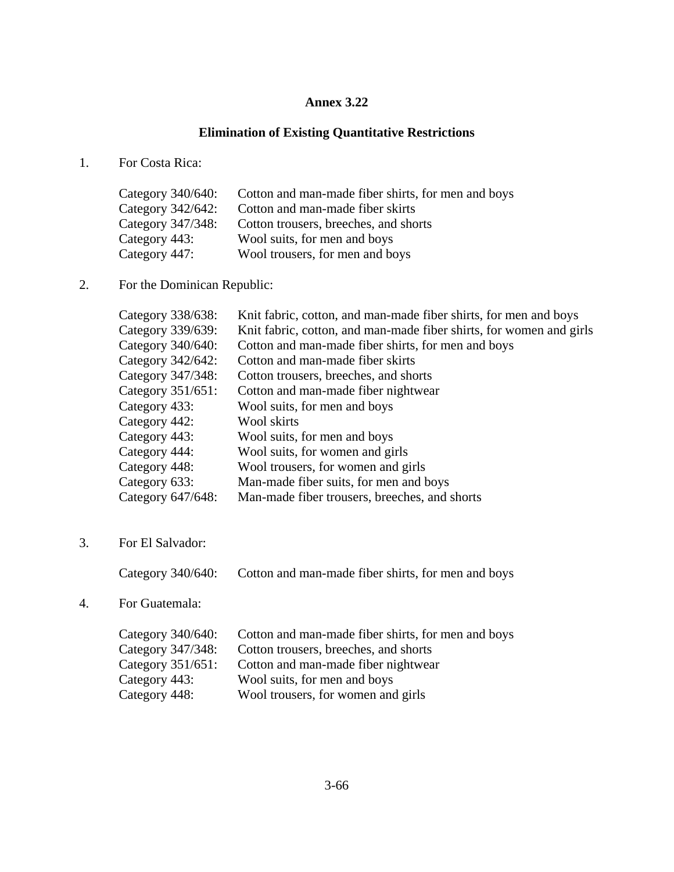### **Annex 3.22**

### **Elimination of Existing Quantitative Restrictions**

1. For Costa Rica:

| Cotton and man-made fiber shirts, for men and boys |
|----------------------------------------------------|
| Cotton and man-made fiber skirts                   |
| Cotton trousers, breeches, and shorts              |
| Wool suits, for men and boys                       |
| Wool trousers, for men and boys                    |
|                                                    |

2. For the Dominican Republic:

| Category 338/638:    | Knit fabric, cotton, and man-made fiber shirts, for men and boys    |
|----------------------|---------------------------------------------------------------------|
| Category 339/639:    | Knit fabric, cotton, and man-made fiber shirts, for women and girls |
| Category 340/640:    | Cotton and man-made fiber shirts, for men and boys                  |
| Category 342/642:    | Cotton and man-made fiber skirts                                    |
| Category 347/348:    | Cotton trousers, breeches, and shorts                               |
| Category $351/651$ : | Cotton and man-made fiber nightwear                                 |
| Category 433:        | Wool suits, for men and boys                                        |
| Category 442:        | Wool skirts                                                         |
| Category 443:        | Wool suits, for men and boys                                        |
| Category 444:        | Wool suits, for women and girls                                     |
| Category 448:        | Wool trousers, for women and girls                                  |
| Category 633:        | Man-made fiber suits, for men and boys                              |
| Category 647/648:    | Man-made fiber trousers, breeches, and shorts                       |

3. For El Salvador:

Category 340/640: Cotton and man-made fiber shirts, for men and boys

4. For Guatemala:

| Category $340/640$ : | Cotton and man-made fiber shirts, for men and boys |
|----------------------|----------------------------------------------------|
| Category 347/348:    | Cotton trousers, breeches, and shorts              |
| Category $351/651$ : | Cotton and man-made fiber nightwear                |
| Category 443:        | Wool suits, for men and boys                       |
| Category 448:        | Wool trousers, for women and girls                 |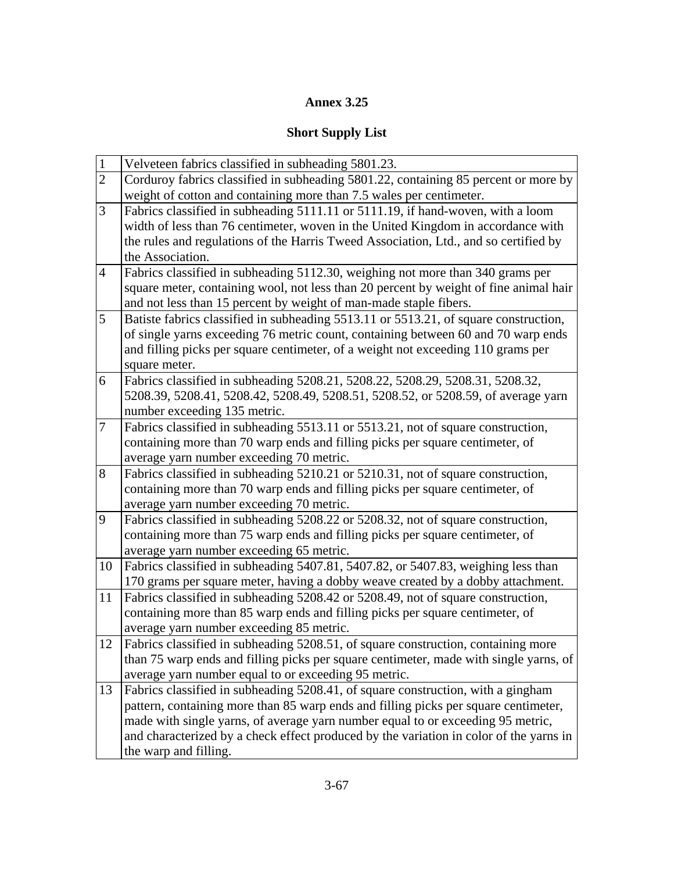# **Annex 3.25**

# **Short Supply List**

| $\overline{1}$                                                                            | Velveteen fabrics classified in subheading 5801.23.                                    |  |  |  |  |  |
|-------------------------------------------------------------------------------------------|----------------------------------------------------------------------------------------|--|--|--|--|--|
| $\overline{2}$                                                                            | Corduroy fabrics classified in subheading 5801.22, containing 85 percent or more by    |  |  |  |  |  |
|                                                                                           | weight of cotton and containing more than 7.5 wales per centimeter.                    |  |  |  |  |  |
| 3                                                                                         | Fabrics classified in subheading 5111.11 or 5111.19, if hand-woven, with a loom        |  |  |  |  |  |
|                                                                                           | width of less than 76 centimeter, woven in the United Kingdom in accordance with       |  |  |  |  |  |
|                                                                                           | the rules and regulations of the Harris Tweed Association, Ltd., and so certified by   |  |  |  |  |  |
|                                                                                           | the Association.                                                                       |  |  |  |  |  |
| $\overline{4}$                                                                            | Fabrics classified in subheading 5112.30, weighing not more than 340 grams per         |  |  |  |  |  |
|                                                                                           | square meter, containing wool, not less than 20 percent by weight of fine animal hair  |  |  |  |  |  |
|                                                                                           | and not less than 15 percent by weight of man-made staple fibers.                      |  |  |  |  |  |
| 5<br>Batiste fabrics classified in subheading 5513.11 or 5513.21, of square construction, |                                                                                        |  |  |  |  |  |
|                                                                                           | of single yarns exceeding 76 metric count, containing between 60 and 70 warp ends      |  |  |  |  |  |
|                                                                                           | and filling picks per square centimeter, of a weight not exceeding 110 grams per       |  |  |  |  |  |
|                                                                                           | square meter.                                                                          |  |  |  |  |  |
| 6                                                                                         | Fabrics classified in subheading 5208.21, 5208.22, 5208.29, 5208.31, 5208.32,          |  |  |  |  |  |
|                                                                                           | 5208.39, 5208.41, 5208.42, 5208.49, 5208.51, 5208.52, or 5208.59, of average yarn      |  |  |  |  |  |
|                                                                                           | number exceeding 135 metric.                                                           |  |  |  |  |  |
| $\tau$                                                                                    | Fabrics classified in subheading 5513.11 or 5513.21, not of square construction,       |  |  |  |  |  |
|                                                                                           | containing more than 70 warp ends and filling picks per square centimeter, of          |  |  |  |  |  |
|                                                                                           | average yarn number exceeding 70 metric.                                               |  |  |  |  |  |
| 8                                                                                         | Fabrics classified in subheading 5210.21 or 5210.31, not of square construction,       |  |  |  |  |  |
|                                                                                           | containing more than 70 warp ends and filling picks per square centimeter, of          |  |  |  |  |  |
|                                                                                           | average yarn number exceeding 70 metric.                                               |  |  |  |  |  |
| 9                                                                                         | Fabrics classified in subheading 5208.22 or 5208.32, not of square construction,       |  |  |  |  |  |
|                                                                                           | containing more than 75 warp ends and filling picks per square centimeter, of          |  |  |  |  |  |
|                                                                                           | average yarn number exceeding 65 metric.                                               |  |  |  |  |  |
| 10                                                                                        | Fabrics classified in subheading 5407.81, 5407.82, or 5407.83, weighing less than      |  |  |  |  |  |
|                                                                                           | 170 grams per square meter, having a dobby weave created by a dobby attachment.        |  |  |  |  |  |
| 11                                                                                        | Fabrics classified in subheading 5208.42 or 5208.49, not of square construction,       |  |  |  |  |  |
|                                                                                           | containing more than 85 warp ends and filling picks per square centimeter, of          |  |  |  |  |  |
|                                                                                           | average yarn number exceeding 85 metric.                                               |  |  |  |  |  |
| 12                                                                                        | Fabrics classified in subheading 5208.51, of square construction, containing more      |  |  |  |  |  |
|                                                                                           | than 75 warp ends and filling picks per square centimeter, made with single yarns, of  |  |  |  |  |  |
|                                                                                           | average yarn number equal to or exceeding 95 metric.                                   |  |  |  |  |  |
| 13                                                                                        | Fabrics classified in subheading 5208.41, of square construction, with a gingham       |  |  |  |  |  |
|                                                                                           | pattern, containing more than 85 warp ends and filling picks per square centimeter,    |  |  |  |  |  |
|                                                                                           | made with single yarns, of average yarn number equal to or exceeding 95 metric,        |  |  |  |  |  |
|                                                                                           | and characterized by a check effect produced by the variation in color of the yarns in |  |  |  |  |  |
|                                                                                           | the warp and filling.                                                                  |  |  |  |  |  |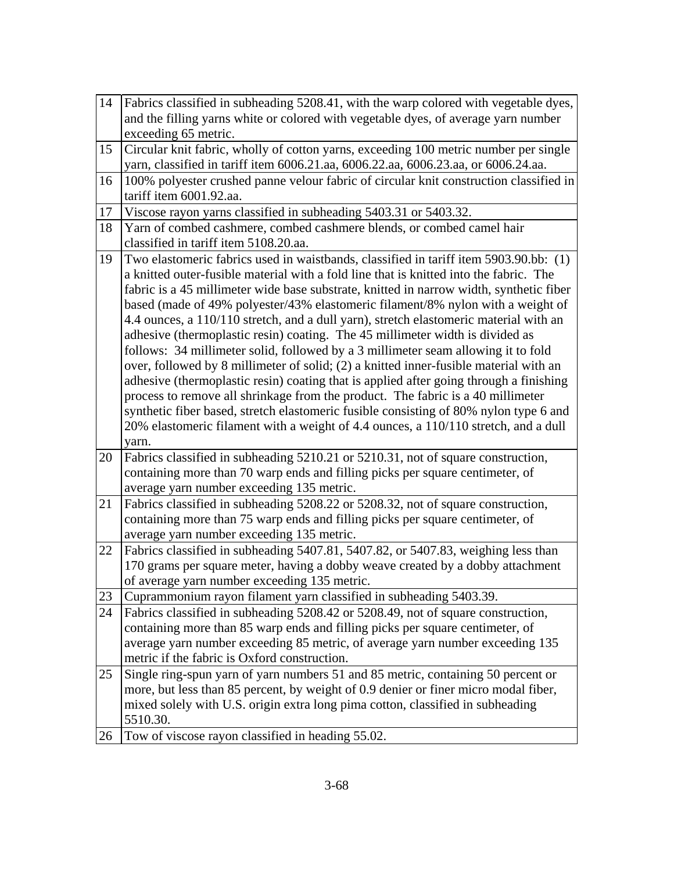| 14 | Fabrics classified in subheading 5208.41, with the warp colored with vegetable dyes,    |  |  |  |  |
|----|-----------------------------------------------------------------------------------------|--|--|--|--|
|    | and the filling yarns white or colored with vegetable dyes, of average yarn number      |  |  |  |  |
|    | exceeding 65 metric.                                                                    |  |  |  |  |
| 15 | Circular knit fabric, wholly of cotton yarns, exceeding 100 metric number per single    |  |  |  |  |
|    | yarn, classified in tariff item 6006.21.aa, 6006.22.aa, 6006.23.aa, or 6006.24.aa.      |  |  |  |  |
| 16 | 100% polyester crushed panne velour fabric of circular knit construction classified in  |  |  |  |  |
|    | tariff item 6001.92.aa.                                                                 |  |  |  |  |
| 17 | Viscose rayon yarns classified in subheading 5403.31 or 5403.32.                        |  |  |  |  |
| 18 | Yarn of combed cashmere, combed cashmere blends, or combed camel hair                   |  |  |  |  |
|    | classified in tariff item 5108.20.aa.                                                   |  |  |  |  |
| 19 | Two elastomeric fabrics used in waistbands, classified in tariff item 5903.90.bb: (1)   |  |  |  |  |
|    | a knitted outer-fusible material with a fold line that is knitted into the fabric. The  |  |  |  |  |
|    | fabric is a 45 millimeter wide base substrate, knitted in narrow width, synthetic fiber |  |  |  |  |
|    | based (made of 49% polyester/43% elastomeric filament/8% nylon with a weight of         |  |  |  |  |
|    | 4.4 ounces, a 110/110 stretch, and a dull yarn), stretch elastomeric material with an   |  |  |  |  |
|    | adhesive (thermoplastic resin) coating. The 45 millimeter width is divided as           |  |  |  |  |
|    | follows: 34 millimeter solid, followed by a 3 millimeter seam allowing it to fold       |  |  |  |  |
|    | over, followed by 8 millimeter of solid; (2) a knitted inner-fusible material with an   |  |  |  |  |
|    | adhesive (thermoplastic resin) coating that is applied after going through a finishing  |  |  |  |  |
|    | process to remove all shrinkage from the product. The fabric is a 40 millimeter         |  |  |  |  |
|    | synthetic fiber based, stretch elastomeric fusible consisting of 80% nylon type 6 and   |  |  |  |  |
|    | 20% elastomeric filament with a weight of 4.4 ounces, a 110/110 stretch, and a dull     |  |  |  |  |
|    | yarn.                                                                                   |  |  |  |  |
| 20 | Fabrics classified in subheading 5210.21 or 5210.31, not of square construction,        |  |  |  |  |
|    | containing more than 70 warp ends and filling picks per square centimeter, of           |  |  |  |  |
|    | average yarn number exceeding 135 metric.                                               |  |  |  |  |
| 21 | Fabrics classified in subheading 5208.22 or 5208.32, not of square construction,        |  |  |  |  |
|    | containing more than 75 warp ends and filling picks per square centimeter, of           |  |  |  |  |
|    | average yarn number exceeding 135 metric.                                               |  |  |  |  |
| 22 | Fabrics classified in subheading 5407.81, 5407.82, or 5407.83, weighing less than       |  |  |  |  |
|    | 170 grams per square meter, having a dobby weave created by a dobby attachment          |  |  |  |  |
|    | of average yarn number exceeding 135 metric.                                            |  |  |  |  |
| 23 | Cuprammonium rayon filament yarn classified in subheading 5403.39.                      |  |  |  |  |
| 24 | Fabrics classified in subheading 5208.42 or 5208.49, not of square construction,        |  |  |  |  |
|    | containing more than 85 warp ends and filling picks per square centimeter, of           |  |  |  |  |
|    | average yarn number exceeding 85 metric, of average yarn number exceeding 135           |  |  |  |  |
|    | metric if the fabric is Oxford construction.                                            |  |  |  |  |
| 25 | Single ring-spun yarn of yarn numbers 51 and 85 metric, containing 50 percent or        |  |  |  |  |
|    | more, but less than 85 percent, by weight of 0.9 denier or finer micro modal fiber,     |  |  |  |  |
|    | mixed solely with U.S. origin extra long pima cotton, classified in subheading          |  |  |  |  |
|    | 5510.30.                                                                                |  |  |  |  |
| 26 | Tow of viscose rayon classified in heading 55.02.                                       |  |  |  |  |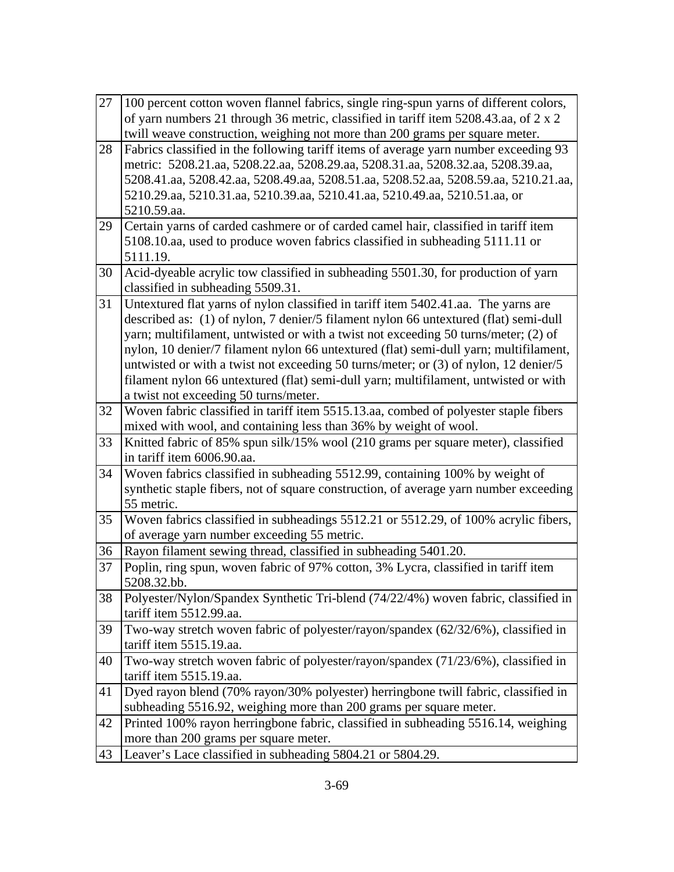| 27 | 100 percent cotton woven flannel fabrics, single ring-spun yarns of different colors, |  |  |  |  |  |
|----|---------------------------------------------------------------------------------------|--|--|--|--|--|
|    | of yarn numbers 21 through 36 metric, classified in tariff item 5208.43.aa, of 2 x 2  |  |  |  |  |  |
|    | twill weave construction, weighing not more than 200 grams per square meter.          |  |  |  |  |  |
| 28 | Fabrics classified in the following tariff items of average yarn number exceeding 93  |  |  |  |  |  |
|    | metric: 5208.21.aa, 5208.22.aa, 5208.29.aa, 5208.31.aa, 5208.32.aa, 5208.39.aa,       |  |  |  |  |  |
|    | 5208.41.aa, 5208.42.aa, 5208.49.aa, 5208.51.aa, 5208.52.aa, 5208.59.aa, 5210.21.aa,   |  |  |  |  |  |
|    | 5210.29.aa, 5210.31.aa, 5210.39.aa, 5210.41.aa, 5210.49.aa, 5210.51.aa, or            |  |  |  |  |  |
|    | 5210.59.aa.                                                                           |  |  |  |  |  |
| 29 | Certain yarns of carded cashmere or of carded camel hair, classified in tariff item   |  |  |  |  |  |
|    | 5108.10.aa, used to produce woven fabrics classified in subheading 5111.11 or         |  |  |  |  |  |
|    | 5111.19.                                                                              |  |  |  |  |  |
| 30 | Acid-dyeable acrylic tow classified in subheading 5501.30, for production of yarn     |  |  |  |  |  |
|    | classified in subheading 5509.31.                                                     |  |  |  |  |  |
| 31 | Untextured flat yarns of nylon classified in tariff item 5402.41.aa. The yarns are    |  |  |  |  |  |
|    | described as: (1) of nylon, 7 denier/5 filament nylon 66 untextured (flat) semi-dull  |  |  |  |  |  |
|    | yarn; multifilament, untwisted or with a twist not exceeding 50 turns/meter; (2) of   |  |  |  |  |  |
|    | nylon, 10 denier/7 filament nylon 66 untextured (flat) semi-dull yarn; multifilament, |  |  |  |  |  |
|    | untwisted or with a twist not exceeding 50 turns/meter; or (3) of nylon, 12 denier/5  |  |  |  |  |  |
|    | filament nylon 66 untextured (flat) semi-dull yarn; multifilament, untwisted or with  |  |  |  |  |  |
|    | a twist not exceeding 50 turns/meter.                                                 |  |  |  |  |  |
| 32 | Woven fabric classified in tariff item 5515.13.aa, combed of polyester staple fibers  |  |  |  |  |  |
|    | mixed with wool, and containing less than 36% by weight of wool.                      |  |  |  |  |  |
| 33 | Knitted fabric of 85% spun silk/15% wool (210 grams per square meter), classified     |  |  |  |  |  |
|    | in tariff item 6006.90.aa.                                                            |  |  |  |  |  |
| 34 | Woven fabrics classified in subheading 5512.99, containing 100% by weight of          |  |  |  |  |  |
|    | synthetic staple fibers, not of square construction, of average yarn number exceeding |  |  |  |  |  |
|    | 55 metric.                                                                            |  |  |  |  |  |
| 35 | Woven fabrics classified in subheadings 5512.21 or 5512.29, of 100% acrylic fibers,   |  |  |  |  |  |
|    | of average yarn number exceeding 55 metric.                                           |  |  |  |  |  |
| 36 | Rayon filament sewing thread, classified in subheading 5401.20.                       |  |  |  |  |  |
| 37 | Poplin, ring spun, woven fabric of 97% cotton, 3% Lycra, classified in tariff item    |  |  |  |  |  |
|    | 5208.32.bb.                                                                           |  |  |  |  |  |
| 38 | Polyester/Nylon/Spandex Synthetic Tri-blend (74/22/4%) woven fabric, classified in    |  |  |  |  |  |
|    | tariff item 5512.99.aa.                                                               |  |  |  |  |  |
| 39 | Two-way stretch woven fabric of polyester/rayon/spandex (62/32/6%), classified in     |  |  |  |  |  |
|    | tariff item 5515.19.aa.                                                               |  |  |  |  |  |
| 40 | Two-way stretch woven fabric of polyester/rayon/spandex (71/23/6%), classified in     |  |  |  |  |  |
|    | tariff item 5515.19.aa.                                                               |  |  |  |  |  |
| 41 | Dyed rayon blend (70% rayon/30% polyester) herringbone twill fabric, classified in    |  |  |  |  |  |
|    | subheading 5516.92, weighing more than 200 grams per square meter.                    |  |  |  |  |  |
| 42 | Printed 100% rayon herringbone fabric, classified in subheading 5516.14, weighing     |  |  |  |  |  |
|    | more than 200 grams per square meter.                                                 |  |  |  |  |  |
| 43 | Leaver's Lace classified in subheading 5804.21 or 5804.29.                            |  |  |  |  |  |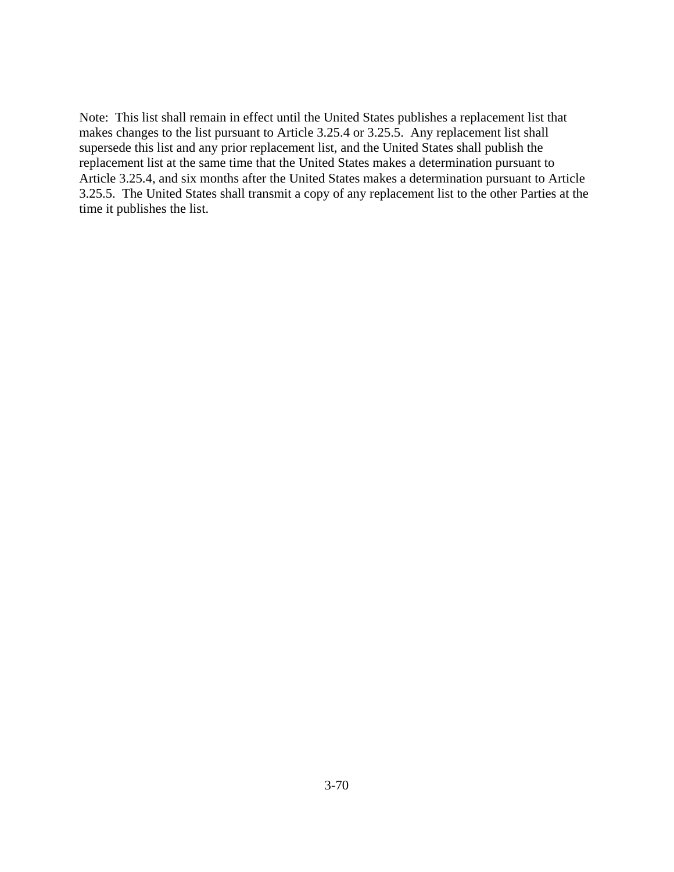Note: This list shall remain in effect until the United States publishes a replacement list that makes changes to the list pursuant to Article 3.25.4 or 3.25.5. Any replacement list shall supersede this list and any prior replacement list, and the United States shall publish the replacement list at the same time that the United States makes a determination pursuant to Article 3.25.4, and six months after the United States makes a determination pursuant to Article 3.25.5. The United States shall transmit a copy of any replacement list to the other Parties at the time it publishes the list.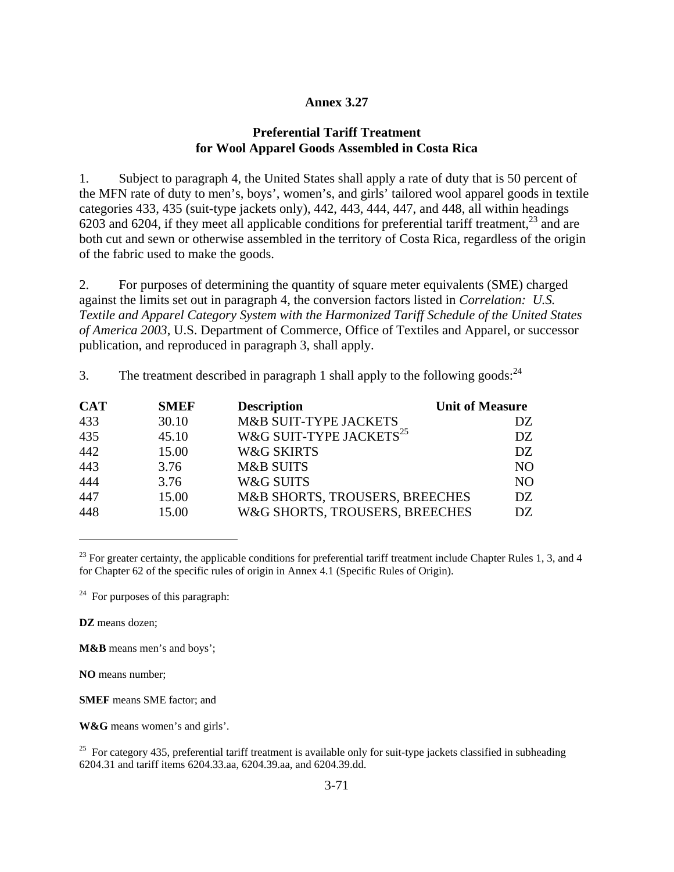### **Annex 3.27**

### **Preferential Tariff Treatment for Wool Apparel Goods Assembled in Costa Rica**

1. Subject to paragraph 4, the United States shall apply a rate of duty that is 50 percent of the MFN rate of duty to men's, boys', women's, and girls' tailored wool apparel goods in textile categories 433, 435 (suit-type jackets only), 442, 443, 444, 447, and 448, all within headings 6203 and 6204, if they meet all applicable conditions for preferential tariff treatment.<sup>23</sup> and are both cut and sewn or otherwise assembled in the territory of Costa Rica, regardless of the origin of the fabric used to make the goods.

2. For purposes of determining the quantity of square meter equivalents (SME) charged against the limits set out in paragraph 4, the conversion factors listed in *Correlation: U.S. Textile and Apparel Category System with the Harmonized Tariff Schedule of the United States of America 2003*, U.S. Department of Commerce, Office of Textiles and Apparel, or successor publication, and reproduced in paragraph 3, shall apply.

| <b>CAT</b> | <b>SMEF</b> | <b>Description</b>                  | <b>Unit of Measure</b> |
|------------|-------------|-------------------------------------|------------------------|
| 433        | 30.10       | M&B SUIT-TYPE JACKETS               | DZ.                    |
| 435        | 45.10       | W&G SUIT-TYPE JACKETS <sup>25</sup> | DZ.                    |
| 442        | 15.00       | <b>W&amp;G SKIRTS</b>               | DZ.                    |
| 443        | 3.76        | <b>M&amp;B SUITS</b>                | NO.                    |
| 444        | 3.76        | W&G SUITS                           | N <sub>O</sub>         |
| 447        | 15.00       | M&B SHORTS, TROUSERS, BREECHES      | DZ.                    |
| 448        | 15.00       | W&G SHORTS, TROUSERS, BREECHES      | DZ.                    |

3. The treatment described in paragraph 1 shall apply to the following goods:  $^{24}$ 

 $^{23}$  For greater certainty, the applicable conditions for preferential tariff treatment include Chapter Rules 1, 3, and 4 for Chapter 62 of the specific rules of origin in Annex 4.1 (Specific Rules of Origin).

 $24$  For purposes of this paragraph:

**DZ** means dozen;

 $\overline{a}$ 

**M&B** means men's and boys';

**NO** means number;

**SMEF** means SME factor; and

**W&G** means women's and girls'.

<sup>25</sup> For category 435, preferential tariff treatment is available only for suit-type jackets classified in subheading 6204.31 and tariff items 6204.33.aa, 6204.39.aa, and 6204.39.dd.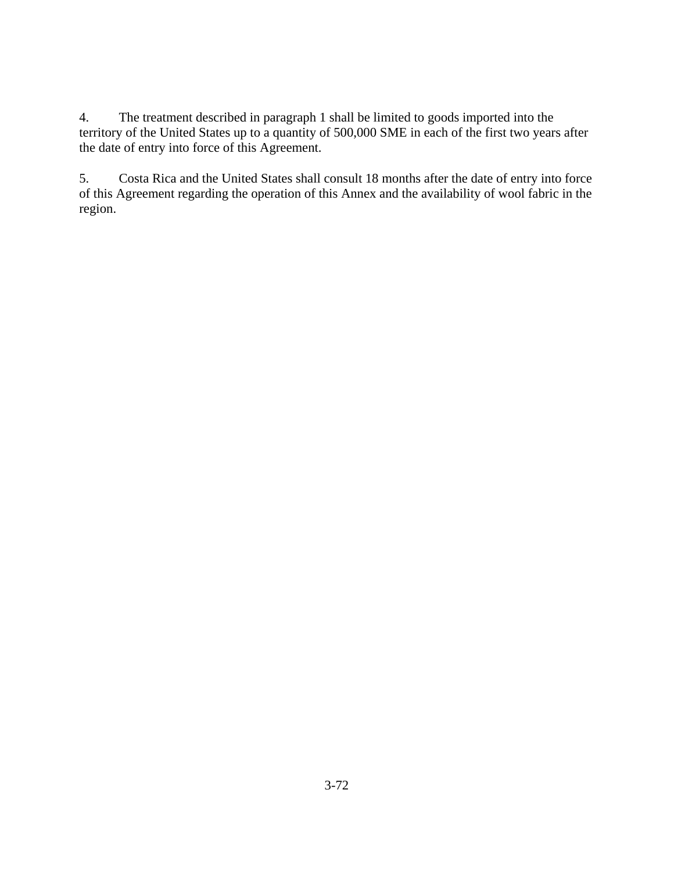4. The treatment described in paragraph 1 shall be limited to goods imported into the territory of the United States up to a quantity of 500,000 SME in each of the first two years after the date of entry into force of this Agreement.

5. Costa Rica and the United States shall consult 18 months after the date of entry into force of this Agreement regarding the operation of this Annex and the availability of wool fabric in the region.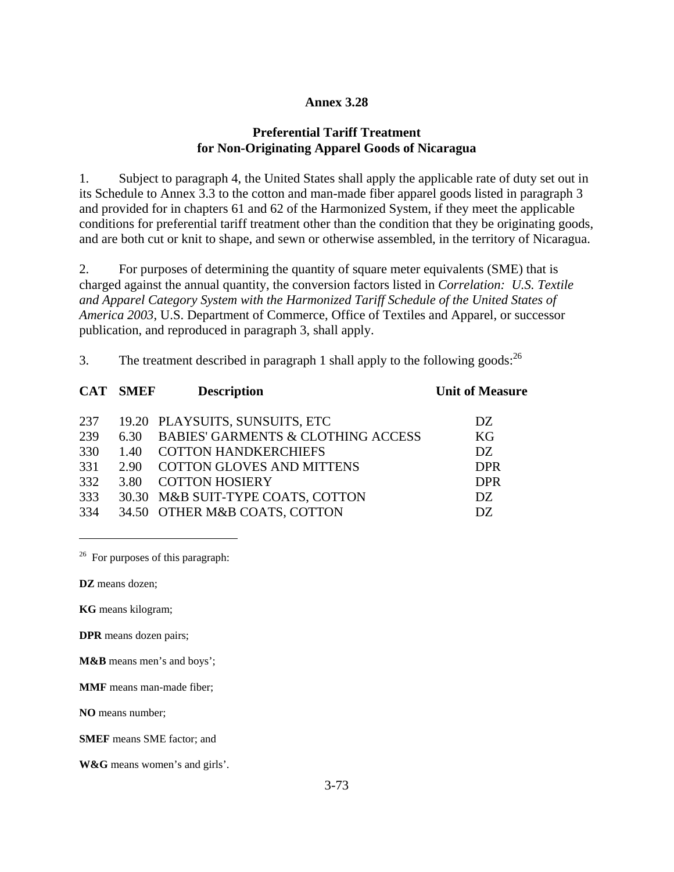## **Annex 3.28**

## **Preferential Tariff Treatment for Non-Originating Apparel Goods of Nicaragua**

1. Subject to paragraph 4, the United States shall apply the applicable rate of duty set out in its Schedule to Annex 3.3 to the cotton and man-made fiber apparel goods listed in paragraph 3 and provided for in chapters 61 and 62 of the Harmonized System, if they meet the applicable conditions for preferential tariff treatment other than the condition that they be originating goods, and are both cut or knit to shape, and sewn or otherwise assembled, in the territory of Nicaragua.

2. For purposes of determining the quantity of square meter equivalents (SME) that is charged against the annual quantity, the conversion factors listed in *Correlation: U.S. Textile and Apparel Category System with the Harmonized Tariff Schedule of the United States of America 2003*, U.S. Department of Commerce, Office of Textiles and Apparel, or successor publication, and reproduced in paragraph 3, shall apply.

3. The treatment described in paragraph 1 shall apply to the following goods:  $^{26}$ 

|     | <b>CAT SMEF</b> | <b>Description</b>                            | <b>Unit of Measure</b> |
|-----|-----------------|-----------------------------------------------|------------------------|
| 237 |                 | 19.20 PLAYSUITS, SUNSUITS, ETC                | DZ.                    |
| 239 | 6.30            | <b>BABIES' GARMENTS &amp; CLOTHING ACCESS</b> | KG                     |
| 330 | 1.40            | <b>COTTON HANDKERCHIEFS</b>                   | DZ.                    |
| 331 | 2.90            | <b>COTTON GLOVES AND MITTENS</b>              | <b>DPR</b>             |
| 332 | 3.80            | <b>COTTON HOSIERY</b>                         | <b>DPR</b>             |
| 333 |                 | 30.30 M&B SUIT-TYPE COATS, COTTON             | DZ.                    |
| 334 |                 | 34.50 OTHER M&B COATS, COTTON                 | DZ.                    |

 $26$  For purposes of this paragraph:

**DZ** means dozen;

<u>.</u>

**KG** means kilogram;

**DPR** means dozen pairs;

**M&B** means men's and boys';

**MMF** means man-made fiber;

**NO** means number;

**SMEF** means SME factor; and

**W&G** means women's and girls'.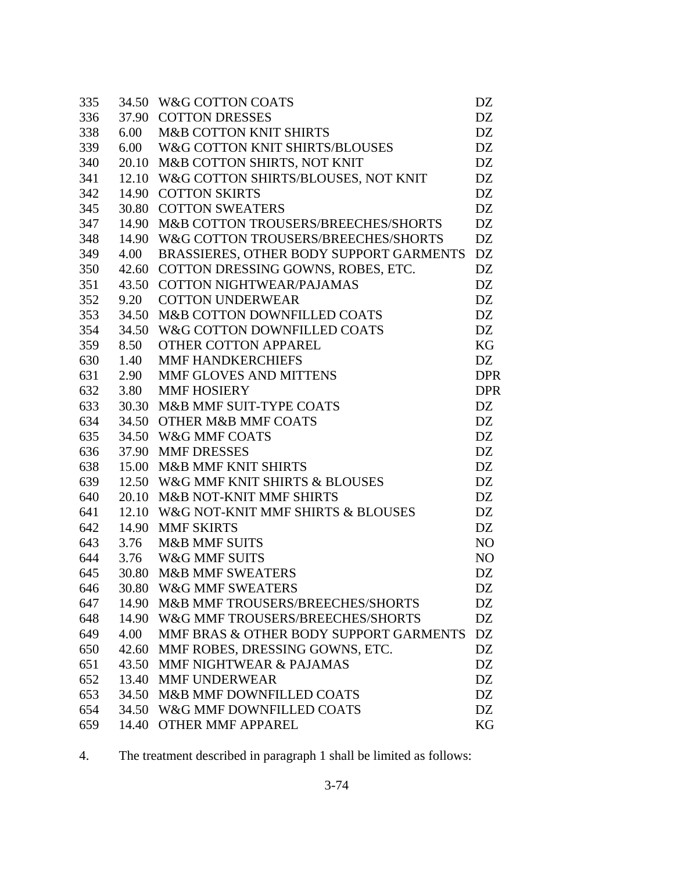| 335 |       | 34.50 W&G COTTON COATS                    | DZ             |
|-----|-------|-------------------------------------------|----------------|
| 336 |       | 37.90 COTTON DRESSES                      | DZ             |
| 338 | 6.00  | <b>M&amp;B COTTON KNIT SHIRTS</b>         | DZ             |
| 339 | 6.00  | W&G COTTON KNIT SHIRTS/BLOUSES            | DZ             |
| 340 | 20.10 | M&B COTTON SHIRTS, NOT KNIT               | DZ             |
| 341 |       | 12.10 W&G COTTON SHIRTS/BLOUSES, NOT KNIT | DZ             |
| 342 |       | 14.90 COTTON SKIRTS                       | DZ             |
| 345 |       | 30.80 COTTON SWEATERS                     | DZ             |
| 347 | 14.90 | M&B COTTON TROUSERS/BREECHES/SHORTS       | DZ             |
| 348 | 14.90 | W&G COTTON TROUSERS/BREECHES/SHORTS       | DZ             |
| 349 | 4.00  | BRASSIERES, OTHER BODY SUPPORT GARMENTS   | DZ             |
| 350 |       | 42.60 COTTON DRESSING GOWNS, ROBES, ETC.  | DZ             |
| 351 |       | 43.50 COTTON NIGHTWEAR/PAJAMAS            | DZ             |
| 352 | 9.20  | <b>COTTON UNDERWEAR</b>                   | DZ             |
| 353 | 34.50 | M&B COTTON DOWNFILLED COATS               | DZ             |
| 354 | 34.50 | W&G COTTON DOWNFILLED COATS               | DZ             |
| 359 | 8.50  | <b>OTHER COTTON APPAREL</b>               | KG             |
| 630 | 1.40  | <b>MMF HANDKERCHIEFS</b>                  | DZ             |
| 631 | 2.90  | MMF GLOVES AND MITTENS                    | <b>DPR</b>     |
| 632 | 3.80  | MMF HOSIERY                               | <b>DPR</b>     |
| 633 |       | 30.30 M&B MMF SUIT-TYPE COATS             | DZ             |
| 634 |       | 34.50 OTHER M&B MMF COATS                 | DZ             |
| 635 |       | 34.50 W&G MMF COATS                       | DZ             |
| 636 | 37.90 | <b>MMF DRESSES</b>                        | DZ             |
| 638 | 15.00 | <b>M&amp;B MMF KNIT SHIRTS</b>            | DZ             |
| 639 |       | 12.50 W&G MMF KNIT SHIRTS & BLOUSES       | DZ             |
| 640 | 20.10 | M&B NOT-KNIT MMF SHIRTS                   | DZ             |
| 641 |       | 12.10 W&G NOT-KNIT MMF SHIRTS & BLOUSES   | DZ             |
| 642 | 14.90 | <b>MMF SKIRTS</b>                         | DZ             |
| 643 | 3.76  | <b>M&amp;B MMF SUITS</b>                  | NO             |
| 644 |       | 3.76 W&G MMF SUITS                        | N <sub>O</sub> |
| 645 |       | 30.80 M&B MMF SWEATERS                    | DZ             |
| 646 |       | 30.80 W&G MMF SWEATERS                    | DZ             |
| 647 | 14.90 | M&B MMF TROUSERS/BREECHES/SHORTS          | DZ             |
| 648 | 14.90 | W&G MMF TROUSERS/BREECHES/SHORTS          | DZ             |
| 649 | 4.00  | MMF BRAS & OTHER BODY SUPPORT GARMENTS    | <b>DZ</b>      |
| 650 | 42.60 | MMF ROBES, DRESSING GOWNS, ETC.           | DZ             |
| 651 | 43.50 | MMF NIGHTWEAR & PAJAMAS                   | DZ             |
| 652 | 13.40 | <b>MMF UNDERWEAR</b>                      | DZ             |
| 653 | 34.50 | M&B MMF DOWNFILLED COATS                  | DZ             |
| 654 | 34.50 | W&G MMF DOWNFILLED COATS                  | DZ             |
| 659 | 14.40 | <b>OTHER MMF APPAREL</b>                  | KG             |

4. The treatment described in paragraph 1 shall be limited as follows: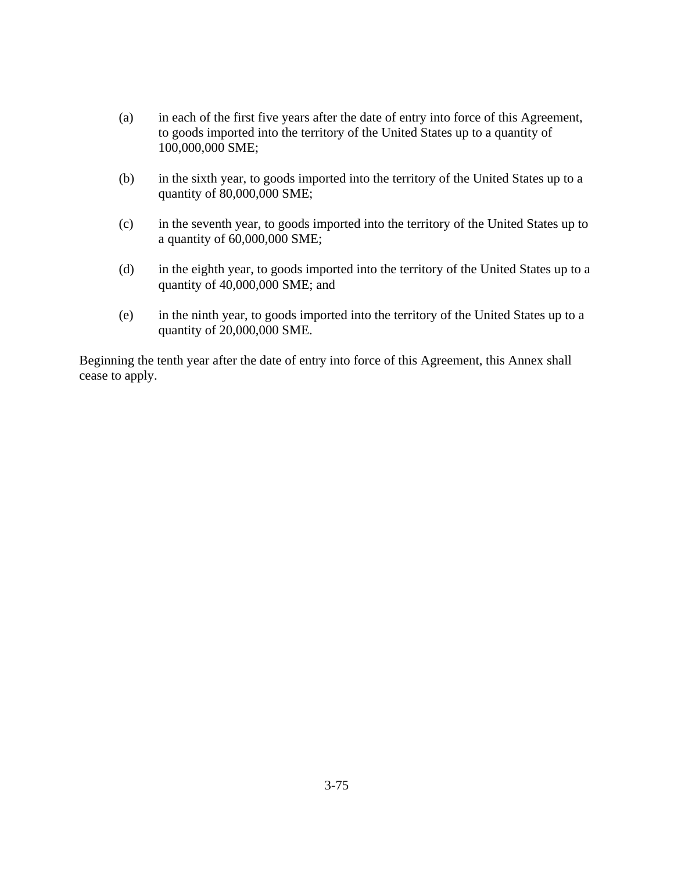- (a) in each of the first five years after the date of entry into force of this Agreement, to goods imported into the territory of the United States up to a quantity of 100,000,000 SME;
- (b) in the sixth year, to goods imported into the territory of the United States up to a quantity of 80,000,000 SME;
- (c) in the seventh year, to goods imported into the territory of the United States up to a quantity of 60,000,000 SME;
- (d) in the eighth year, to goods imported into the territory of the United States up to a quantity of 40,000,000 SME; and
- (e) in the ninth year, to goods imported into the territory of the United States up to a quantity of 20,000,000 SME.

Beginning the tenth year after the date of entry into force of this Agreement, this Annex shall cease to apply.